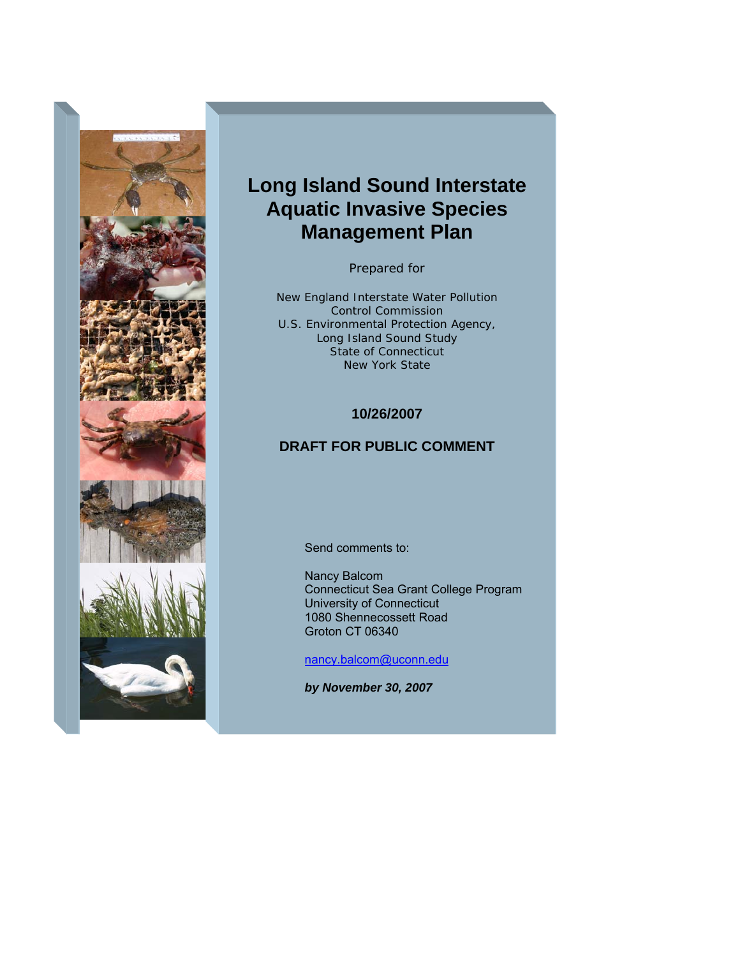

# **Long Island Sound Interstate Aquatic Invasive Species Management Plan**

Prepared for

New England Interstate Water Pollution Control Commission U.S. Environmental Protection Agency, Long Island Sound Study State of Connecticut New York State

## **10/26/2007**

## **DRAFT FOR PUBLIC COMMENT**

Send comments to:

Nancy Balcom Connecticut Sea Grant College Program University of Connecticut 1080 Shennecossett Road Groton CT 06340

[nancy.balcom@uconn.edu](mailto:nancy.balcom@uconn.edu)

*by November 30, 2007*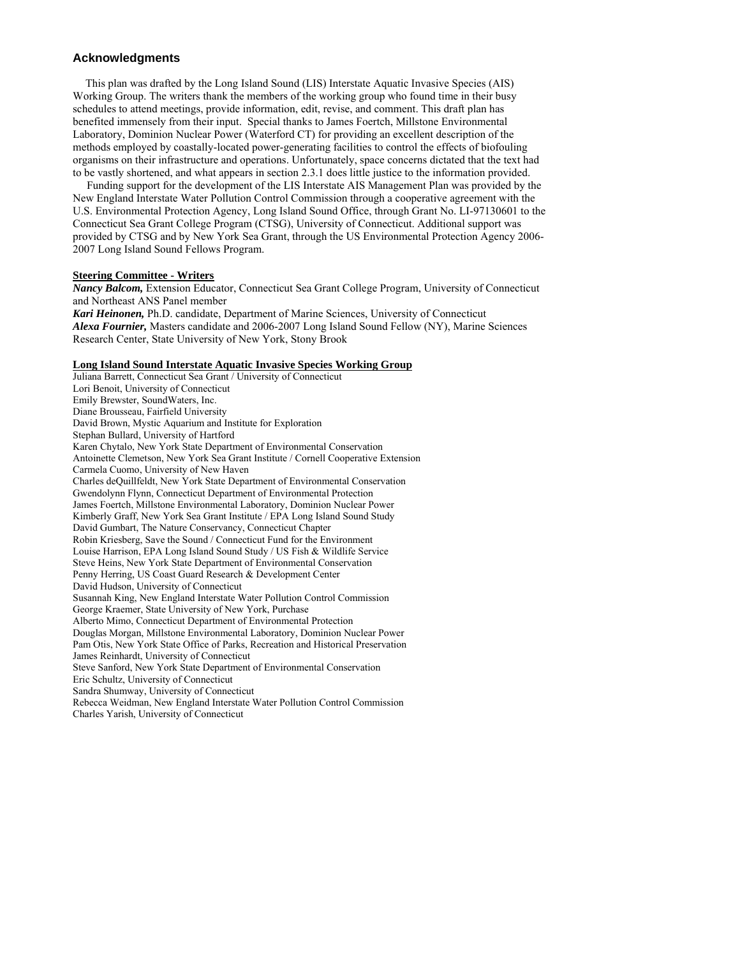#### **Acknowledgments**

 This plan was drafted by the Long Island Sound (LIS) Interstate Aquatic Invasive Species (AIS) Working Group. The writers thank the members of the working group who found time in their busy schedules to attend meetings, provide information, edit, revise, and comment. This draft plan has benefited immensely from their input. Special thanks to James Foertch, Millstone Environmental Laboratory, Dominion Nuclear Power (Waterford CT) for providing an excellent description of the methods employed by coastally-located power-generating facilities to control the effects of biofouling organisms on their infrastructure and operations. Unfortunately, space concerns dictated that the text had to be vastly shortened, and what appears in section 2.3.1 does little justice to the information provided.

 Funding support for the development of the LIS Interstate AIS Management Plan was provided by the New England Interstate Water Pollution Control Commission through a cooperative agreement with the U.S. Environmental Protection Agency, Long Island Sound Office, through Grant No. LI-97130601 to the Connecticut Sea Grant College Program (CTSG), University of Connecticut. Additional support was provided by CTSG and by New York Sea Grant, through the US Environmental Protection Agency 2006- 2007 Long Island Sound Fellows Program.

#### **Steering Committee - Writers**

*Nancy Balcom,* Extension Educator, Connecticut Sea Grant College Program, University of Connecticut and Northeast ANS Panel member *Kari Heinonen,* Ph.D. candidate, Department of Marine Sciences, University of Connecticut *Alexa Fournier,* Masters candidate and 2006-2007 Long Island Sound Fellow (NY), Marine Sciences

Research Center, State University of New York, Stony Brook

#### **Long Island Sound Interstate Aquatic Invasive Species Working Group**

Juliana Barrett, Connecticut Sea Grant / University of Connecticut Lori Benoit, University of Connecticut Emily Brewster, SoundWaters, Inc. Diane Brousseau, Fairfield University David Brown, Mystic Aquarium and Institute for Exploration Stephan Bullard, University of Hartford Karen Chytalo, New York State Department of Environmental Conservation Antoinette Clemetson, New York Sea Grant Institute / Cornell Cooperative Extension Carmela Cuomo, University of New Haven Charles deQuillfeldt, New York State Department of Environmental Conservation Gwendolynn Flynn, Connecticut Department of Environmental Protection James Foertch, Millstone Environmental Laboratory, Dominion Nuclear Power Kimberly Graff, New York Sea Grant Institute / EPA Long Island Sound Study David Gumbart, The Nature Conservancy, Connecticut Chapter Robin Kriesberg, Save the Sound / Connecticut Fund for the Environment Louise Harrison, EPA Long Island Sound Study / US Fish & Wildlife Service Steve Heins, New York State Department of Environmental Conservation Penny Herring, US Coast Guard Research & Development Center David Hudson, University of Connecticut Susannah King, New England Interstate Water Pollution Control Commission George Kraemer, State University of New York, Purchase Alberto Mimo, Connecticut Department of Environmental Protection Douglas Morgan, Millstone Environmental Laboratory, Dominion Nuclear Power Pam Otis, New York State Office of Parks, Recreation and Historical Preservation James Reinhardt, University of Connecticut Steve Sanford, New York State Department of Environmental Conservation Eric Schultz, University of Connecticut Sandra Shumway, University of Connecticut Rebecca Weidman, New England Interstate Water Pollution Control Commission

Charles Yarish, University of Connecticut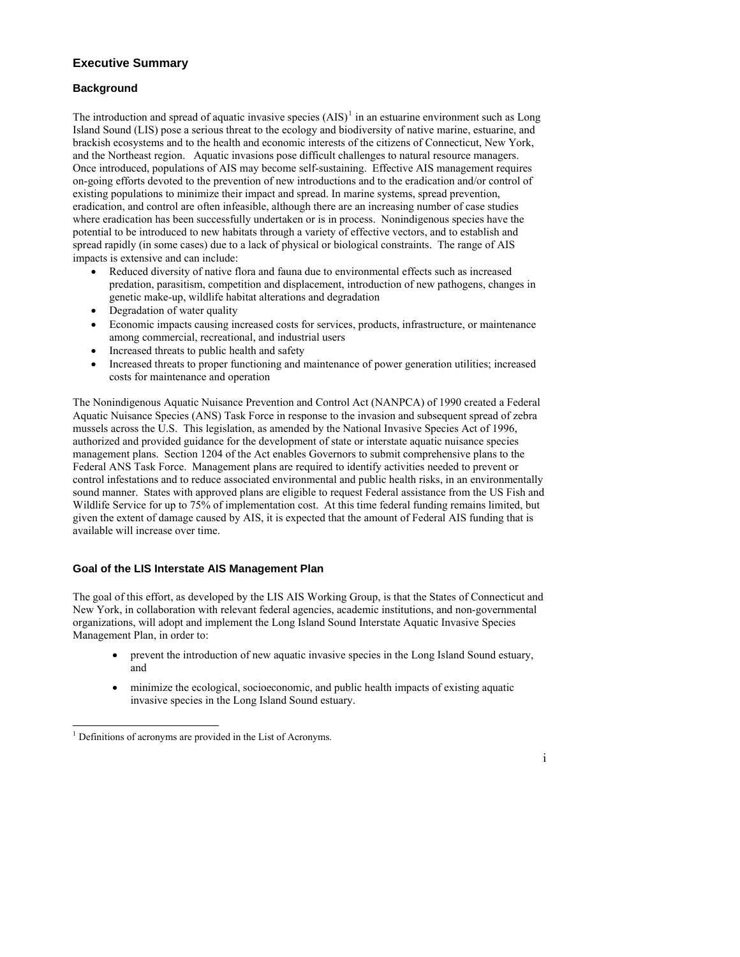## **Executive Summary**

## **Background**

The introduction and spread of aquatic invasive species  $(AIS)^1$  $(AIS)^1$  in an estuarine environment such as Long Island Sound (LIS) pose a serious threat to the ecology and biodiversity of native marine, estuarine, and brackish ecosystems and to the health and economic interests of the citizens of Connecticut, New York, and the Northeast region. Aquatic invasions pose difficult challenges to natural resource managers. Once introduced, populations of AIS may become self-sustaining. Effective AIS management requires on-going efforts devoted to the prevention of new introductions and to the eradication and/or control of existing populations to minimize their impact and spread. In marine systems, spread prevention, eradication, and control are often infeasible, although there are an increasing number of case studies where eradication has been successfully undertaken or is in process. Nonindigenous species have the potential to be introduced to new habitats through a variety of effective vectors, and to establish and spread rapidly (in some cases) due to a lack of physical or biological constraints. The range of AIS impacts is extensive and can include:

- Reduced diversity of native flora and fauna due to environmental effects such as increased predation, parasitism, competition and displacement, introduction of new pathogens, changes in genetic make-up, wildlife habitat alterations and degradation
- Degradation of water quality
- Economic impacts causing increased costs for services, products, infrastructure, or maintenance among commercial, recreational, and industrial users
- Increased threats to public health and safety
- Increased threats to proper functioning and maintenance of power generation utilities; increased costs for maintenance and operation

The Nonindigenous Aquatic Nuisance Prevention and Control Act (NANPCA) of 1990 created a Federal Aquatic Nuisance Species (ANS) Task Force in response to the invasion and subsequent spread of zebra mussels across the U.S. This legislation, as amended by the National Invasive Species Act of 1996, authorized and provided guidance for the development of state or interstate aquatic nuisance species management plans. Section 1204 of the Act enables Governors to submit comprehensive plans to the Federal ANS Task Force. Management plans are required to identify activities needed to prevent or control infestations and to reduce associated environmental and public health risks, in an environmentally sound manner. States with approved plans are eligible to request Federal assistance from the US Fish and Wildlife Service for up to 75% of implementation cost. At this time federal funding remains limited, but given the extent of damage caused by AIS, it is expected that the amount of Federal AIS funding that is available will increase over time.

### **Goal of the LIS Interstate AIS Management Plan**

The goal of this effort, as developed by the LIS AIS Working Group, is that the States of Connecticut and New York, in collaboration with relevant federal agencies, academic institutions, and non-governmental organizations, will adopt and implement the Long Island Sound Interstate Aquatic Invasive Species Management Plan, in order to:

- prevent the introduction of new aquatic invasive species in the Long Island Sound estuary, and
- minimize the ecological, socioeconomic, and public health impacts of existing aquatic invasive species in the Long Island Sound estuary.

i

<span id="page-2-0"></span><sup>-</sup><sup>1</sup> Definitions of acronyms are provided in the List of Acronyms.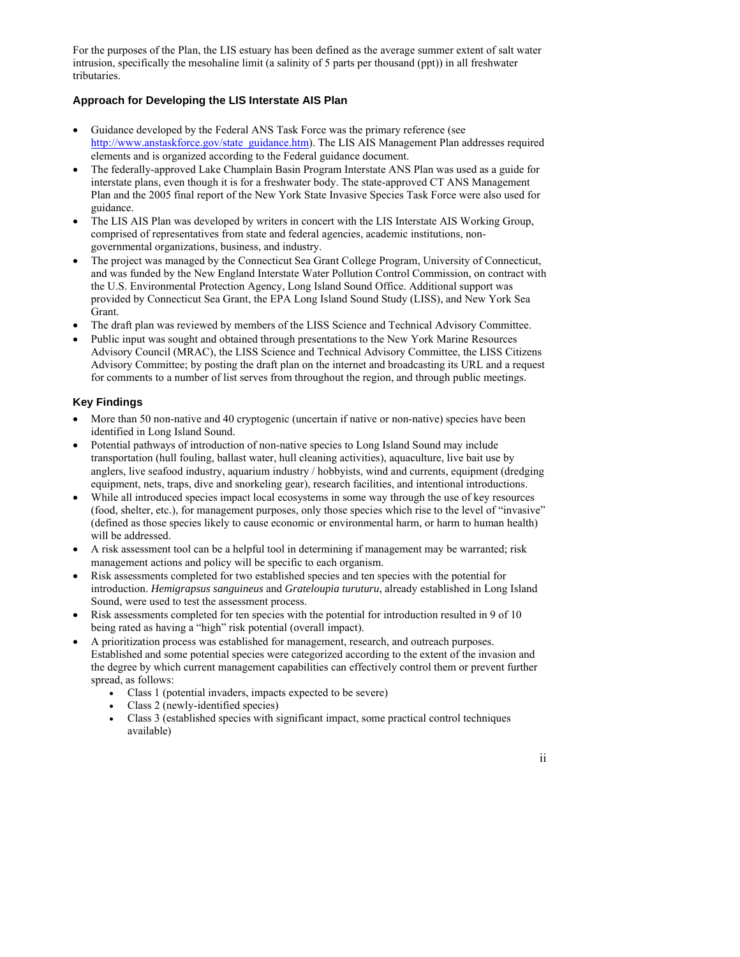For the purposes of the Plan, the LIS estuary has been defined as the average summer extent of salt water intrusion, specifically the mesohaline limit (a salinity of 5 parts per thousand (ppt)) in all freshwater tributaries.

## **Approach for Developing the LIS Interstate AIS Plan**

- Guidance developed by the Federal ANS Task Force was the primary reference (see [http://www.anstaskforce.gov/state\\_guidance.htm\)](http://www.anstaskforce.gov/state_guidance.htm). The LIS AIS Management Plan addresses required elements and is organized according to the Federal guidance document.
- The federally-approved Lake Champlain Basin Program Interstate ANS Plan was used as a guide for interstate plans, even though it is for a freshwater body. The state-approved CT ANS Management Plan and the 2005 final report of the New York State Invasive Species Task Force were also used for guidance.
- The LIS AIS Plan was developed by writers in concert with the LIS Interstate AIS Working Group, comprised of representatives from state and federal agencies, academic institutions, nongovernmental organizations, business, and industry.
- The project was managed by the Connecticut Sea Grant College Program, University of Connecticut, and was funded by the New England Interstate Water Pollution Control Commission, on contract with the U.S. Environmental Protection Agency, Long Island Sound Office. Additional support was provided by Connecticut Sea Grant, the EPA Long Island Sound Study (LISS), and New York Sea Grant.
- The draft plan was reviewed by members of the LISS Science and Technical Advisory Committee.
- Public input was sought and obtained through presentations to the New York Marine Resources Advisory Council (MRAC), the LISS Science and Technical Advisory Committee, the LISS Citizens Advisory Committee; by posting the draft plan on the internet and broadcasting its URL and a request for comments to a number of list serves from throughout the region, and through public meetings.

## **Key Findings**

- More than 50 non-native and 40 cryptogenic (uncertain if native or non-native) species have been identified in Long Island Sound.
- Potential pathways of introduction of non-native species to Long Island Sound may include transportation (hull fouling, ballast water, hull cleaning activities), aquaculture, live bait use by anglers, live seafood industry, aquarium industry / hobbyists, wind and currents, equipment (dredging equipment, nets, traps, dive and snorkeling gear), research facilities, and intentional introductions.
- While all introduced species impact local ecosystems in some way through the use of key resources (food, shelter, etc.), for management purposes, only those species which rise to the level of "invasive" (defined as those species likely to cause economic or environmental harm, or harm to human health) will be addressed.
- A risk assessment tool can be a helpful tool in determining if management may be warranted; risk management actions and policy will be specific to each organism.
- Risk assessments completed for two established species and ten species with the potential for introduction. *Hemigrapsus sanguineus* and *Grateloupia turuturu*, already established in Long Island Sound, were used to test the assessment process.
- Risk assessments completed for ten species with the potential for introduction resulted in 9 of 10 being rated as having a "high" risk potential (overall impact).
- A prioritization process was established for management, research, and outreach purposes. Established and some potential species were categorized according to the extent of the invasion and the degree by which current management capabilities can effectively control them or prevent further spread, as follows:
	- Class 1 (potential invaders, impacts expected to be severe)
	- Class 2 (newly-identified species)
	- Class 3 (established species with significant impact, some practical control techniques available)

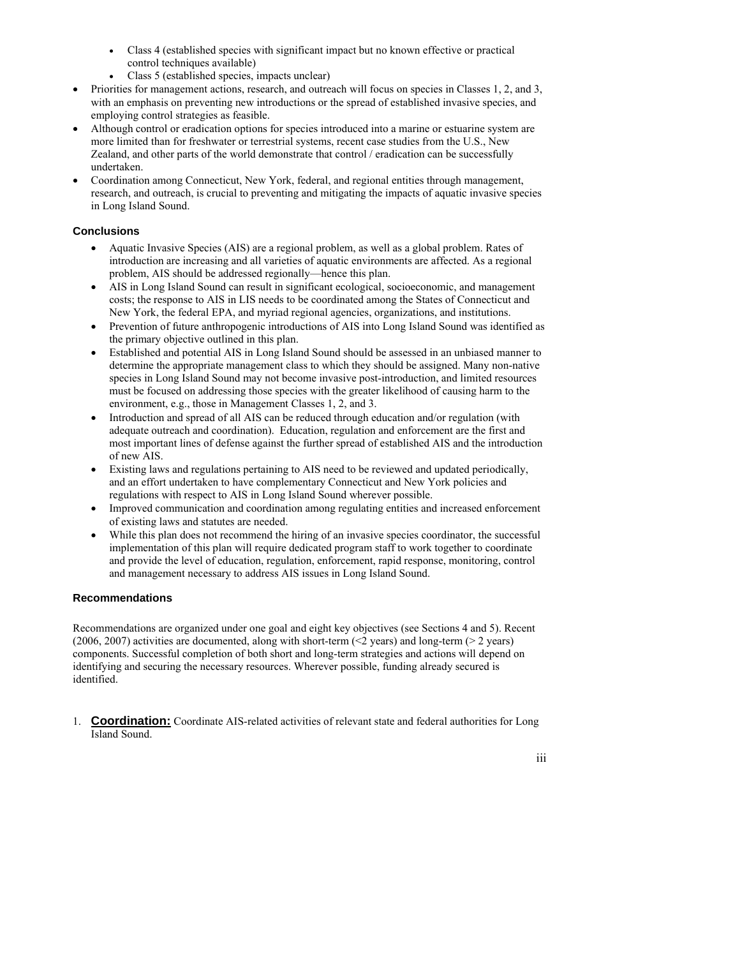- Class 4 (established species with significant impact but no known effective or practical control techniques available)
- Class 5 (established species, impacts unclear)
- Priorities for management actions, research, and outreach will focus on species in Classes 1, 2, and 3, with an emphasis on preventing new introductions or the spread of established invasive species, and employing control strategies as feasible.
- Although control or eradication options for species introduced into a marine or estuarine system are more limited than for freshwater or terrestrial systems, recent case studies from the U.S., New Zealand, and other parts of the world demonstrate that control / eradication can be successfully undertaken.
- Coordination among Connecticut, New York, federal, and regional entities through management, research, and outreach, is crucial to preventing and mitigating the impacts of aquatic invasive species in Long Island Sound.

## **Conclusions**

- Aquatic Invasive Species (AIS) are a regional problem, as well as a global problem. Rates of introduction are increasing and all varieties of aquatic environments are affected. As a regional problem, AIS should be addressed regionally—hence this plan.
- AIS in Long Island Sound can result in significant ecological, socioeconomic, and management costs; the response to AIS in LIS needs to be coordinated among the States of Connecticut and New York, the federal EPA, and myriad regional agencies, organizations, and institutions.
- Prevention of future anthropogenic introductions of AIS into Long Island Sound was identified as the primary objective outlined in this plan.
- Established and potential AIS in Long Island Sound should be assessed in an unbiased manner to determine the appropriate management class to which they should be assigned. Many non-native species in Long Island Sound may not become invasive post-introduction, and limited resources must be focused on addressing those species with the greater likelihood of causing harm to the environment, e.g., those in Management Classes 1, 2, and 3.
- Introduction and spread of all AIS can be reduced through education and/or regulation (with adequate outreach and coordination). Education, regulation and enforcement are the first and most important lines of defense against the further spread of established AIS and the introduction of new AIS.
- Existing laws and regulations pertaining to AIS need to be reviewed and updated periodically, and an effort undertaken to have complementary Connecticut and New York policies and regulations with respect to AIS in Long Island Sound wherever possible.
- Improved communication and coordination among regulating entities and increased enforcement of existing laws and statutes are needed.
- While this plan does not recommend the hiring of an invasive species coordinator, the successful implementation of this plan will require dedicated program staff to work together to coordinate and provide the level of education, regulation, enforcement, rapid response, monitoring, control and management necessary to address AIS issues in Long Island Sound.

## **Recommendations**

Recommendations are organized under one goal and eight key objectives (see Sections 4 and 5). Recent (2006, 2007) activities are documented, along with short-term ( $\leq$ 2 years) and long-term ( $\geq$ 2 years) components. Successful completion of both short and long-term strategies and actions will depend on identifying and securing the necessary resources. Wherever possible, funding already secured is identified.

1. **Coordination:** Coordinate AIS-related activities of relevant state and federal authorities for Long Island Sound.

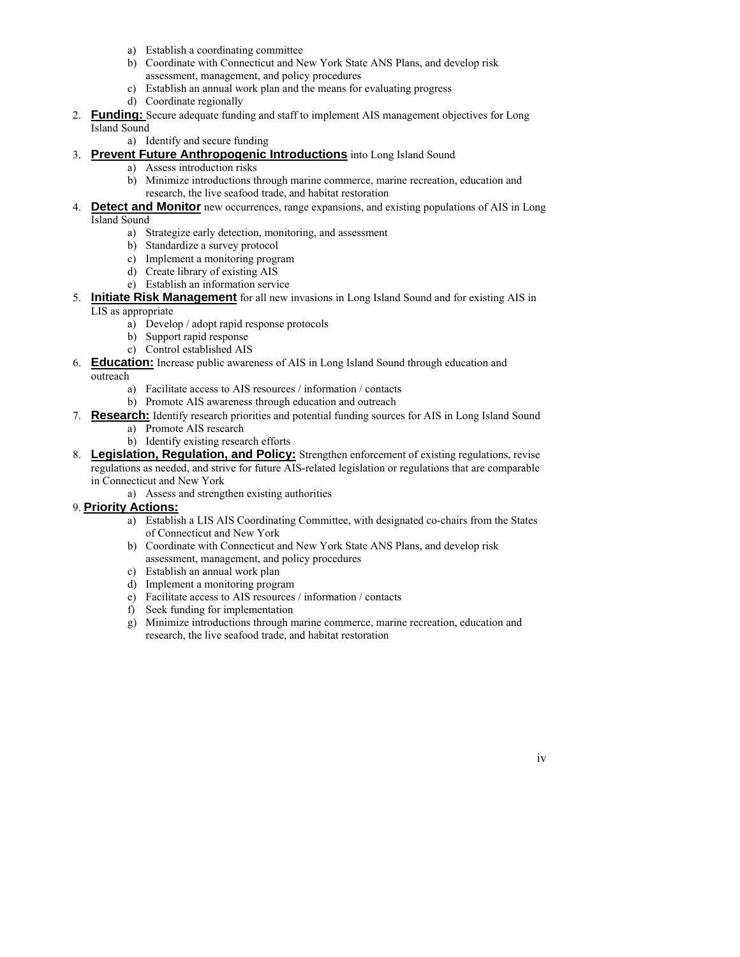- a) Establish a coordinating committee
- b) Coordinate with Connecticut and New York State ANS Plans, and develop risk assessment, management, and policy procedures
- c) Establish an annual work plan and the means for evaluating progress
- d) Coordinate regionally
- 2. **Funding:** Secure adequate funding and staff to implement AIS management objectives for Long Island Sound

a) Identify and secure funding

## 3. **Prevent Future Anthropogenic Introductions** into Long Island Sound

- a) Assess introduction risks
	- b) Minimize introductions through marine commerce, marine recreation, education and research, the live seafood trade, and habitat restoration
- 4. **Detect and Monitor** new occurrences, range expansions, and existing populations of AIS in Long Island Sound
	- a) Strategize early detection, monitoring, and assessment
	- b) Standardize a survey protocol
	- c) Implement a monitoring program
	- d) Create library of existing AIS
	- e) Establish an information service

5. **Initiate Risk Management** for all new invasions in Long Island Sound and for existing AIS in LIS as appropriate

- a) Develop / adopt rapid response protocols
- b) Support rapid response
- c) Control established AIS
- 6. **Education:** Increase public awareness of AIS in Long Island Sound through education and

outreach

- a) Facilitate access to AIS resources / information / contacts
- b) Promote AIS awareness through education and outreach
- 7. **Research:** Identify research priorities and potential funding sources for AIS in Long Island Sound
	- a) Promote AIS research
	- b) Identify existing research efforts
- 8. **Legislation, Regulation, and Policy:** Strengthen enforcement of existing regulations, revise regulations as needed, and strive for future AIS-related legislation or regulations that are comparable in Connecticut and New York
	- a) Assess and strengthen existing authorities

## 9. **Priority Actions:**

- a) Establish a LIS AIS Coordinating Committee, with designated co-chairs from the States of Connecticut and New York
- b) Coordinate with Connecticut and New York State ANS Plans, and develop risk assessment, management, and policy procedures
- c) Establish an annual work plan
- d) Implement a monitoring program
- e) Facilitate access to AIS resources / information / contacts
- f) Seek funding for implementation
- g) Minimize introductions through marine commerce, marine recreation, education and research, the live seafood trade, and habitat restoration

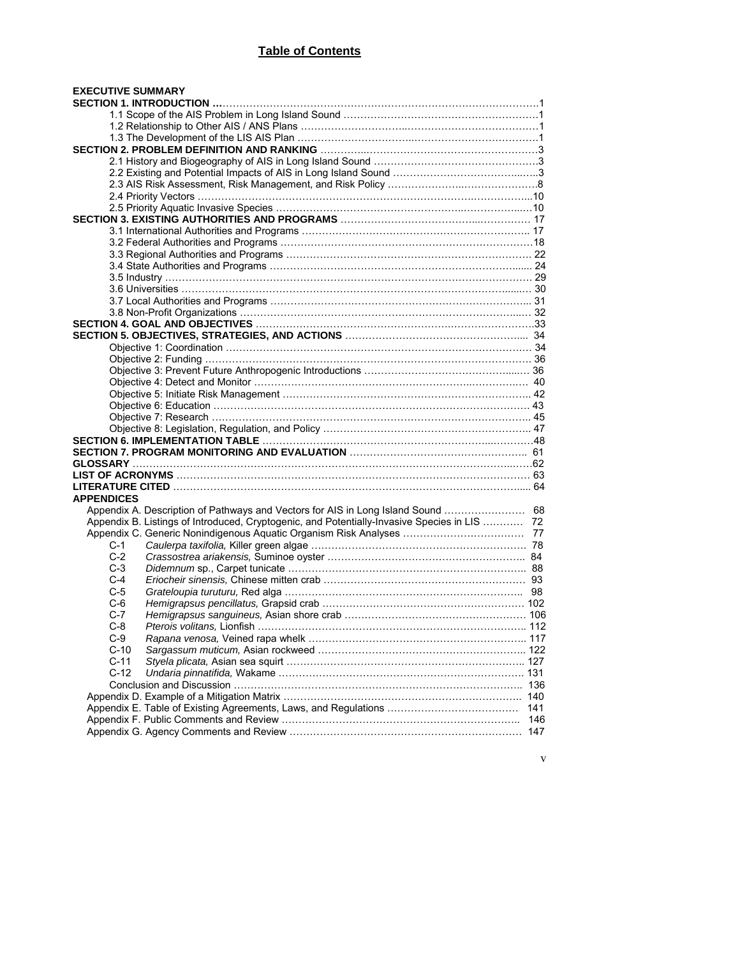## **Table of Contents**

| <b>APPENDICES</b>                                                                            |     |
|----------------------------------------------------------------------------------------------|-----|
|                                                                                              |     |
| Appendix B. Listings of Introduced, Cryptogenic, and Potentially-Invasive Species in LIS  72 |     |
| C-1                                                                                          |     |
| $C-2$                                                                                        |     |
| C-3                                                                                          |     |
| C-4                                                                                          |     |
| C-5                                                                                          |     |
| C-6                                                                                          |     |
| C-7                                                                                          |     |
| $C-8$                                                                                        |     |
| $C-9$                                                                                        |     |
| $C-10$                                                                                       |     |
| $C-11$                                                                                       |     |
| $C-12$                                                                                       |     |
|                                                                                              |     |
|                                                                                              |     |
|                                                                                              | 141 |
|                                                                                              | 146 |

v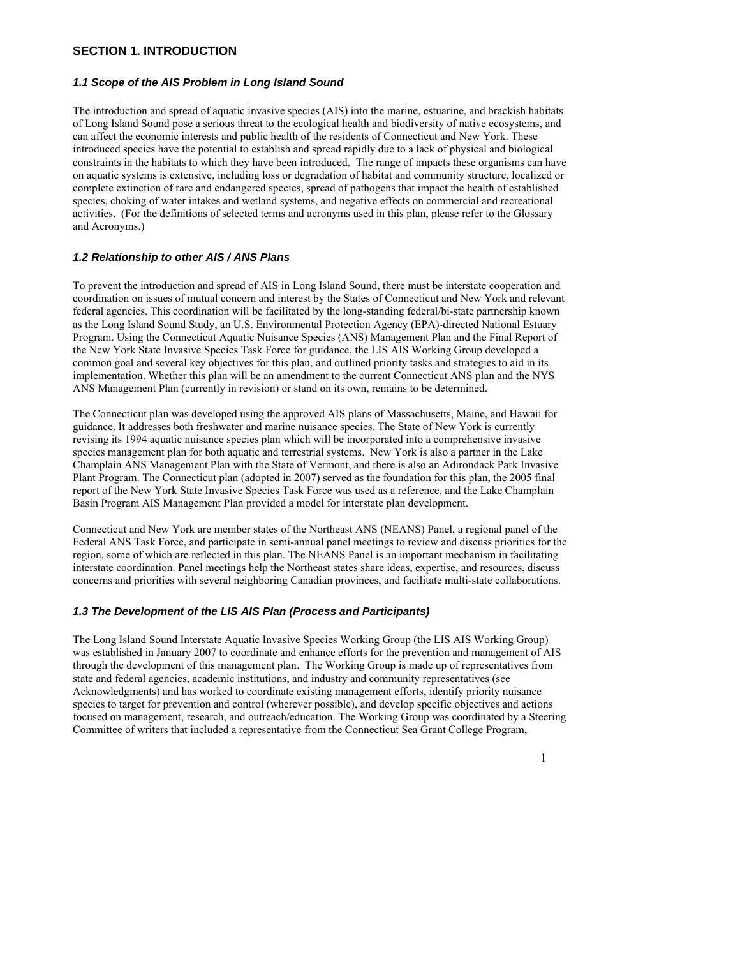## **SECTION 1. INTRODUCTION**

#### *1.1 Scope of the AIS Problem in Long Island Sound*

The introduction and spread of aquatic invasive species (AIS) into the marine, estuarine, and brackish habitats of Long Island Sound pose a serious threat to the ecological health and biodiversity of native ecosystems, and can affect the economic interests and public health of the residents of Connecticut and New York. These introduced species have the potential to establish and spread rapidly due to a lack of physical and biological constraints in the habitats to which they have been introduced. The range of impacts these organisms can have on aquatic systems is extensive, including loss or degradation of habitat and community structure, localized or complete extinction of rare and endangered species, spread of pathogens that impact the health of established species, choking of water intakes and wetland systems, and negative effects on commercial and recreational activities. (For the definitions of selected terms and acronyms used in this plan, please refer to the Glossary and Acronyms.)

#### *1.2 Relationship to other AIS / ANS Plans*

To prevent the introduction and spread of AIS in Long Island Sound, there must be interstate cooperation and coordination on issues of mutual concern and interest by the States of Connecticut and New York and relevant federal agencies. This coordination will be facilitated by the long-standing federal/bi-state partnership known as the Long Island Sound Study, an U.S. Environmental Protection Agency (EPA)-directed National Estuary Program. Using the Connecticut Aquatic Nuisance Species (ANS) Management Plan and the Final Report of the New York State Invasive Species Task Force for guidance, the LIS AIS Working Group developed a common goal and several key objectives for this plan, and outlined priority tasks and strategies to aid in its implementation. Whether this plan will be an amendment to the current Connecticut ANS plan and the NYS ANS Management Plan (currently in revision) or stand on its own, remains to be determined.

The Connecticut plan was developed using the approved AIS plans of Massachusetts, Maine, and Hawaii for guidance. It addresses both freshwater and marine nuisance species. The State of New York is currently revising its 1994 aquatic nuisance species plan which will be incorporated into a comprehensive invasive species management plan for both aquatic and terrestrial systems. New York is also a partner in the Lake Champlain ANS Management Plan with the State of Vermont, and there is also an Adirondack Park Invasive Plant Program. The Connecticut plan (adopted in 2007) served as the foundation for this plan, the 2005 final report of the New York State Invasive Species Task Force was used as a reference, and the Lake Champlain Basin Program AIS Management Plan provided a model for interstate plan development.

Connecticut and New York are member states of the Northeast ANS (NEANS) Panel, a regional panel of the Federal ANS Task Force, and participate in semi-annual panel meetings to review and discuss priorities for the region, some of which are reflected in this plan. The NEANS Panel is an important mechanism in facilitating interstate coordination. Panel meetings help the Northeast states share ideas, expertise, and resources, discuss concerns and priorities with several neighboring Canadian provinces, and facilitate multi-state collaborations.

## *1.3 The Development of the LIS AIS Plan (Process and Participants)*

The Long Island Sound Interstate Aquatic Invasive Species Working Group (the LIS AIS Working Group) was established in January 2007 to coordinate and enhance efforts for the prevention and management of AIS through the development of this management plan. The Working Group is made up of representatives from state and federal agencies, academic institutions, and industry and community representatives (see Acknowledgments) and has worked to coordinate existing management efforts, identify priority nuisance species to target for prevention and control (wherever possible), and develop specific objectives and actions focused on management, research, and outreach/education. The Working Group was coordinated by a Steering Committee of writers that included a representative from the Connecticut Sea Grant College Program,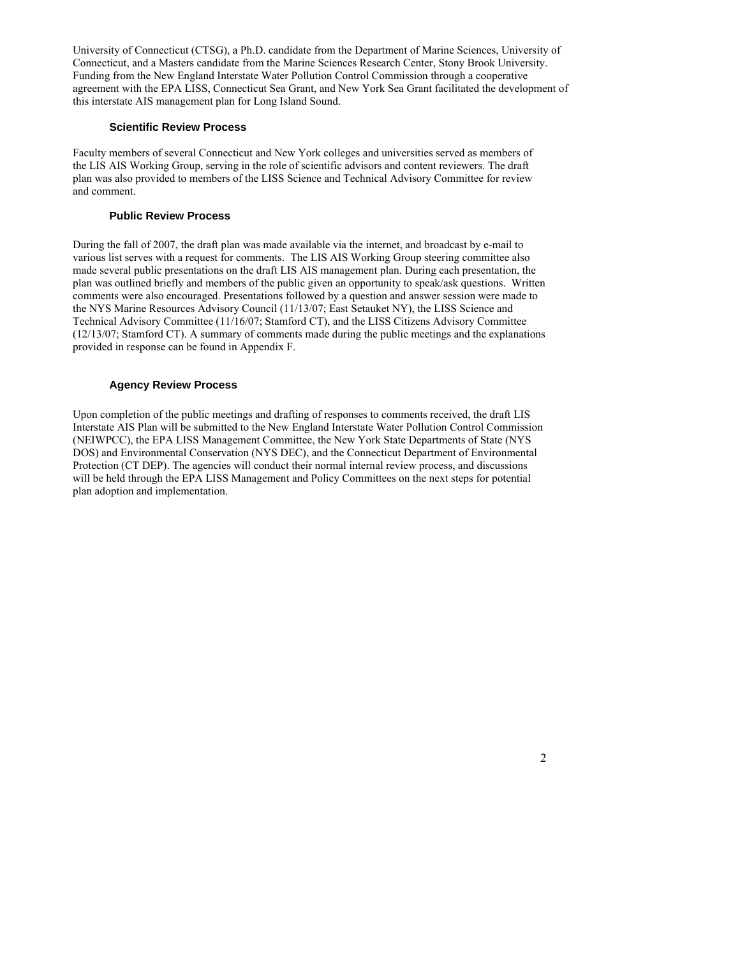University of Connecticut (CTSG), a Ph.D. candidate from the Department of Marine Sciences, University of Connecticut, and a Masters candidate from the Marine Sciences Research Center, Stony Brook University. Funding from the New England Interstate Water Pollution Control Commission through a cooperative agreement with the EPA LISS, Connecticut Sea Grant, and New York Sea Grant facilitated the development of this interstate AIS management plan for Long Island Sound.

#### **Scientific Review Process**

Faculty members of several Connecticut and New York colleges and universities served as members of the LIS AIS Working Group, serving in the role of scientific advisors and content reviewers. The draft plan was also provided to members of the LISS Science and Technical Advisory Committee for review and comment.

#### **Public Review Process**

During the fall of 2007, the draft plan was made available via the internet, and broadcast by e-mail to various list serves with a request for comments. The LIS AIS Working Group steering committee also made several public presentations on the draft LIS AIS management plan. During each presentation, the plan was outlined briefly and members of the public given an opportunity to speak/ask questions. Written comments were also encouraged. Presentations followed by a question and answer session were made to the NYS Marine Resources Advisory Council (11/13/07; East Setauket NY), the LISS Science and Technical Advisory Committee (11/16/07; Stamford CT), and the LISS Citizens Advisory Committee (12/13/07; Stamford CT). A summary of comments made during the public meetings and the explanations provided in response can be found in Appendix F.

#### **Agency Review Process**

Upon completion of the public meetings and drafting of responses to comments received, the draft LIS Interstate AIS Plan will be submitted to the New England Interstate Water Pollution Control Commission (NEIWPCC), the EPA LISS Management Committee, the New York State Departments of State (NYS DOS) and Environmental Conservation (NYS DEC), and the Connecticut Department of Environmental Protection (CT DEP). The agencies will conduct their normal internal review process, and discussions will be held through the EPA LISS Management and Policy Committees on the next steps for potential plan adoption and implementation.

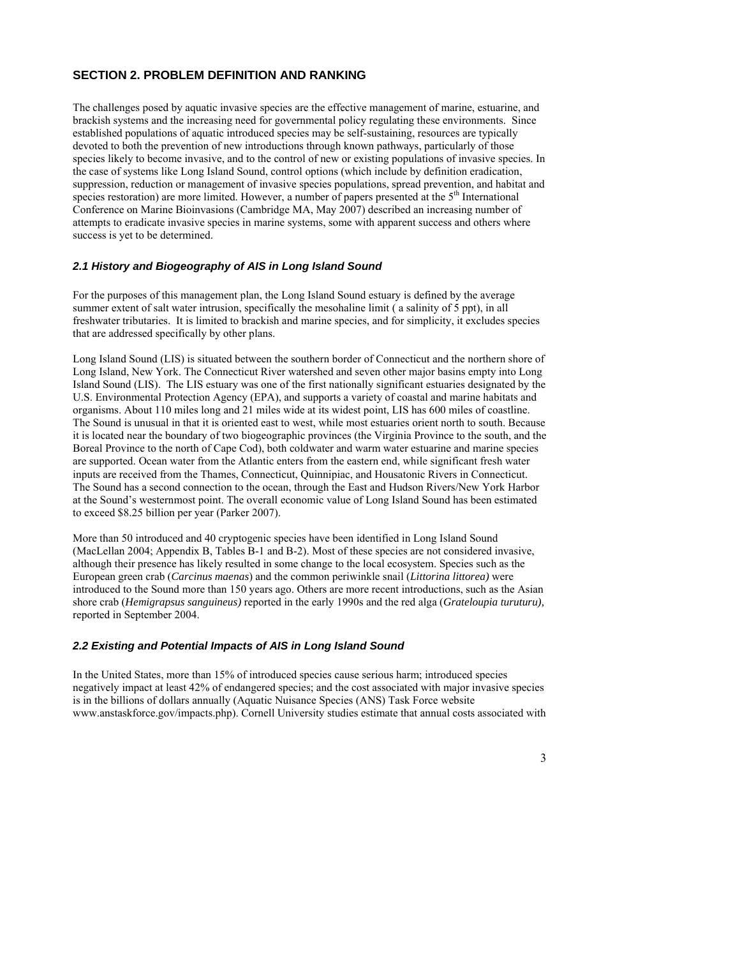## **SECTION 2. PROBLEM DEFINITION AND RANKING**

The challenges posed by aquatic invasive species are the effective management of marine, estuarine, and brackish systems and the increasing need for governmental policy regulating these environments. Since established populations of aquatic introduced species may be self-sustaining, resources are typically devoted to both the prevention of new introductions through known pathways, particularly of those species likely to become invasive, and to the control of new or existing populations of invasive species. In the case of systems like Long Island Sound, control options (which include by definition eradication, suppression, reduction or management of invasive species populations, spread prevention, and habitat and species restoration) are more limited. However, a number of papers presented at the  $5<sup>th</sup>$  International Conference on Marine Bioinvasions (Cambridge MA, May 2007) described an increasing number of attempts to eradicate invasive species in marine systems, some with apparent success and others where success is yet to be determined.

## *2.1 History and Biogeography of AIS in Long Island Sound*

For the purposes of this management plan, the Long Island Sound estuary is defined by the average summer extent of salt water intrusion, specifically the mesohaline limit ( a salinity of 5 ppt), in all freshwater tributaries. It is limited to brackish and marine species, and for simplicity, it excludes species that are addressed specifically by other plans.

Long Island Sound (LIS) is situated between the southern border of Connecticut and the northern shore of Long Island, New York. The Connecticut River watershed and seven other major basins empty into Long Island Sound (LIS). The LIS estuary was one of the first nationally significant estuaries designated by the U.S. Environmental Protection Agency (EPA), and supports a variety of coastal and marine habitats and organisms. About 110 miles long and 21 miles wide at its widest point, LIS has 600 miles of coastline. The Sound is unusual in that it is oriented east to west, while most estuaries orient north to south. Because it is located near the boundary of two biogeographic provinces (the Virginia Province to the south, and the Boreal Province to the north of Cape Cod), both coldwater and warm water estuarine and marine species are supported. Ocean water from the Atlantic enters from the eastern end, while significant fresh water inputs are received from the Thames, Connecticut, Quinnipiac, and Housatonic Rivers in Connecticut. The Sound has a second connection to the ocean, through the East and Hudson Rivers/New York Harbor at the Sound's westernmost point. The overall economic value of Long Island Sound has been estimated to exceed \$8.25 billion per year (Parker 2007).

More than 50 introduced and 40 cryptogenic species have been identified in Long Island Sound (MacLellan 2004; Appendix B, Tables B-1 and B-2). Most of these species are not considered invasive, although their presence has likely resulted in some change to the local ecosystem. Species such as the European green crab (*Carcinus maenas*) and the common periwinkle snail (*Littorina littorea)* were introduced to the Sound more than 150 years ago. Others are more recent introductions, such as the Asian shore crab (*Hemigrapsus sanguineus)* reported in the early 1990s and the red alga (*Grateloupia turuturu),* reported in September 2004.

#### *2.2 Existing and Potential Impacts of AIS in Long Island Sound*

In the United States, more than 15% of introduced species cause serious harm; introduced species negatively impact at least 42% of endangered species; and the cost associated with major invasive species is in the billions of dollars annually (Aquatic Nuisance Species (ANS) Task Force website www.anstaskforce.gov/impacts.php). Cornell University studies estimate that annual costs associated with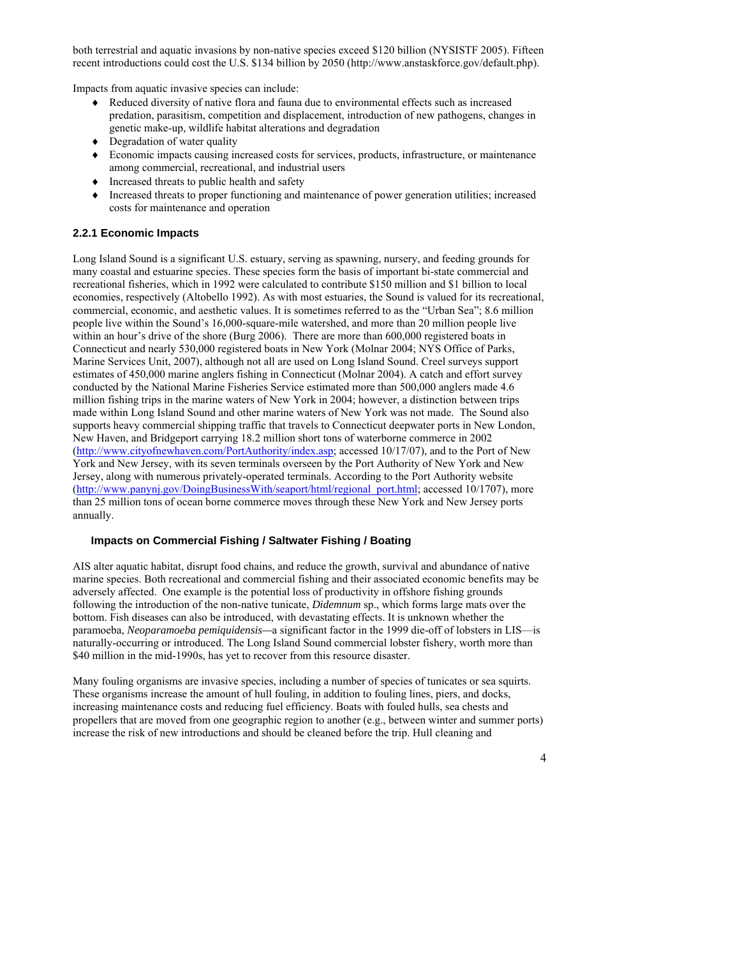both terrestrial and aquatic invasions by non-native species exceed \$120 billion (NYSISTF 2005). Fifteen recent introductions could cost the U.S. \$134 billion by 2050 (http://www.anstaskforce.gov/default.php).

Impacts from aquatic invasive species can include:

- ♦ Reduced diversity of native flora and fauna due to environmental effects such as increased predation, parasitism, competition and displacement, introduction of new pathogens, changes in genetic make-up, wildlife habitat alterations and degradation
- ♦ Degradation of water quality
- ♦ Economic impacts causing increased costs for services, products, infrastructure, or maintenance among commercial, recreational, and industrial users
- ♦ Increased threats to public health and safety
- ♦ Increased threats to proper functioning and maintenance of power generation utilities; increased costs for maintenance and operation

## **2.2.1 Economic Impacts**

Long Island Sound is a significant U.S. estuary, serving as spawning, nursery, and feeding grounds for many coastal and estuarine species. These species form the basis of important bi-state commercial and recreational fisheries, which in 1992 were calculated to contribute \$150 million and \$1 billion to local economies, respectively (Altobello 1992). As with most estuaries, the Sound is valued for its recreational, commercial, economic, and aesthetic values. It is sometimes referred to as the "Urban Sea"; 8.6 million people live within the Sound's 16,000-square-mile watershed, and more than 20 million people live within an hour's drive of the shore (Burg 2006). There are more than 600,000 registered boats in Connecticut and nearly 530,000 registered boats in New York (Molnar 2004; NYS Office of Parks, Marine Services Unit, 2007), although not all are used on Long Island Sound. Creel surveys support estimates of 450,000 marine anglers fishing in Connecticut (Molnar 2004). A catch and effort survey conducted by the National Marine Fisheries Service estimated more than 500,000 anglers made 4.6 million fishing trips in the marine waters of New York in 2004; however, a distinction between trips made within Long Island Sound and other marine waters of New York was not made. The Sound also supports heavy commercial shipping traffic that travels to Connecticut deepwater ports in New London, New Haven, and Bridgeport carrying 18.2 million short tons of waterborne commerce in 2002 [\(http://www.cityofnewhaven.com/PortAuthority/index.asp](http://www.cityofnewhaven.com/PortAuthority/index.asp); accessed 10/17/07), and to the Port of New York and New Jersey, with its seven terminals overseen by the Port Authority of New York and New Jersey, along with numerous privately-operated terminals. According to the Port Authority website [\(http://www.panynj.gov/DoingBusinessWith/seaport/html/regional\\_port.html;](http://www.panynj.gov/DoingBusinessWith/seaport/html/regional_port.html) accessed 10/1707), more than 25 million tons of ocean borne commerce moves through these New York and New Jersey ports annually.

### **Impacts on Commercial Fishing / Saltwater Fishing / Boating**

AIS alter aquatic habitat, disrupt food chains, and reduce the growth, survival and abundance of native marine species. Both recreational and commercial fishing and their associated economic benefits may be adversely affected. One example is the potential loss of productivity in offshore fishing grounds following the introduction of the non-native tunicate, *Didemnum* sp., which forms large mats over the bottom. Fish diseases can also be introduced, with devastating effects. It is unknown whether the paramoeba, *Neoparamoeba pemiquidensis—*a significant factor in the 1999 die-off of lobsters in LIS—is naturally-occurring or introduced. The Long Island Sound commercial lobster fishery, worth more than \$40 million in the mid-1990s, has yet to recover from this resource disaster.

Many fouling organisms are invasive species, including a number of species of tunicates or sea squirts. These organisms increase the amount of hull fouling, in addition to fouling lines, piers, and docks, increasing maintenance costs and reducing fuel efficiency. Boats with fouled hulls, sea chests and propellers that are moved from one geographic region to another (e.g., between winter and summer ports) increase the risk of new introductions and should be cleaned before the trip. Hull cleaning and

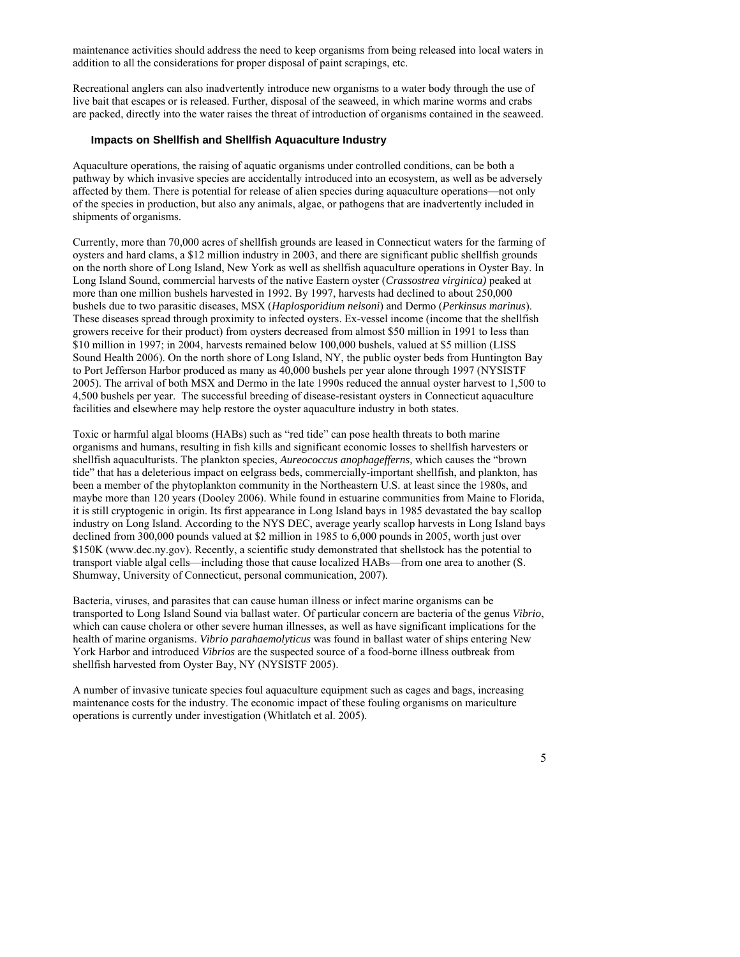maintenance activities should address the need to keep organisms from being released into local waters in addition to all the considerations for proper disposal of paint scrapings, etc.

Recreational anglers can also inadvertently introduce new organisms to a water body through the use of live bait that escapes or is released. Further, disposal of the seaweed, in which marine worms and crabs are packed, directly into the water raises the threat of introduction of organisms contained in the seaweed.

#### **Impacts on Shellfish and Shellfish Aquaculture Industry**

Aquaculture operations, the raising of aquatic organisms under controlled conditions, can be both a pathway by which invasive species are accidentally introduced into an ecosystem, as well as be adversely affected by them. There is potential for release of alien species during aquaculture operations—not only of the species in production, but also any animals, algae, or pathogens that are inadvertently included in shipments of organisms.

Currently, more than 70,000 acres of shellfish grounds are leased in Connecticut waters for the farming of oysters and hard clams, a \$12 million industry in 2003, and there are significant public shellfish grounds on the north shore of Long Island, New York as well as shellfish aquaculture operations in Oyster Bay. In Long Island Sound, commercial harvests of the native Eastern oyster (*Crassostrea virginica)* peaked at more than one million bushels harvested in 1992. By 1997, harvests had declined to about 250,000 bushels due to two parasitic diseases, MSX (*Haplosporidium nelsoni*) and Dermo (*Perkinsus marinus*). These diseases spread through proximity to infected oysters. Ex-vessel income (income that the shellfish growers receive for their product) from oysters decreased from almost \$50 million in 1991 to less than \$10 million in 1997; in 2004, harvests remained below 100,000 bushels, valued at \$5 million (LISS Sound Health 2006). On the north shore of Long Island, NY, the public oyster beds from Huntington Bay to Port Jefferson Harbor produced as many as 40,000 bushels per year alone through 1997 (NYSISTF 2005). The arrival of both MSX and Dermo in the late 1990s reduced the annual oyster harvest to 1,500 to 4,500 bushels per year. The successful breeding of disease-resistant oysters in Connecticut aquaculture facilities and elsewhere may help restore the oyster aquaculture industry in both states.

Toxic or harmful algal blooms (HABs) such as "red tide" can pose health threats to both marine organisms and humans, resulting in fish kills and significant economic losses to shellfish harvesters or shellfish aquaculturists. The plankton species, *Aureococcus anophagefferns,* which causes the "brown tide" that has a deleterious impact on eelgrass beds, commercially-important shellfish, and plankton, has been a member of the phytoplankton community in the Northeastern U.S. at least since the 1980s, and maybe more than 120 years (Dooley 2006). While found in estuarine communities from Maine to Florida, it is still cryptogenic in origin. Its first appearance in Long Island bays in 1985 devastated the bay scallop industry on Long Island. According to the NYS DEC, average yearly scallop harvests in Long Island bays declined from 300,000 pounds valued at \$2 million in 1985 to 6,000 pounds in 2005, worth just over \$150K (www.dec.ny.gov). Recently, a scientific study demonstrated that shellstock has the potential to transport viable algal cells—including those that cause localized HABs—from one area to another (S. Shumway, University of Connecticut, personal communication, 2007).

Bacteria, viruses, and parasites that can cause human illness or infect marine organisms can be transported to Long Island Sound via ballast water. Of particular concern are bacteria of the genus *Vibrio*, which can cause cholera or other severe human illnesses, as well as have significant implications for the health of marine organisms. *Vibrio parahaemolyticus* was found in ballast water of ships entering New York Harbor and introduced *Vibrios* are the suspected source of a food-borne illness outbreak from shellfish harvested from Oyster Bay, NY (NYSISTF 2005).

A number of invasive tunicate species foul aquaculture equipment such as cages and bags, increasing maintenance costs for the industry. The economic impact of these fouling organisms on mariculture operations is currently under investigation (Whitlatch et al. 2005).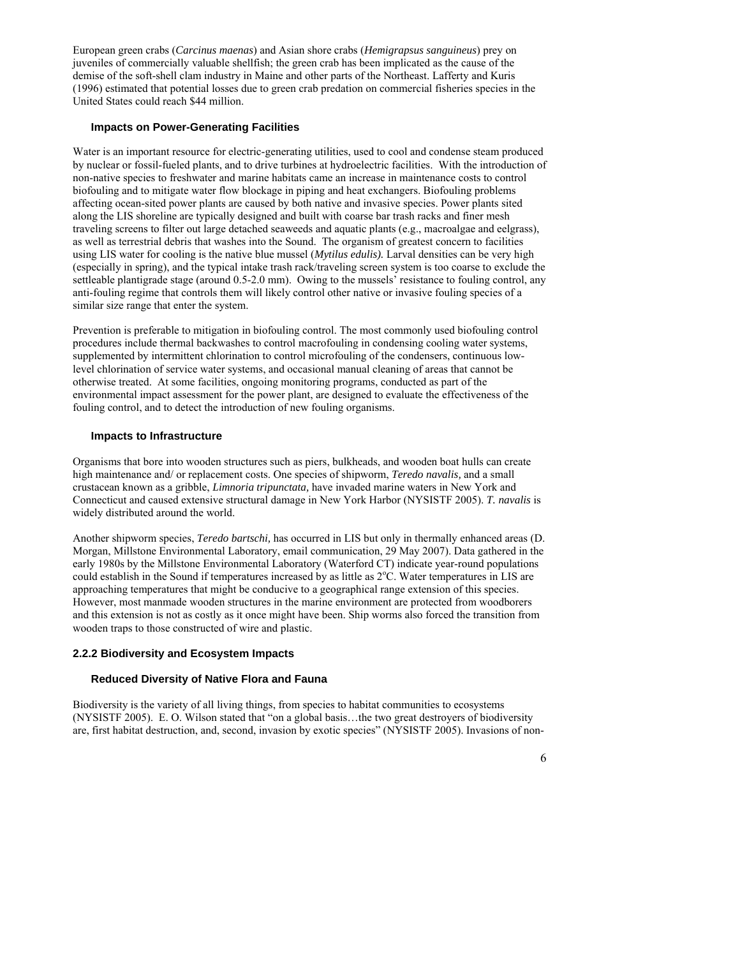European green crabs (*Carcinus maenas*) and Asian shore crabs (*Hemigrapsus sanguineus*) prey on juveniles of commercially valuable shellfish; the green crab has been implicated as the cause of the demise of the soft-shell clam industry in Maine and other parts of the Northeast. Lafferty and Kuris (1996) estimated that potential losses due to green crab predation on commercial fisheries species in the United States could reach \$44 million.

#### **Impacts on Power-Generating Facilities**

Water is an important resource for electric-generating utilities, used to cool and condense steam produced by nuclear or fossil-fueled plants, and to drive turbines at hydroelectric facilities. With the introduction of non-native species to freshwater and marine habitats came an increase in maintenance costs to control biofouling and to mitigate water flow blockage in piping and heat exchangers. Biofouling problems affecting ocean-sited power plants are caused by both native and invasive species. Power plants sited along the LIS shoreline are typically designed and built with coarse bar trash racks and finer mesh traveling screens to filter out large detached seaweeds and aquatic plants (e.g., macroalgae and eelgrass), as well as terrestrial debris that washes into the Sound. The organism of greatest concern to facilities using LIS water for cooling is the native blue mussel (*Mytilus edulis).* Larval densities can be very high (especially in spring), and the typical intake trash rack/traveling screen system is too coarse to exclude the settleable plantigrade stage (around 0.5-2.0 mm). Owing to the mussels' resistance to fouling control, any anti-fouling regime that controls them will likely control other native or invasive fouling species of a similar size range that enter the system.

Prevention is preferable to mitigation in biofouling control. The most commonly used biofouling control procedures include thermal backwashes to control macrofouling in condensing cooling water systems, supplemented by intermittent chlorination to control microfouling of the condensers, continuous lowlevel chlorination of service water systems, and occasional manual cleaning of areas that cannot be otherwise treated. At some facilities, ongoing monitoring programs, conducted as part of the environmental impact assessment for the power plant, are designed to evaluate the effectiveness of the fouling control, and to detect the introduction of new fouling organisms.

#### **Impacts to Infrastructure**

Organisms that bore into wooden structures such as piers, bulkheads, and wooden boat hulls can create high maintenance and/ or replacement costs. One species of shipworm, *Teredo navalis,* and a small crustacean known as a gribble, *Limnoria tripunctata,* have invaded marine waters in New York and Connecticut and caused extensive structural damage in New York Harbor (NYSISTF 2005). *T. navalis* is widely distributed around the world.

Another shipworm species, *Teredo bartschi,* has occurred in LIS but only in thermally enhanced areas (D. Morgan, Millstone Environmental Laboratory, email communication, 29 May 2007). Data gathered in the early 1980s by the Millstone Environmental Laboratory (Waterford CT) indicate year-round populations could establish in the Sound if temperatures increased by as little as  $2^{\circ}$ C. Water temperatures in LIS are approaching temperatures that might be conducive to a geographical range extension of this species. However, most manmade wooden structures in the marine environment are protected from woodborers and this extension is not as costly as it once might have been. Ship worms also forced the transition from wooden traps to those constructed of wire and plastic.

#### **2.2.2 Biodiversity and Ecosystem Impacts**

#### **Reduced Diversity of Native Flora and Fauna**

Biodiversity is the variety of all living things, from species to habitat communities to ecosystems (NYSISTF 2005). E. O. Wilson stated that "on a global basis…the two great destroyers of biodiversity are, first habitat destruction, and, second, invasion by exotic species" (NYSISTF 2005). Invasions of non-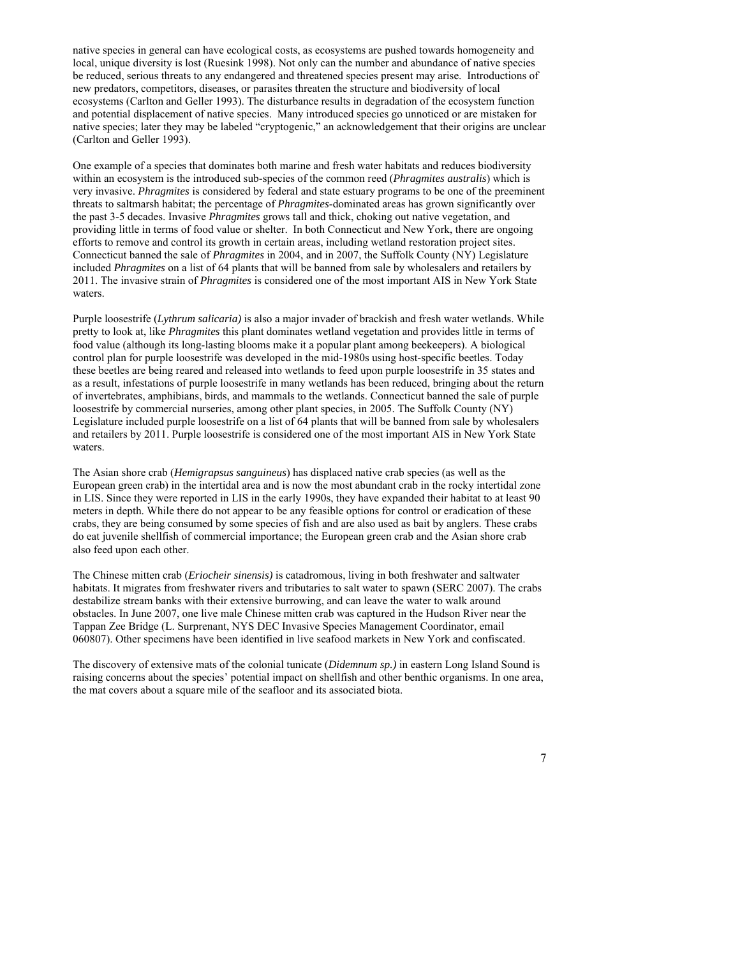native species in general can have ecological costs, as ecosystems are pushed towards homogeneity and local, unique diversity is lost (Ruesink 1998). Not only can the number and abundance of native species be reduced, serious threats to any endangered and threatened species present may arise. Introductions of new predators, competitors, diseases, or parasites threaten the structure and biodiversity of local ecosystems (Carlton and Geller 1993). The disturbance results in degradation of the ecosystem function and potential displacement of native species. Many introduced species go unnoticed or are mistaken for native species; later they may be labeled "cryptogenic," an acknowledgement that their origins are unclear (Carlton and Geller 1993).

One example of a species that dominates both marine and fresh water habitats and reduces biodiversity within an ecosystem is the introduced sub-species of the common reed (*Phragmites australis*) which is very invasive. *Phragmites* is considered by federal and state estuary programs to be one of the preeminent threats to saltmarsh habitat; the percentage of *Phragmites*-dominated areas has grown significantly over the past 3-5 decades. Invasive *Phragmites* grows tall and thick, choking out native vegetation, and providing little in terms of food value or shelter. In both Connecticut and New York, there are ongoing efforts to remove and control its growth in certain areas, including wetland restoration project sites. Connecticut banned the sale of *Phragmites* in 2004, and in 2007, the Suffolk County (NY) Legislature included *Phragmites* on a list of 64 plants that will be banned from sale by wholesalers and retailers by 2011. The invasive strain of *Phragmites* is considered one of the most important AIS in New York State waters.

Purple loosestrife (*Lythrum salicaria)* is also a major invader of brackish and fresh water wetlands. While pretty to look at, like *Phragmites* this plant dominates wetland vegetation and provides little in terms of food value (although its long-lasting blooms make it a popular plant among beekeepers). A biological control plan for purple loosestrife was developed in the mid-1980s using host-specific beetles. Today these beetles are being reared and released into wetlands to feed upon purple loosestrife in 35 states and as a result, infestations of purple loosestrife in many wetlands has been reduced, bringing about the return of invertebrates, amphibians, birds, and mammals to the wetlands. Connecticut banned the sale of purple loosestrife by commercial nurseries, among other plant species, in 2005. The Suffolk County (NY) Legislature included purple loosestrife on a list of 64 plants that will be banned from sale by wholesalers and retailers by 2011. Purple loosestrife is considered one of the most important AIS in New York State waters.

The Asian shore crab (*Hemigrapsus sanguineus*) has displaced native crab species (as well as the European green crab) in the intertidal area and is now the most abundant crab in the rocky intertidal zone in LIS. Since they were reported in LIS in the early 1990s, they have expanded their habitat to at least 90 meters in depth. While there do not appear to be any feasible options for control or eradication of these crabs, they are being consumed by some species of fish and are also used as bait by anglers. These crabs do eat juvenile shellfish of commercial importance; the European green crab and the Asian shore crab also feed upon each other.

The Chinese mitten crab (*Eriocheir sinensis)* is catadromous, living in both freshwater and saltwater habitats. It migrates from freshwater rivers and tributaries to salt water to spawn (SERC 2007). The crabs destabilize stream banks with their extensive burrowing, and can leave the water to walk around obstacles. In June 2007, one live male Chinese mitten crab was captured in the Hudson River near the Tappan Zee Bridge (L. Surprenant, NYS DEC Invasive Species Management Coordinator, email 060807). Other specimens have been identified in live seafood markets in New York and confiscated.

The discovery of extensive mats of the colonial tunicate (*Didemnum sp.)* in eastern Long Island Sound is raising concerns about the species' potential impact on shellfish and other benthic organisms. In one area, the mat covers about a square mile of the seafloor and its associated biota.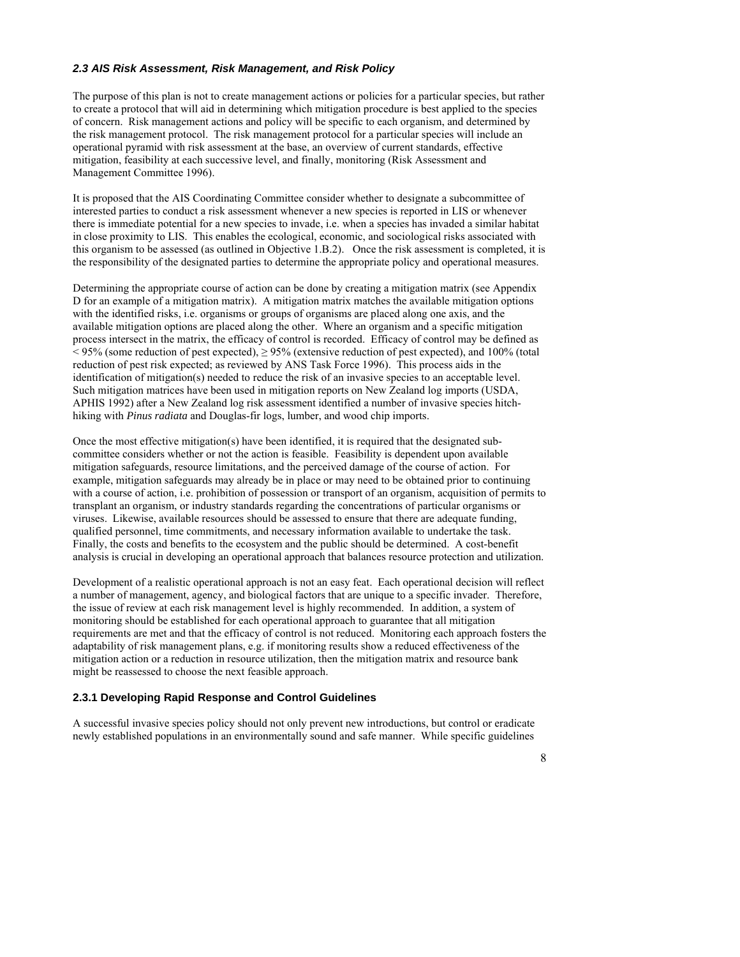#### *2.3 AIS Risk Assessment, Risk Management, and Risk Policy*

The purpose of this plan is not to create management actions or policies for a particular species, but rather to create a protocol that will aid in determining which mitigation procedure is best applied to the species of concern. Risk management actions and policy will be specific to each organism, and determined by the risk management protocol. The risk management protocol for a particular species will include an operational pyramid with risk assessment at the base, an overview of current standards, effective mitigation, feasibility at each successive level, and finally, monitoring (Risk Assessment and Management Committee 1996).

It is proposed that the AIS Coordinating Committee consider whether to designate a subcommittee of interested parties to conduct a risk assessment whenever a new species is reported in LIS or whenever there is immediate potential for a new species to invade, i.e. when a species has invaded a similar habitat in close proximity to LIS. This enables the ecological, economic, and sociological risks associated with this organism to be assessed (as outlined in Objective 1.B.2). Once the risk assessment is completed, it is the responsibility of the designated parties to determine the appropriate policy and operational measures.

Determining the appropriate course of action can be done by creating a mitigation matrix (see Appendix D for an example of a mitigation matrix). A mitigation matrix matches the available mitigation options with the identified risks, i.e. organisms or groups of organisms are placed along one axis, and the available mitigation options are placed along the other. Where an organism and a specific mitigation process intersect in the matrix, the efficacy of control is recorded. Efficacy of control may be defined as < 95% (some reduction of pest expected), ≥ 95% (extensive reduction of pest expected), and 100% (total reduction of pest risk expected; as reviewed by ANS Task Force 1996). This process aids in the identification of mitigation(s) needed to reduce the risk of an invasive species to an acceptable level. Such mitigation matrices have been used in mitigation reports on New Zealand log imports (USDA, APHIS 1992) after a New Zealand log risk assessment identified a number of invasive species hitchhiking with *Pinus radiata* and Douglas-fir logs, lumber, and wood chip imports.

Once the most effective mitigation(s) have been identified, it is required that the designated subcommittee considers whether or not the action is feasible. Feasibility is dependent upon available mitigation safeguards, resource limitations, and the perceived damage of the course of action. For example, mitigation safeguards may already be in place or may need to be obtained prior to continuing with a course of action, i.e. prohibition of possession or transport of an organism, acquisition of permits to transplant an organism, or industry standards regarding the concentrations of particular organisms or viruses. Likewise, available resources should be assessed to ensure that there are adequate funding, qualified personnel, time commitments, and necessary information available to undertake the task. Finally, the costs and benefits to the ecosystem and the public should be determined. A cost-benefit analysis is crucial in developing an operational approach that balances resource protection and utilization.

Development of a realistic operational approach is not an easy feat. Each operational decision will reflect a number of management, agency, and biological factors that are unique to a specific invader. Therefore, the issue of review at each risk management level is highly recommended. In addition, a system of monitoring should be established for each operational approach to guarantee that all mitigation requirements are met and that the efficacy of control is not reduced. Monitoring each approach fosters the adaptability of risk management plans, e.g. if monitoring results show a reduced effectiveness of the mitigation action or a reduction in resource utilization, then the mitigation matrix and resource bank might be reassessed to choose the next feasible approach.

### **2.3.1 Developing Rapid Response and Control Guidelines**

A successful invasive species policy should not only prevent new introductions, but control or eradicate newly established populations in an environmentally sound and safe manner. While specific guidelines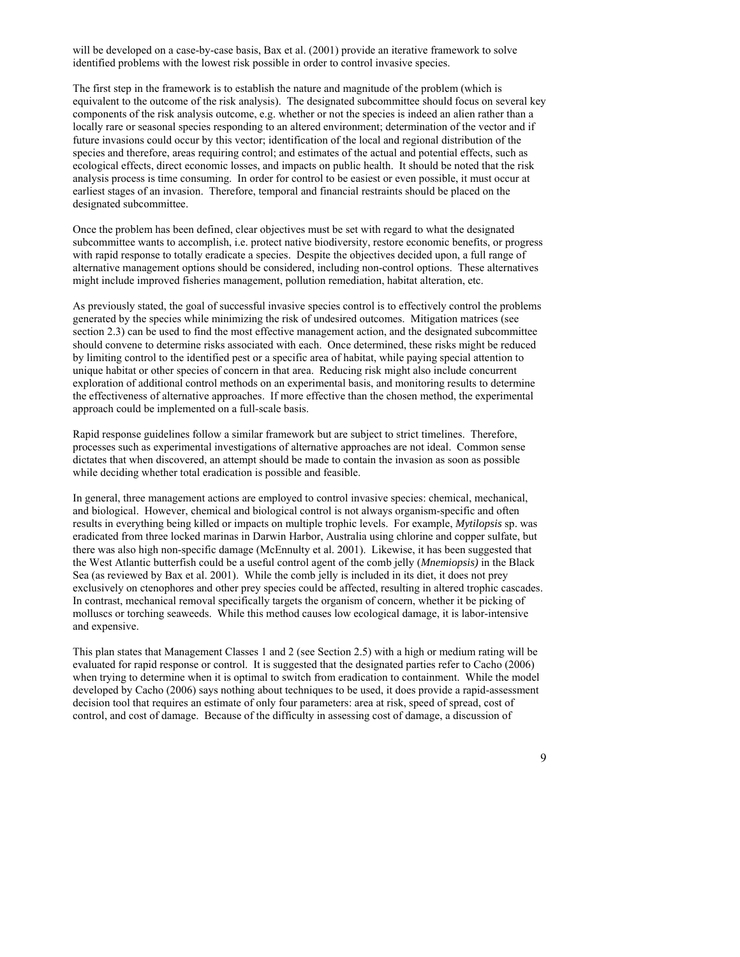will be developed on a case-by-case basis, Bax et al. (2001) provide an iterative framework to solve identified problems with the lowest risk possible in order to control invasive species.

The first step in the framework is to establish the nature and magnitude of the problem (which is equivalent to the outcome of the risk analysis). The designated subcommittee should focus on several key components of the risk analysis outcome, e.g. whether or not the species is indeed an alien rather than a locally rare or seasonal species responding to an altered environment; determination of the vector and if future invasions could occur by this vector; identification of the local and regional distribution of the species and therefore, areas requiring control; and estimates of the actual and potential effects, such as ecological effects, direct economic losses, and impacts on public health. It should be noted that the risk analysis process is time consuming. In order for control to be easiest or even possible, it must occur at earliest stages of an invasion. Therefore, temporal and financial restraints should be placed on the designated subcommittee.

Once the problem has been defined, clear objectives must be set with regard to what the designated subcommittee wants to accomplish, i.e. protect native biodiversity, restore economic benefits, or progress with rapid response to totally eradicate a species. Despite the objectives decided upon, a full range of alternative management options should be considered, including non-control options. These alternatives might include improved fisheries management, pollution remediation, habitat alteration, etc.

As previously stated, the goal of successful invasive species control is to effectively control the problems generated by the species while minimizing the risk of undesired outcomes. Mitigation matrices (see section 2.3) can be used to find the most effective management action, and the designated subcommittee should convene to determine risks associated with each. Once determined, these risks might be reduced by limiting control to the identified pest or a specific area of habitat, while paying special attention to unique habitat or other species of concern in that area. Reducing risk might also include concurrent exploration of additional control methods on an experimental basis, and monitoring results to determine the effectiveness of alternative approaches. If more effective than the chosen method, the experimental approach could be implemented on a full-scale basis.

Rapid response guidelines follow a similar framework but are subject to strict timelines. Therefore, processes such as experimental investigations of alternative approaches are not ideal. Common sense dictates that when discovered, an attempt should be made to contain the invasion as soon as possible while deciding whether total eradication is possible and feasible.

In general, three management actions are employed to control invasive species: chemical, mechanical, and biological. However, chemical and biological control is not always organism-specific and often results in everything being killed or impacts on multiple trophic levels. For example, *Mytilopsis* sp. was eradicated from three locked marinas in Darwin Harbor, Australia using chlorine and copper sulfate, but there was also high non-specific damage (McEnnulty et al. 2001). Likewise, it has been suggested that the West Atlantic butterfish could be a useful control agent of the comb jelly (*Mnemiopsis)* in the Black Sea (as reviewed by Bax et al. 2001). While the comb jelly is included in its diet, it does not prey exclusively on ctenophores and other prey species could be affected, resulting in altered trophic cascades. In contrast, mechanical removal specifically targets the organism of concern, whether it be picking of molluscs or torching seaweeds. While this method causes low ecological damage, it is labor-intensive and expensive.

This plan states that Management Classes 1 and 2 (see Section 2.5) with a high or medium rating will be evaluated for rapid response or control. It is suggested that the designated parties refer to Cacho (2006) when trying to determine when it is optimal to switch from eradication to containment. While the model developed by Cacho (2006) says nothing about techniques to be used, it does provide a rapid-assessment decision tool that requires an estimate of only four parameters: area at risk, speed of spread, cost of control, and cost of damage. Because of the difficulty in assessing cost of damage, a discussion of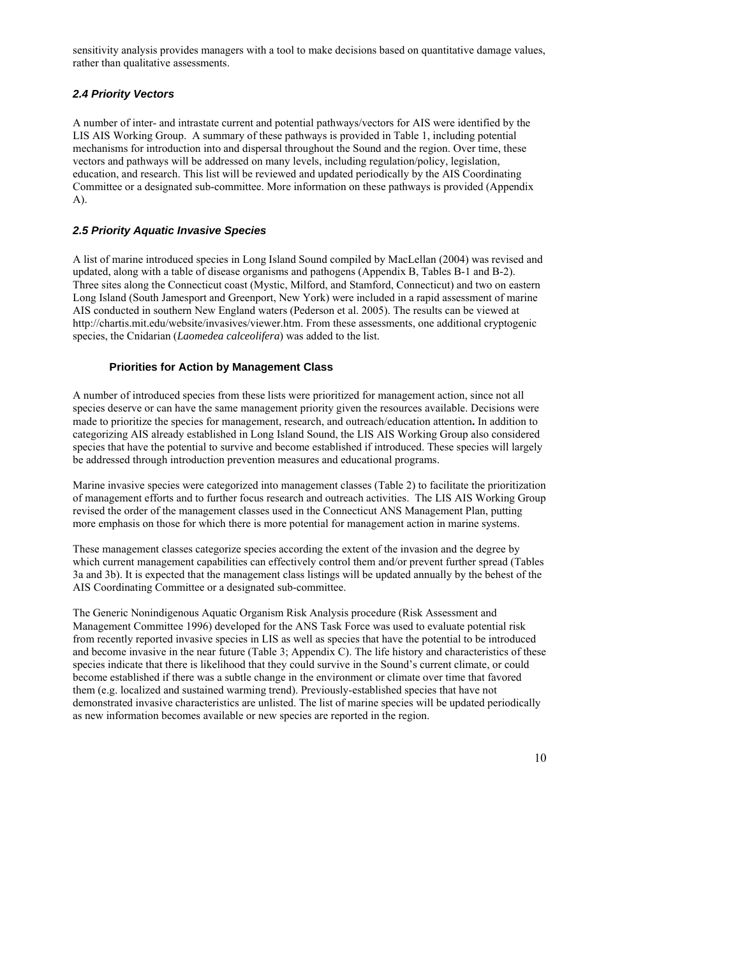sensitivity analysis provides managers with a tool to make decisions based on quantitative damage values, rather than qualitative assessments.

## *2.4 Priority Vectors*

A number of inter- and intrastate current and potential pathways/vectors for AIS were identified by the LIS AIS Working Group. A summary of these pathways is provided in Table 1, including potential mechanisms for introduction into and dispersal throughout the Sound and the region. Over time, these vectors and pathways will be addressed on many levels, including regulation/policy, legislation, education, and research. This list will be reviewed and updated periodically by the AIS Coordinating Committee or a designated sub-committee. More information on these pathways is provided (Appendix A).

## *2.5 Priority Aquatic Invasive Species*

A list of marine introduced species in Long Island Sound compiled by MacLellan (2004) was revised and updated, along with a table of disease organisms and pathogens (Appendix B, Tables B-1 and B-2). Three sites along the Connecticut coast (Mystic, Milford, and Stamford, Connecticut) and two on eastern Long Island (South Jamesport and Greenport, New York) were included in a rapid assessment of marine AIS conducted in southern New England waters (Pederson et al. 2005). The results can be viewed at http://chartis.mit.edu/website/invasives/viewer.htm. From these assessments, one additional cryptogenic species, the Cnidarian (*Laomedea calceolifera*) was added to the list.

## **Priorities for Action by Management Class**

A number of introduced species from these lists were prioritized for management action, since not all species deserve or can have the same management priority given the resources available. Decisions were made to prioritize the species for management, research, and outreach/education attention**.** In addition to categorizing AIS already established in Long Island Sound, the LIS AIS Working Group also considered species that have the potential to survive and become established if introduced. These species will largely be addressed through introduction prevention measures and educational programs.

Marine invasive species were categorized into management classes (Table 2) to facilitate the prioritization of management efforts and to further focus research and outreach activities. The LIS AIS Working Group revised the order of the management classes used in the Connecticut ANS Management Plan, putting more emphasis on those for which there is more potential for management action in marine systems.

These management classes categorize species according the extent of the invasion and the degree by which current management capabilities can effectively control them and/or prevent further spread (Tables 3a and 3b). It is expected that the management class listings will be updated annually by the behest of the AIS Coordinating Committee or a designated sub-committee.

The Generic Nonindigenous Aquatic Organism Risk Analysis procedure (Risk Assessment and Management Committee 1996) developed for the ANS Task Force was used to evaluate potential risk from recently reported invasive species in LIS as well as species that have the potential to be introduced and become invasive in the near future (Table 3; Appendix C). The life history and characteristics of these species indicate that there is likelihood that they could survive in the Sound's current climate, or could become established if there was a subtle change in the environment or climate over time that favored them (e.g. localized and sustained warming trend). Previously-established species that have not demonstrated invasive characteristics are unlisted. The list of marine species will be updated periodically as new information becomes available or new species are reported in the region.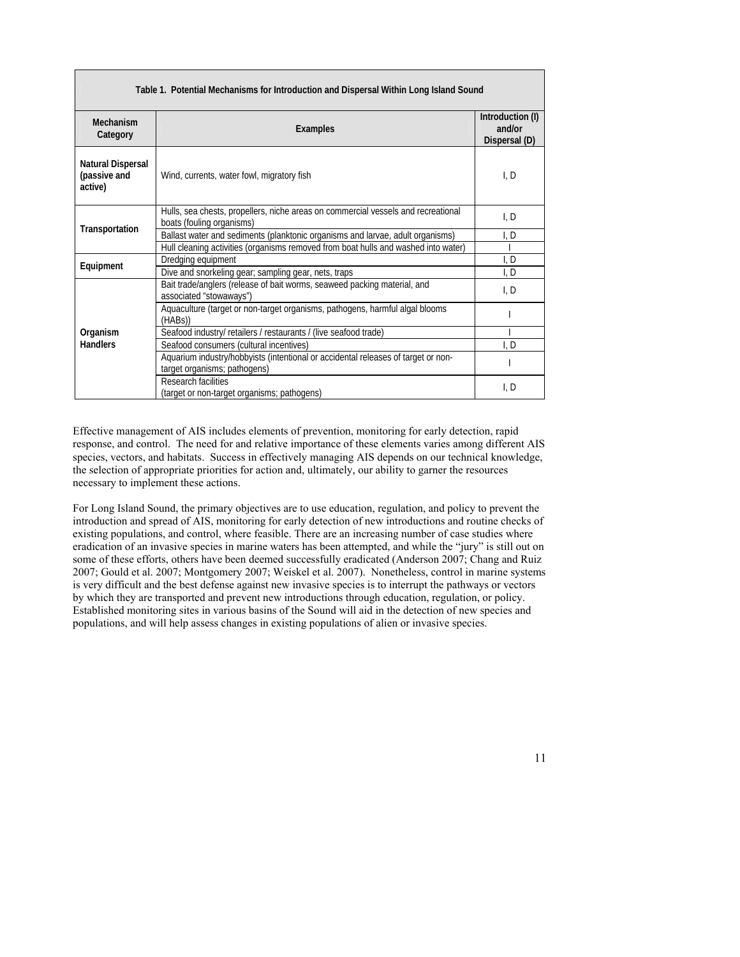| Table 1. Potential Mechanisms for Introduction and Dispersal Within Long Island Sound |                                                                                                                |                                             |  |  |  |  |
|---------------------------------------------------------------------------------------|----------------------------------------------------------------------------------------------------------------|---------------------------------------------|--|--|--|--|
| Mechanism<br>Category                                                                 | Examples                                                                                                       | Introduction (I)<br>and/or<br>Dispersal (D) |  |  |  |  |
| <b>Natural Dispersal</b><br>(passive and<br>active)                                   | Wind, currents, water fowl, migratory fish                                                                     | I, D                                        |  |  |  |  |
|                                                                                       | Hulls, sea chests, propellers, niche areas on commercial vessels and recreational<br>boats (fouling organisms) | I, D                                        |  |  |  |  |
| Transportation                                                                        | Ballast water and sediments (planktonic organisms and larvae, adult organisms)                                 | l. D                                        |  |  |  |  |
|                                                                                       | Hull cleaning activities (organisms removed from boat hulls and washed into water)                             |                                             |  |  |  |  |
| Equipment                                                                             | Dredging equipment                                                                                             | I, D                                        |  |  |  |  |
|                                                                                       | Dive and snorkeling gear; sampling gear, nets, traps                                                           | I, D                                        |  |  |  |  |
|                                                                                       | Bait trade/anglers (release of bait worms, seaweed packing material, and<br>associated "stowaways")            | I, D                                        |  |  |  |  |
|                                                                                       | Aquaculture (target or non-target organisms, pathogens, harmful algal blooms<br>(HABs)                         |                                             |  |  |  |  |
| Organism                                                                              | Seafood industry/ retailers / restaurants / (live seafood trade)                                               |                                             |  |  |  |  |
| <b>Handlers</b>                                                                       | Seafood consumers (cultural incentives)                                                                        | I, D                                        |  |  |  |  |
|                                                                                       | Aquarium industry/hobbyists (intentional or accidental releases of target or non-                              |                                             |  |  |  |  |
|                                                                                       | target organisms; pathogens)                                                                                   |                                             |  |  |  |  |
|                                                                                       | Research facilities                                                                                            | I, D                                        |  |  |  |  |
|                                                                                       | (target or non-target organisms; pathogens)                                                                    |                                             |  |  |  |  |

Effective management of AIS includes elements of prevention, monitoring for early detection, rapid response, and control. The need for and relative importance of these elements varies among different AIS species, vectors, and habitats. Success in effectively managing AIS depends on our technical knowledge, the selection of appropriate priorities for action and, ultimately, our ability to garner the resources necessary to implement these actions.

For Long Island Sound, the primary objectives are to use education, regulation, and policy to prevent the introduction and spread of AIS, monitoring for early detection of new introductions and routine checks of existing populations, and control, where feasible. There are an increasing number of case studies where eradication of an invasive species in marine waters has been attempted, and while the "jury" is still out on some of these efforts, others have been deemed successfully eradicated (Anderson 2007; Chang and Ruiz 2007; Gould et al. 2007; Montgomery 2007; Weiskel et al. 2007). Nonetheless, control in marine systems is very difficult and the best defense against new invasive species is to interrupt the pathways or vectors by which they are transported and prevent new introductions through education, regulation, or policy. Established monitoring sites in various basins of the Sound will aid in the detection of new species and populations, and will help assess changes in existing populations of alien or invasive species.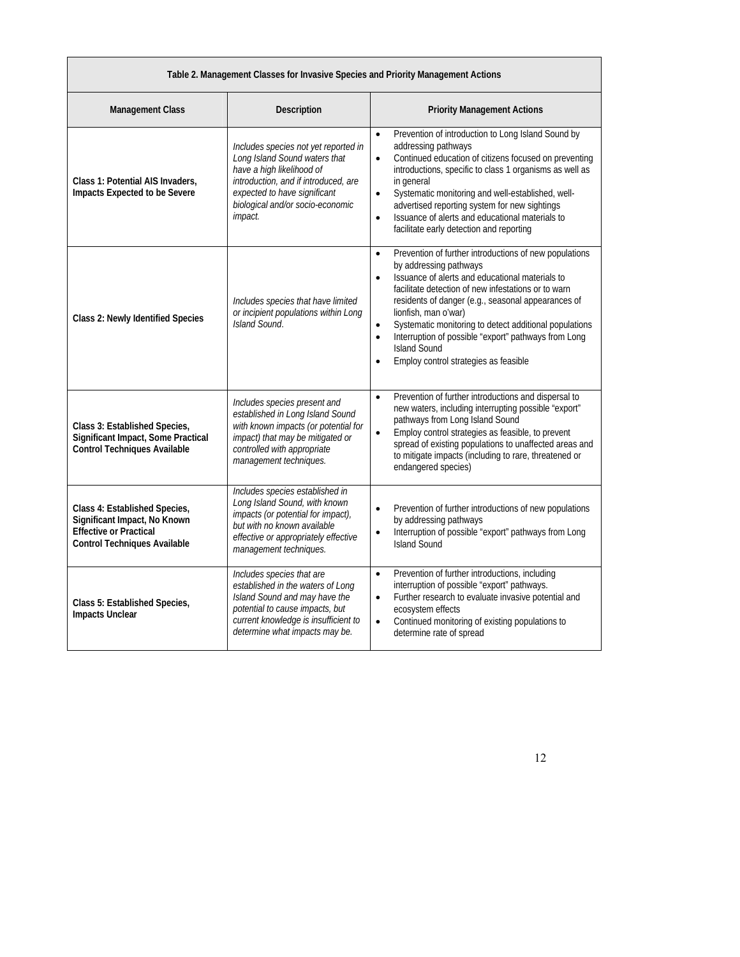|  |  | Table 2. Management Classes for Invasive Species and Priority Management Actions |
|--|--|----------------------------------------------------------------------------------|

| <b>Management Class</b>                                                                                                               | Description                                                                                                                                                                                                               | <b>Priority Management Actions</b>                                                                                                                                                                                                                                                                                                                                                                                                                                                                                          |
|---------------------------------------------------------------------------------------------------------------------------------------|---------------------------------------------------------------------------------------------------------------------------------------------------------------------------------------------------------------------------|-----------------------------------------------------------------------------------------------------------------------------------------------------------------------------------------------------------------------------------------------------------------------------------------------------------------------------------------------------------------------------------------------------------------------------------------------------------------------------------------------------------------------------|
| Class 1: Potential AIS Invaders,<br>Impacts Expected to be Severe                                                                     | Includes species not yet reported in<br>Long Island Sound waters that<br>have a high likelihood of<br>introduction, and if introduced, are<br>expected to have significant<br>biological and/or socio-economic<br>impact. | Prevention of introduction to Long Island Sound by<br>$\bullet$<br>addressing pathways<br>Continued education of citizens focused on preventing<br>$\bullet$<br>introductions, specific to class 1 organisms as well as<br>in general<br>Systematic monitoring and well-established, well-<br>$\bullet$<br>advertised reporting system for new sightings<br>Issuance of alerts and educational materials to<br>$\bullet$<br>facilitate early detection and reporting                                                        |
| Class 2: Newly Identified Species                                                                                                     | Includes species that have limited<br>or incipient populations within Long<br>Island Sound.                                                                                                                               | Prevention of further introductions of new populations<br>$\bullet$<br>by addressing pathways<br>Issuance of alerts and educational materials to<br>$\bullet$<br>facilitate detection of new infestations or to warn<br>residents of danger (e.g., seasonal appearances of<br>lionfish, man o'war)<br>Systematic monitoring to detect additional populations<br>$\bullet$<br>Interruption of possible "export" pathways from Long<br>$\bullet$<br><b>Island Sound</b><br>Employ control strategies as feasible<br>$\bullet$ |
| Class 3: Established Species,<br>Significant Impact, Some Practical<br><b>Control Techniques Available</b>                            | Includes species present and<br>established in Long Island Sound<br>with known impacts (or potential for<br>impact) that may be mitigated or<br>controlled with appropriate<br>management techniques.                     | Prevention of further introductions and dispersal to<br>$\bullet$<br>new waters, including interrupting possible "export"<br>pathways from Long Island Sound<br>Employ control strategies as feasible, to prevent<br>$\bullet$<br>spread of existing populations to unaffected areas and<br>to mitigate impacts (including to rare, threatened or<br>endangered species)                                                                                                                                                    |
| Class 4: Established Species,<br>Significant Impact, No Known<br><b>Effective or Practical</b><br><b>Control Techniques Available</b> | Includes species established in<br>Long Island Sound, with known<br>impacts (or potential for impact),<br>but with no known available<br>effective or appropriately effective<br>management techniques.                   | Prevention of further introductions of new populations<br>$\bullet$<br>by addressing pathways<br>Interruption of possible "export" pathways from Long<br>$\bullet$<br><b>Island Sound</b>                                                                                                                                                                                                                                                                                                                                   |
| Class 5: Established Species,<br>Impacts Unclear                                                                                      | Includes species that are<br>established in the waters of Long<br>Island Sound and may have the<br>potential to cause impacts, but<br>current knowledge is insufficient to<br>determine what impacts may be.              | Prevention of further introductions, including<br>$\bullet$<br>interruption of possible "export" pathways.<br>Further research to evaluate invasive potential and<br>$\bullet$<br>ecosystem effects<br>Continued monitoring of existing populations to<br>$\bullet$<br>determine rate of spread                                                                                                                                                                                                                             |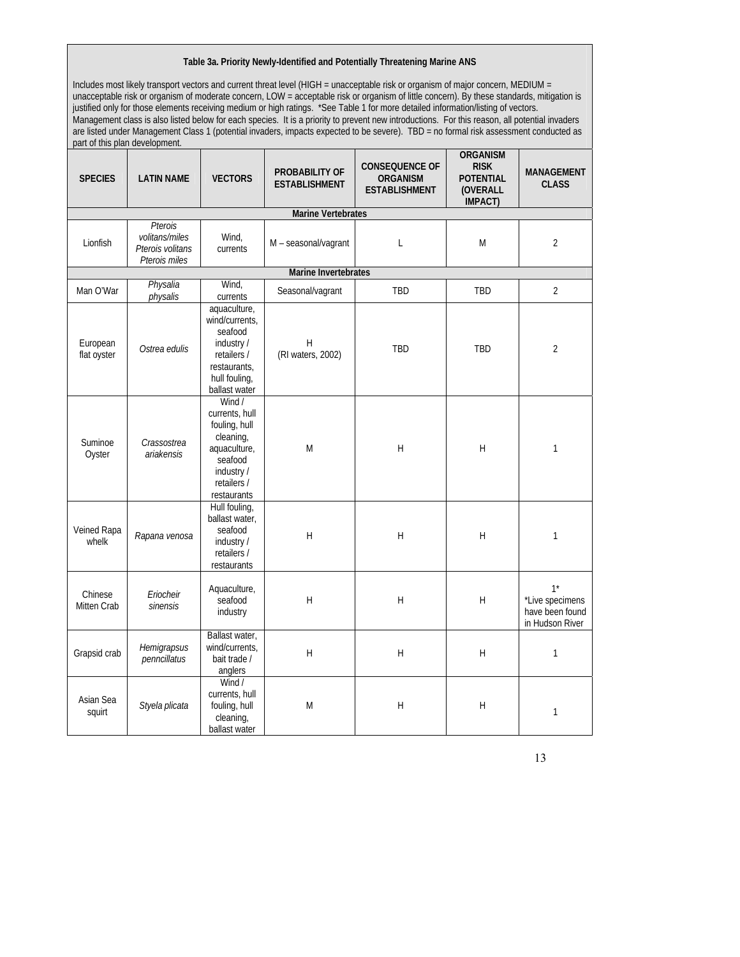#### **Table 3a. Priority Newly-Identified and Potentially Threatening Marine ANS**

Includes most likely transport vectors and current threat level (HIGH = unacceptable risk or organism of major concern, MEDIUM = unacceptable risk or organism of moderate concern, LOW = acceptable risk or organism of little concern). By these standards, mitigation is justified only for those elements receiving medium or high ratings. \*See Table 1 for more detailed information/listing of vectors. Management class is also listed below for each species. It is a priority to prevent new introductions. For this reason, all potential invaders are listed under Management Class 1 (potential invaders, impacts expected to be severe). TBD = no formal risk assessment conducted as part of this plan development.

| <b>SPECIES</b>          | <b>LATIN NAME</b>                                              | <b>VECTORS</b>                                                                                                               | PROBABILITY OF<br><b>ESTABLISHMENT</b> | <b>CONSEQUENCE OF</b><br>ORGANISM<br><b>ESTABLISHMENT</b> | <b>ORGANISM</b><br><b>RISK</b><br><b>POTENTIAL</b><br>(OVERALL<br>IMPACT) | <b>MANAGEMENT</b><br><b>CLASS</b>                              |  |  |
|-------------------------|----------------------------------------------------------------|------------------------------------------------------------------------------------------------------------------------------|----------------------------------------|-----------------------------------------------------------|---------------------------------------------------------------------------|----------------------------------------------------------------|--|--|
|                         |                                                                |                                                                                                                              | <b>Marine Vertebrates</b>              |                                                           |                                                                           |                                                                |  |  |
| Lionfish                | Pterois<br>volitans/miles<br>Pterois volitans<br>Pterois miles | Wind,<br>currents                                                                                                            | M - seasonal/vagrant                   | $\mathsf{L}$                                              | M                                                                         | $\overline{2}$                                                 |  |  |
| Marine Invertebrates    |                                                                |                                                                                                                              |                                        |                                                           |                                                                           |                                                                |  |  |
| Man O'War               | Physalia<br>physalis                                           | Wind,<br>currents                                                                                                            | Seasonal/vagrant                       | TBD                                                       | <b>TBD</b>                                                                | $\overline{2}$                                                 |  |  |
| European<br>flat oyster | Ostrea edulis                                                  | aquaculture,<br>wind/currents,<br>seafood<br>industry /<br>retailers /<br>restaurants.<br>hull fouling,<br>ballast water     | H<br>(RI waters, 2002)                 | TBD                                                       | TBD                                                                       | $\overline{2}$                                                 |  |  |
| Suminoe<br>Oyster       | Crassostrea<br>ariakensis                                      | Wind /<br>currents, hull<br>fouling, hull<br>cleaning,<br>aquaculture,<br>seafood<br>industry/<br>retailers /<br>restaurants | M                                      | $\boldsymbol{\mathsf{H}}$                                 | $\overline{H}$                                                            | $\mathbf{1}$                                                   |  |  |
| Veined Rapa<br>whelk    | Rapana venosa                                                  | Hull fouling,<br>ballast water,<br>seafood<br>industry /<br>retailers /<br>restaurants                                       | $\overline{H}$                         | $\boldsymbol{\mathsf{H}}$                                 | $\mathsf{H}$                                                              | $\mathbf{1}$                                                   |  |  |
| Chinese<br>Mitten Crab  | Eriocheir<br>sinensis                                          | Aquaculture,<br>seafood<br>industry                                                                                          | H                                      | H                                                         | H                                                                         | $1^*$<br>*Live specimens<br>have been found<br>in Hudson River |  |  |
| Grapsid crab            | Hemigrapsus<br>penncillatus                                    | Ballast water,<br>wind/currents,<br>bait trade /<br>anglers                                                                  | H                                      | H                                                         | H                                                                         | $\mathbf{1}$                                                   |  |  |
| Asian Sea<br>squirt     | Styela plicata                                                 | Wind /<br>currents, hull<br>fouling, hull<br>cleaning,<br>ballast water                                                      | M                                      | H                                                         | H                                                                         | $\mathbf{1}$                                                   |  |  |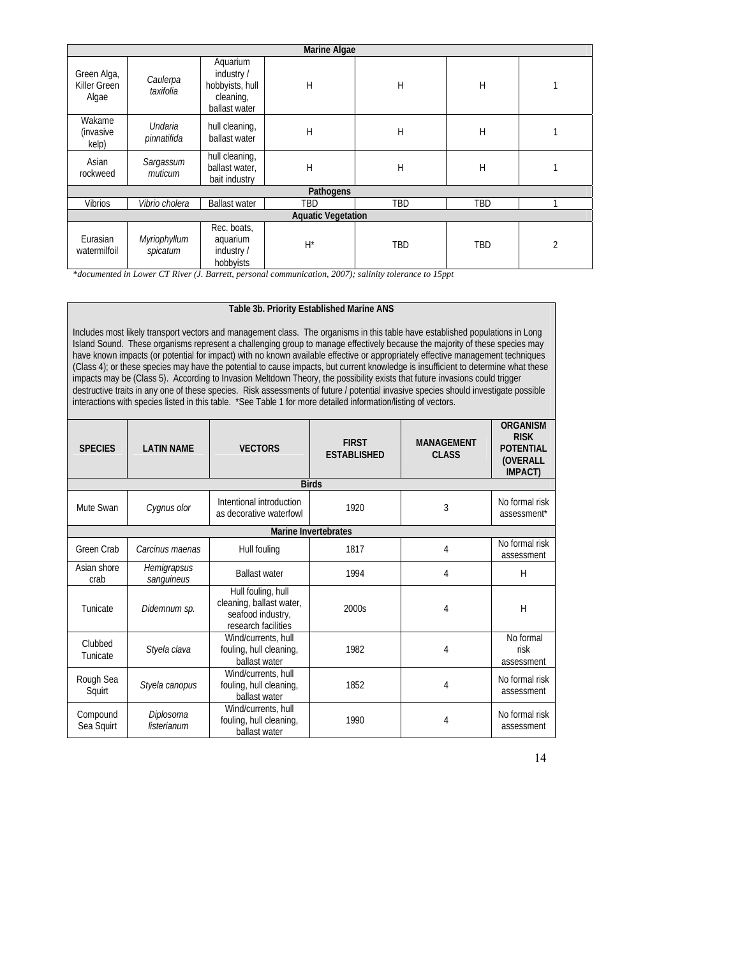| <b>Marine Algae</b>                  |                          |                                                                        |       |     |     |                |  |
|--------------------------------------|--------------------------|------------------------------------------------------------------------|-------|-----|-----|----------------|--|
| Green Alga,<br>Killer Green<br>Algae | Caulerpa<br>taxifolia    | Aquarium<br>industry/<br>hobbyists, hull<br>cleaning,<br>ballast water | Н     | H   | H   |                |  |
| Wakame<br><i>(invasive</i><br>kelp)  | Undaria<br>pinnatifida   | hull cleaning,<br>ballast water                                        | Н     | Н   | Н   |                |  |
| Asian<br>rockweed                    | Sargassum<br>muticum     | hull cleaning,<br>ballast water,<br>bait industry                      | Н     | Н   | Н   |                |  |
| Pathogens                            |                          |                                                                        |       |     |     |                |  |
| <b>Vibrios</b>                       | Vibrio cholera           | <b>Ballast water</b>                                                   | TBD   | TBD | TBD |                |  |
| <b>Aquatic Vegetation</b>            |                          |                                                                        |       |     |     |                |  |
| Eurasian<br>watermilfoil             | Myriophyllum<br>spicatum | Rec. boats,<br>aquarium<br>industry /<br>hobbyists                     | $H^*$ | TBD | TBD | $\overline{2}$ |  |

*\*documented in Lower CT River (J. Barrett, personal communication, 2007); salinity tolerance to 15ppt* 

#### **Table 3b. Priority Established Marine ANS**

Includes most likely transport vectors and management class. The organisms in this table have established populations in Long Island Sound. These organisms represent a challenging group to manage effectively because the majority of these species may have known impacts (or potential for impact) with no known available effective or appropriately effective management techniques (Class 4); or these species may have the potential to cause impacts, but current knowledge is insufficient to determine what these impacts may be (Class 5). According to Invasion Meltdown Theory, the possibility exists that future invasions could trigger destructive traits in any one of these species. Risk assessments of future / potential invasive species should investigate possible interactions with species listed in this table. \*See Table 1 for more detailed information/listing of vectors.

| <b>SPECIES</b>         | <b>LATIN NAME</b>         | <b>VECTORS</b>                                                                             | <b>FIRST</b><br><b>ESTABLISHED</b> | <b>MANAGEMENT</b><br><b>CLASS</b> | <b>ORGANISM</b><br><b>RISK</b><br><b>POTENTIAL</b><br>(OVERALL<br><b>IMPACT</b> ) |  |  |  |
|------------------------|---------------------------|--------------------------------------------------------------------------------------------|------------------------------------|-----------------------------------|-----------------------------------------------------------------------------------|--|--|--|
| <b>Birds</b>           |                           |                                                                                            |                                    |                                   |                                                                                   |  |  |  |
| Mute Swan              | Cygnus olor               | Intentional introduction<br>as decorative waterfowl                                        | 1920                               | 3                                 | No formal risk<br>assessment*                                                     |  |  |  |
|                        |                           |                                                                                            | Marine Invertebrates               |                                   |                                                                                   |  |  |  |
| Green Crab             | Carcinus maenas           | Hull fouling                                                                               | 1817                               | 4                                 | No formal risk<br>assessment                                                      |  |  |  |
| Asian shore<br>crab    | Hemigrapsus<br>sanguineus | <b>Ballast water</b>                                                                       | 1994                               | 4                                 | H                                                                                 |  |  |  |
| Tunicate               | Didemnum sp.              | Hull fouling, hull<br>cleaning, ballast water,<br>seafood industry,<br>research facilities | 2000s                              | 4                                 | H                                                                                 |  |  |  |
| Clubbed<br>Tunicate    | Styela clava              | Wind/currents, hull<br>fouling, hull cleaning,<br>ballast water                            | 1982                               | 4                                 | No formal<br>risk<br>assessment                                                   |  |  |  |
| Rough Sea<br>Squirt    | Styela canopus            | Wind/currents, hull<br>fouling, hull cleaning,<br>ballast water                            | 1852                               | 4                                 | No formal risk<br>assessment                                                      |  |  |  |
| Compound<br>Sea Squirt | Diplosoma<br>listerianum  | Wind/currents, hull<br>fouling, hull cleaning,<br>ballast water                            | 1990                               | 4                                 | No formal risk<br>assessment                                                      |  |  |  |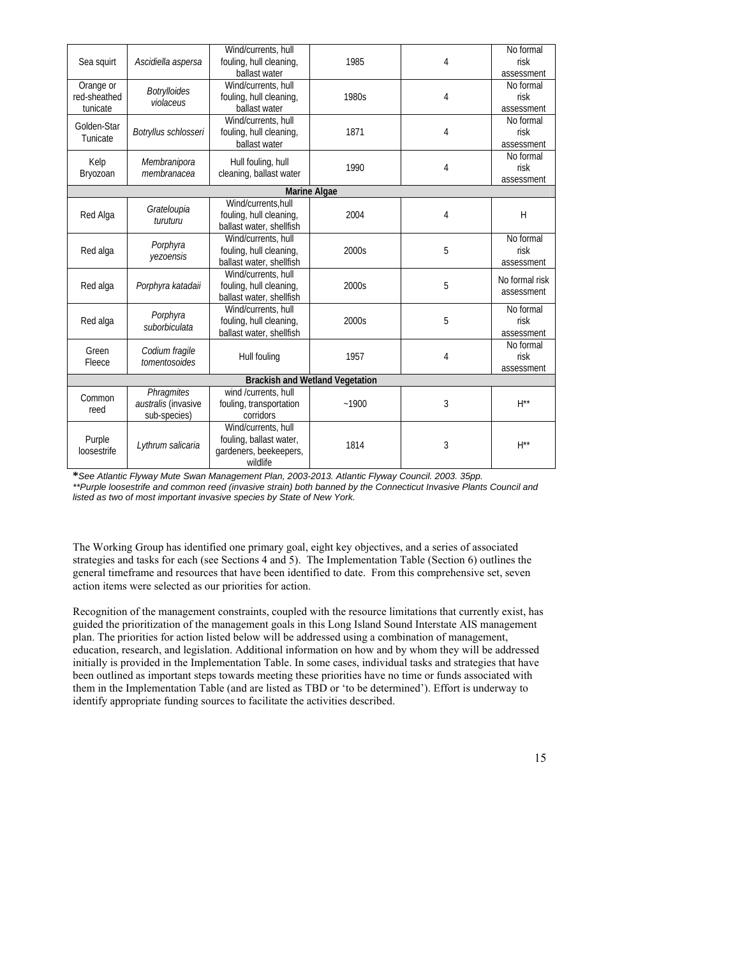| Sea squirt   |                                  | Wind/currents, hull      | 1985                                   |   | No formal               |           |
|--------------|----------------------------------|--------------------------|----------------------------------------|---|-------------------------|-----------|
|              | Ascidiella aspersa               | fouling, hull cleaning,  |                                        | 4 | risk                    |           |
|              |                                  | ballast water            |                                        |   | assessment              |           |
| Orange or    |                                  | Wind/currents, hull      |                                        |   | No formal               |           |
| red-sheathed | <b>Botrylloides</b><br>violaceus | fouling, hull cleaning,  | 1980s                                  | 4 | risk                    |           |
| tunicate     |                                  | ballast water            |                                        |   | assessment              |           |
| Golden-Star  |                                  | Wind/currents, hull      | 1871                                   |   |                         | No formal |
| Tunicate     | Botryllus schlosseri             | fouling, hull cleaning,  |                                        | 4 | risk                    |           |
|              |                                  | ballast water            |                                        |   | assessment              |           |
| Kelp         | Membranipora                     | Hull fouling, hull       |                                        |   | No formal               |           |
| Bryozoan     | membranacea                      | cleaning, ballast water  | 1990                                   | 4 | risk                    |           |
|              |                                  |                          |                                        |   | assessment              |           |
|              |                                  |                          | <b>Marine Algae</b>                    |   |                         |           |
|              | Grateloupia                      | Wind/currents.hull       |                                        |   |                         |           |
| Red Alga     | turuturu                         | fouling, hull cleaning,  | 2004                                   | 4 | H                       |           |
|              |                                  | ballast water, shellfish |                                        |   |                         |           |
|              | Porphyra                         | Wind/currents, hull      |                                        |   | No formal               |           |
| Red alga     | yezoensis                        | fouling, hull cleaning,  | 2000s                                  | 5 | risk                    |           |
|              |                                  | ballast water, shellfish |                                        |   | assessment              |           |
|              | Porphyra katadaii                | Wind/currents, hull      | 2000s                                  | 5 | No formal risk          |           |
| Red alga     |                                  | fouling, hull cleaning,  |                                        |   | assessment              |           |
|              |                                  | ballast water, shellfish |                                        |   |                         |           |
|              | Porphyra                         | Wind/currents, hull      | 2000s                                  | 5 | No formal<br>risk       |           |
| Red alga     | suborbiculata                    | fouling, hull cleaning,  |                                        |   |                         |           |
|              |                                  | ballast water, shellfish |                                        |   | assessment<br>No formal |           |
| Green        | Codium fragile                   |                          | 1957                                   | 4 | risk                    |           |
| Fleece       | tomentosoides                    | Hull fouling             |                                        |   | assessment              |           |
|              |                                  |                          | <b>Brackish and Wetland Vegetation</b> |   |                         |           |
|              | <b>Phragmites</b>                | wind /currents, hull     |                                        |   |                         |           |
| Common       | australis (invasive              | fouling, transportation  | $-1900$                                | 3 | $H^{**}$                |           |
| reed         | sub-species)                     | corridors                |                                        |   |                         |           |
|              |                                  | Wind/currents, hull      | 1814                                   |   |                         |           |
| Purple       | Lythrum salicaria                | fouling, ballast water,  |                                        | 3 |                         |           |
| loosestrife  |                                  | gardeners, beekeepers,   |                                        |   | $H^{**}$                |           |
|              |                                  | wildlife                 |                                        |   |                         |           |
|              |                                  |                          |                                        |   |                         |           |

**\****See Atlantic Flyway Mute Swan Management Plan, 2003-2013. Atlantic Flyway Council. 2003. 35pp.*  \*\*Purple loosestrife and common reed (invasive strain) both banned by the Connecticut Invasive Plants Council and *listed as two of most important invasive species by State of New York.* 

The Working Group has identified one primary goal, eight key objectives, and a series of associated strategies and tasks for each (see Sections 4 and 5). The Implementation Table (Section 6) outlines the general timeframe and resources that have been identified to date. From this comprehensive set, seven action items were selected as our priorities for action.

Recognition of the management constraints, coupled with the resource limitations that currently exist, has guided the prioritization of the management goals in this Long Island Sound Interstate AIS management plan. The priorities for action listed below will be addressed using a combination of management, education, research, and legislation. Additional information on how and by whom they will be addressed initially is provided in the Implementation Table. In some cases, individual tasks and strategies that have been outlined as important steps towards meeting these priorities have no time or funds associated with them in the Implementation Table (and are listed as TBD or 'to be determined'). Effort is underway to identify appropriate funding sources to facilitate the activities described.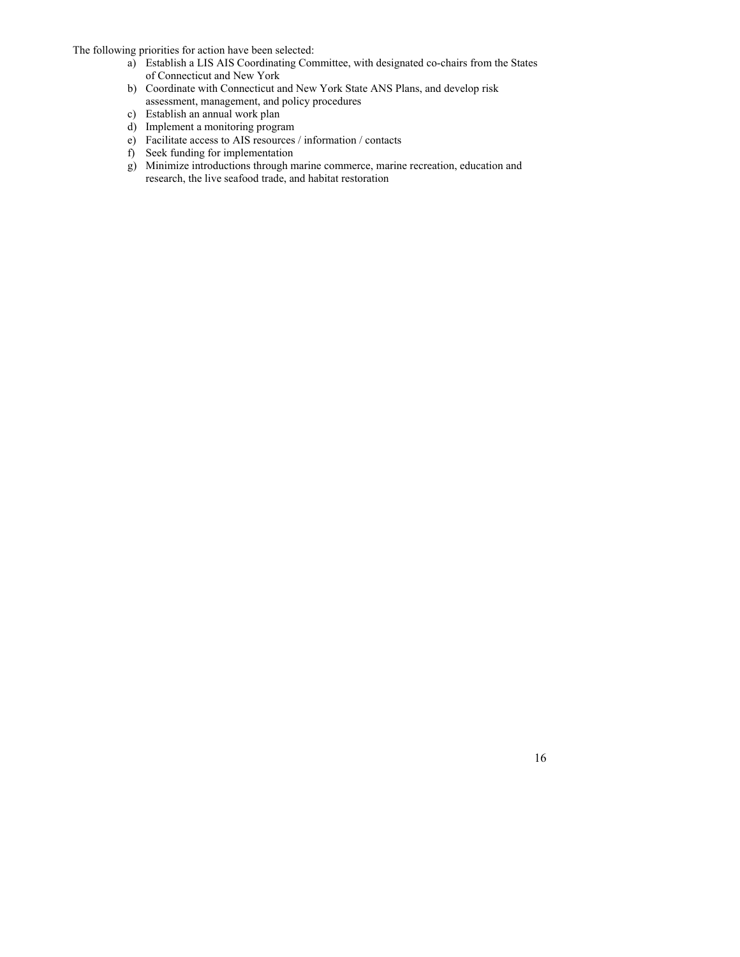The following priorities for action have been selected:

- a) Establish a LIS AIS Coordinating Committee, with designated co-chairs from the States of Connecticut and New York
- b) Coordinate with Connecticut and New York State ANS Plans, and develop risk assessment, management, and policy procedures
- c) Establish an annual work plan
- d) Implement a monitoring program
- e) Facilitate access to AIS resources / information / contacts
- f) Seek funding for implementation
- g) Minimize introductions through marine commerce, marine recreation, education and research, the live seafood trade, and habitat restoration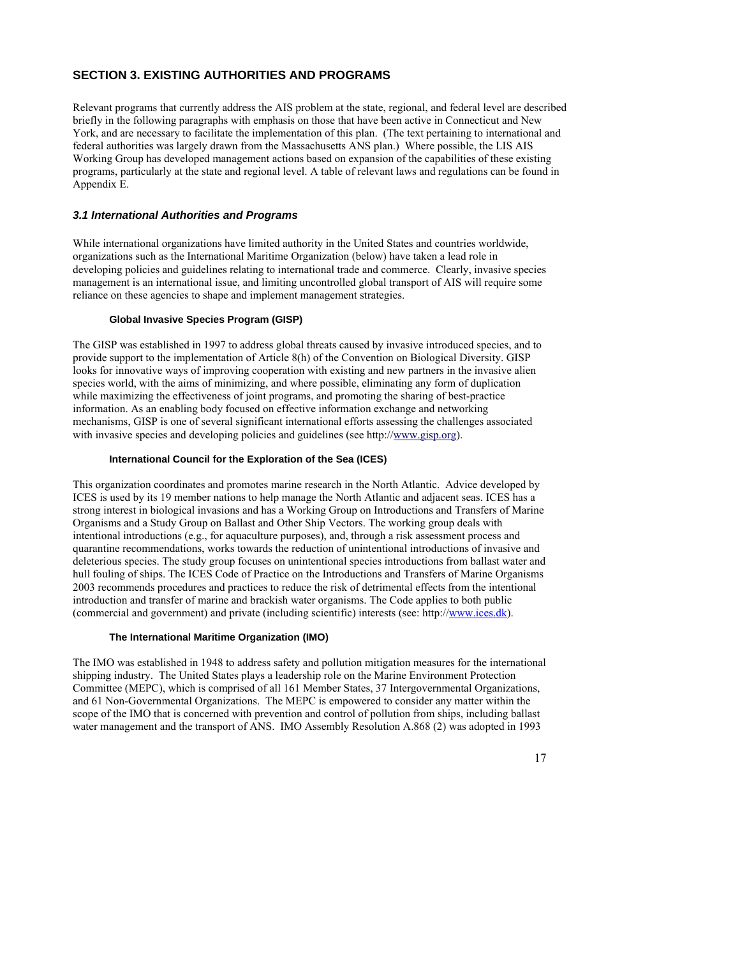## **SECTION 3. EXISTING AUTHORITIES AND PROGRAMS**

Relevant programs that currently address the AIS problem at the state, regional, and federal level are described briefly in the following paragraphs with emphasis on those that have been active in Connecticut and New York, and are necessary to facilitate the implementation of this plan. (The text pertaining to international and federal authorities was largely drawn from the Massachusetts ANS plan.) Where possible, the LIS AIS Working Group has developed management actions based on expansion of the capabilities of these existing programs, particularly at the state and regional level. A table of relevant laws and regulations can be found in Appendix E.

### *3.1 International Authorities and Programs*

While international organizations have limited authority in the United States and countries worldwide, organizations such as the International Maritime Organization (below) have taken a lead role in developing policies and guidelines relating to international trade and commerce. Clearly, invasive species management is an international issue, and limiting uncontrolled global transport of AIS will require some reliance on these agencies to shape and implement management strategies.

#### **Global Invasive Species Program (GISP)**

The GISP was established in 1997 to address global threats caused by invasive introduced species, and to provide support to the implementation of Article 8(h) of the Convention on Biological Diversity. GISP looks for innovative ways of improving cooperation with existing and new partners in the invasive alien species world, with the aims of minimizing, and where possible, eliminating any form of duplication while maximizing the effectiveness of joint programs, and promoting the sharing of best-practice information. As an enabling body focused on effective information exchange and networking mechanisms, GISP is one of several significant international efforts assessing the challenges associated with invasive species and developing policies and guidelines (see http://[www.gisp.org\)](http://www.gisp.org/).

#### **International Council for the Exploration of the Sea (ICES)**

This organization coordinates and promotes marine research in the North Atlantic. Advice developed by ICES is used by its 19 member nations to help manage the North Atlantic and adjacent seas. ICES has a strong interest in biological invasions and has a Working Group on Introductions and Transfers of Marine Organisms and a Study Group on Ballast and Other Ship Vectors. The working group deals with intentional introductions (e.g., for aquaculture purposes), and, through a risk assessment process and quarantine recommendations, works towards the reduction of unintentional introductions of invasive and deleterious species. The study group focuses on unintentional species introductions from ballast water and hull fouling of ships. The ICES Code of Practice on the Introductions and Transfers of Marine Organisms 2003 recommends procedures and practices to reduce the risk of detrimental effects from the intentional introduction and transfer of marine and brackish water organisms. The Code applies to both public (commercial and government) and private (including scientific) interests (see: http://[www.ices.dk\)](http://www.ices.dk/).

#### **The International Maritime Organization (IMO)**

The IMO was established in 1948 to address safety and pollution mitigation measures for the international shipping industry. The United States plays a leadership role on the Marine Environment Protection Committee (MEPC), which is comprised of all 161 Member States, 37 Intergovernmental Organizations, and 61 Non-Governmental Organizations. The MEPC is empowered to consider any matter within the scope of the IMO that is concerned with prevention and control of pollution from ships, including ballast water management and the transport of ANS. IMO Assembly Resolution A.868 (2) was adopted in 1993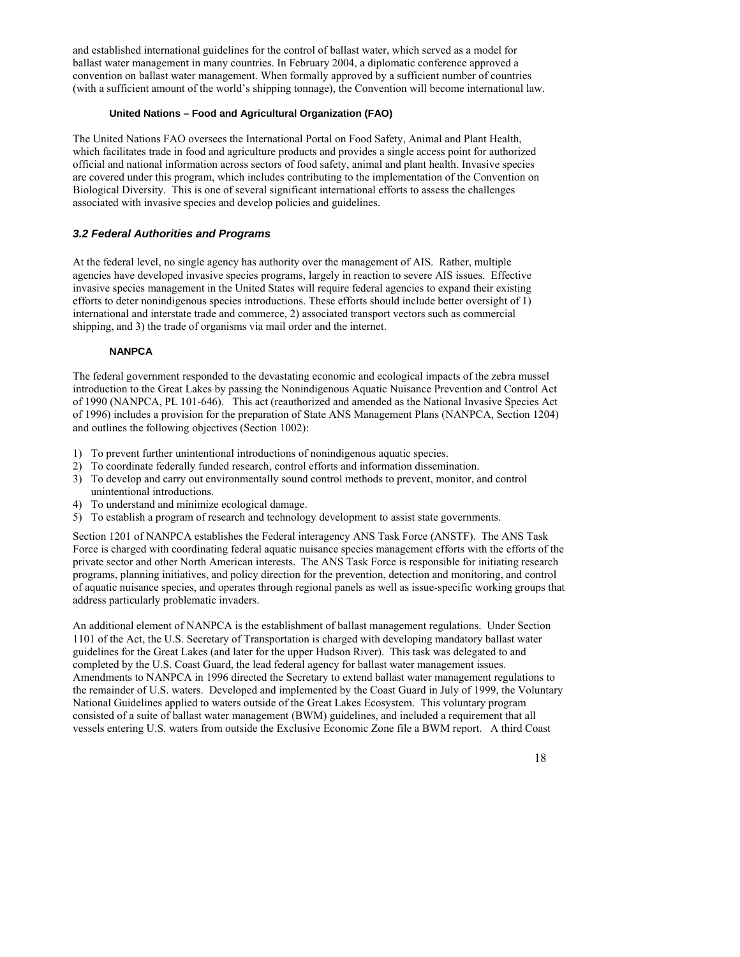and established international guidelines for the control of ballast water, which served as a model for ballast water management in many countries. In February 2004, a diplomatic conference approved a convention on ballast water management. When formally approved by a sufficient number of countries (with a sufficient amount of the world's shipping tonnage), the Convention will become international law.

#### **United Nations – Food and Agricultural Organization (FAO)**

The United Nations FAO oversees the International Portal on Food Safety, Animal and Plant Health, which facilitates trade in food and agriculture products and provides a single access point for authorized official and national information across sectors of food safety, animal and plant health. Invasive species are covered under this program, which includes contributing to the implementation of the Convention on Biological Diversity. This is one of several significant international efforts to assess the challenges associated with invasive species and develop policies and guidelines.

## *3.2 Federal Authorities and Programs*

At the federal level, no single agency has authority over the management of AIS. Rather, multiple agencies have developed invasive species programs, largely in reaction to severe AIS issues. Effective invasive species management in the United States will require federal agencies to expand their existing efforts to deter nonindigenous species introductions. These efforts should include better oversight of 1) international and interstate trade and commerce, 2) associated transport vectors such as commercial shipping, and 3) the trade of organisms via mail order and the internet.

### **NANPCA**

The federal government responded to the devastating economic and ecological impacts of the zebra mussel introduction to the Great Lakes by passing the Nonindigenous Aquatic Nuisance Prevention and Control Act of 1990 (NANPCA, PL 101-646). This act (reauthorized and amended as the National Invasive Species Act of 1996) includes a provision for the preparation of State ANS Management Plans (NANPCA, Section 1204) and outlines the following objectives (Section 1002):

- 1) To prevent further unintentional introductions of nonindigenous aquatic species.
- 2) To coordinate federally funded research, control efforts and information dissemination.
- 3) To develop and carry out environmentally sound control methods to prevent, monitor, and control unintentional introductions.
- 4) To understand and minimize ecological damage.
- 5) To establish a program of research and technology development to assist state governments.

Section 1201 of NANPCA establishes the Federal interagency ANS Task Force (ANSTF). The ANS Task Force is charged with coordinating federal aquatic nuisance species management efforts with the efforts of the private sector and other North American interests. The ANS Task Force is responsible for initiating research programs, planning initiatives, and policy direction for the prevention, detection and monitoring, and control of aquatic nuisance species, and operates through regional panels as well as issue-specific working groups that address particularly problematic invaders.

An additional element of NANPCA is the establishment of ballast management regulations. Under Section 1101 of the Act, the U.S. Secretary of Transportation is charged with developing mandatory ballast water guidelines for the Great Lakes (and later for the upper Hudson River). This task was delegated to and completed by the U.S. Coast Guard, the lead federal agency for ballast water management issues. Amendments to NANPCA in 1996 directed the Secretary to extend ballast water management regulations to the remainder of U.S. waters. Developed and implemented by the Coast Guard in July of 1999, the Voluntary National Guidelines applied to waters outside of the Great Lakes Ecosystem. This voluntary program consisted of a suite of ballast water management (BWM) guidelines, and included a requirement that all vessels entering U.S. waters from outside the Exclusive Economic Zone file a BWM report. A third Coast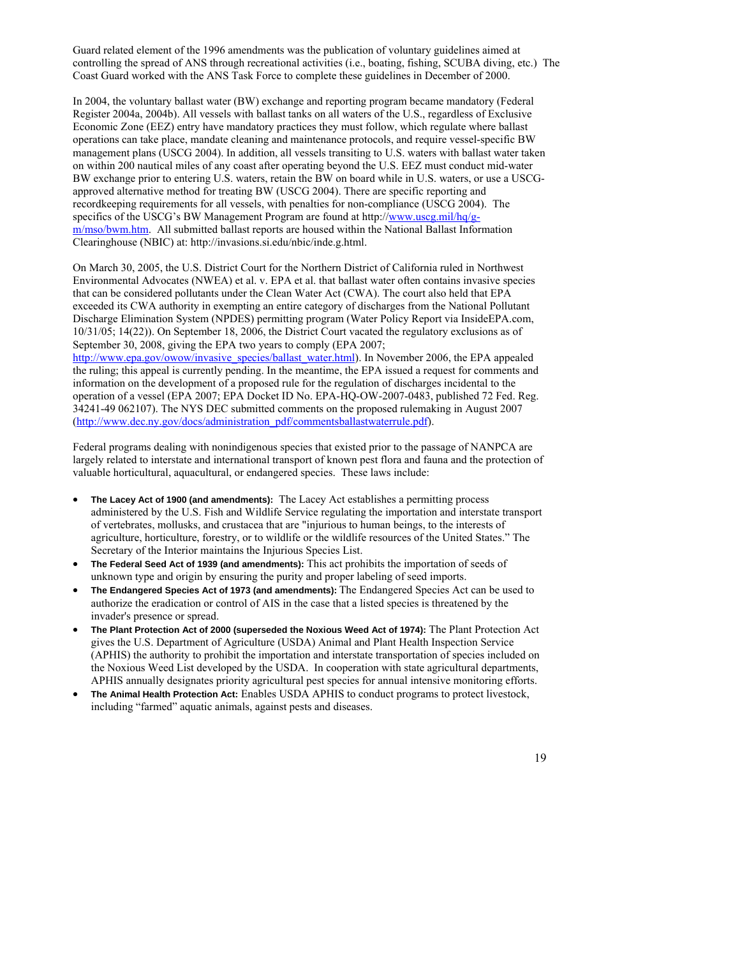Guard related element of the 1996 amendments was the publication of voluntary guidelines aimed at controlling the spread of ANS through recreational activities (i.e., boating, fishing, SCUBA diving, etc.) The Coast Guard worked with the ANS Task Force to complete these guidelines in December of 2000.

In 2004, the voluntary ballast water (BW) exchange and reporting program became mandatory (Federal Register 2004a, 2004b). All vessels with ballast tanks on all waters of the U.S., regardless of Exclusive Economic Zone (EEZ) entry have mandatory practices they must follow, which regulate where ballast operations can take place, mandate cleaning and maintenance protocols, and require vessel-specific BW management plans (USCG 2004). In addition, all vessels transiting to U.S. waters with ballast water taken on within 200 nautical miles of any coast after operating beyond the U.S. EEZ must conduct mid-water BW exchange prior to entering U.S. waters, retain the BW on board while in U.S. waters, or use a USCGapproved alternative method for treating BW (USCG 2004). There are specific reporting and recordkeeping requirements for all vessels, with penalties for non-compliance (USCG 2004). The specifics of the USCG's BW Management Program are found at http://[www.uscg.mil/hq/g](http://www.uscg.mil/hq/g-m/mso/bwm.htm)[m/mso/bwm.htm](http://www.uscg.mil/hq/g-m/mso/bwm.htm). All submitted ballast reports are housed within the National Ballast Information Clearinghouse (NBIC) at: http://invasions.si.edu/nbic/inde.g.html.

On March 30, 2005, the U.S. District Court for the Northern District of California ruled in Northwest Environmental Advocates (NWEA) et al. v. EPA et al. that ballast water often contains invasive species that can be considered pollutants under the Clean Water Act (CWA). The court also held that EPA exceeded its CWA authority in exempting an entire category of discharges from the National Pollutant Discharge Elimination System (NPDES) permitting program (Water Policy Report via InsideEPA.com, 10/31/05; 14(22)). On September 18, 2006, the District Court vacated the regulatory exclusions as of September 30, 2008, giving the EPA two years to comply (EPA 2007;

[http://www.epa.gov/owow/invasive\\_species/ballast\\_water.html\)](http://www.epa.gov/owow/invasive_species/ballast_water.html). In November 2006, the EPA appealed the ruling; this appeal is currently pending. In the meantime, the EPA issued a request for comments and information on the development of a proposed rule for the regulation of discharges incidental to the operation of a vessel (EPA 2007; EPA Docket ID No. EPA-HQ-OW-2007-0483, published 72 Fed. Reg. 34241-49 062107). The NYS DEC submitted comments on the proposed rulemaking in August 2007 [\(http://www.dec.ny.gov/docs/administration\\_pdf/commentsballastwaterrule.pdf\)](http://www.dec.ny.gov/docs/administration_pdf/commentsballastwaterrule.pdf).

Federal programs dealing with nonindigenous species that existed prior to the passage of NANPCA are largely related to interstate and international transport of known pest flora and fauna and the protection of valuable horticultural, aquacultural, or endangered species. These laws include:

- **The Lacey Act of 1900 (and amendments):** The Lacey Act establishes a permitting process administered by the U.S. Fish and Wildlife Service regulating the importation and interstate transport of vertebrates, mollusks, and crustacea that are "injurious to human beings, to the interests of agriculture, horticulture, forestry, or to wildlife or the wildlife resources of the United States." The Secretary of the Interior maintains the Injurious Species List.
- **The Federal Seed Act of 1939 (and amendments):** This act prohibits the importation of seeds of unknown type and origin by ensuring the purity and proper labeling of seed imports.
- **The Endangered Species Act of 1973 (and amendments):** The Endangered Species Act can be used to authorize the eradication or control of AIS in the case that a listed species is threatened by the invader's presence or spread.
- **The Plant Protection Act of 2000 (superseded the Noxious Weed Act of 1974):** The Plant Protection Act gives the U.S. Department of Agriculture (USDA) Animal and Plant Health Inspection Service (APHIS) the authority to prohibit the importation and interstate transportation of species included on the Noxious Weed List developed by the USDA. In cooperation with state agricultural departments, APHIS annually designates priority agricultural pest species for annual intensive monitoring efforts.
- **The Animal Health Protection Act:** Enables USDA APHIS to conduct programs to protect livestock, including "farmed" aquatic animals, against pests and diseases.

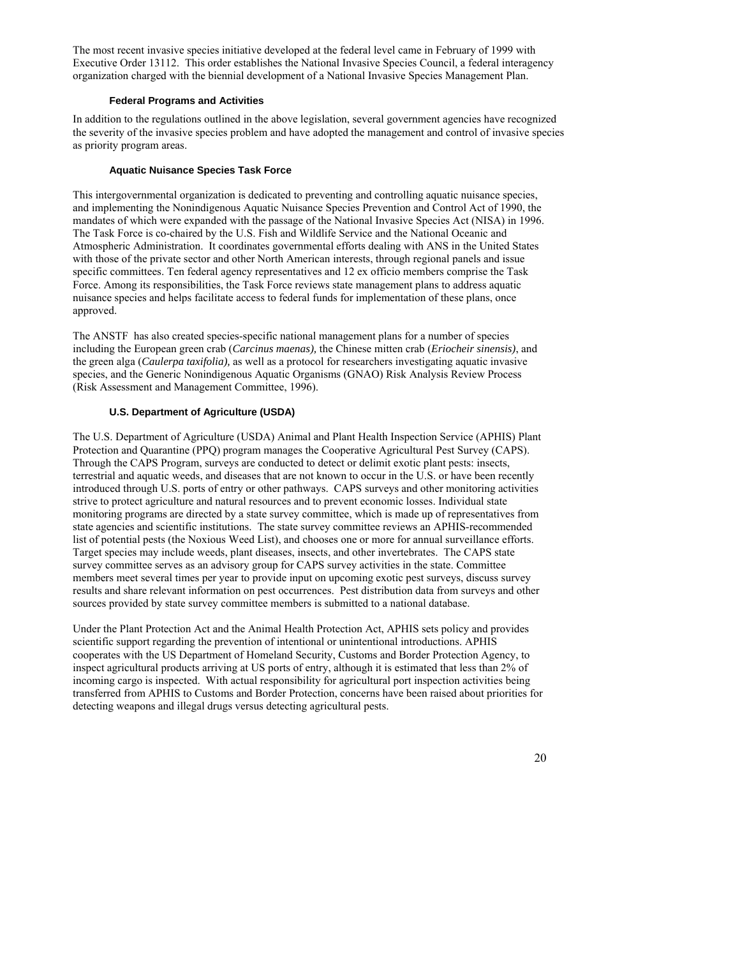The most recent invasive species initiative developed at the federal level came in February of 1999 with Executive Order 13112. This order establishes the National Invasive Species Council, a federal interagency organization charged with the biennial development of a National Invasive Species Management Plan.

#### **Federal Programs and Activities**

In addition to the regulations outlined in the above legislation, several government agencies have recognized the severity of the invasive species problem and have adopted the management and control of invasive species as priority program areas.

### **Aquatic Nuisance Species Task Force**

This intergovernmental organization is dedicated to preventing and controlling aquatic nuisance species, and implementing the Nonindigenous Aquatic Nuisance Species Prevention and Control Act of 1990, the mandates of which were expanded with the passage of the National Invasive Species Act (NISA) in 1996. The Task Force is co-chaired by the U.S. Fish and Wildlife Service and the National Oceanic and Atmospheric Administration. It coordinates governmental efforts dealing with ANS in the United States with those of the private sector and other North American interests, through regional panels and issue specific committees. Ten federal agency representatives and 12 ex officio members comprise the Task Force. Among its responsibilities, the Task Force reviews state management plans to address aquatic nuisance species and helps facilitate access to federal funds for implementation of these plans, once approved.

The ANSTF has also created species-specific national management plans for a number of species including the European green crab (*Carcinus maenas),* the Chinese mitten crab (*Eriocheir sinensis)*, and the green alga (*Caulerpa taxifolia),* as well as a protocol for researchers investigating aquatic invasive species, and the Generic Nonindigenous Aquatic Organisms (GNAO) Risk Analysis Review Process (Risk Assessment and Management Committee, 1996).

## **U.S. Department of Agriculture (USDA)**

The U.S. Department of Agriculture (USDA) Animal and Plant Health Inspection Service (APHIS) Plant Protection and Quarantine (PPQ) program manages the Cooperative Agricultural Pest Survey (CAPS). Through the CAPS Program, surveys are conducted to detect or delimit exotic plant pests: insects, terrestrial and aquatic weeds, and diseases that are not known to occur in the U.S. or have been recently introduced through U.S. ports of entry or other pathways. CAPS surveys and other monitoring activities strive to protect agriculture and natural resources and to prevent economic losses. Individual state monitoring programs are directed by a state survey committee, which is made up of representatives from state agencies and scientific institutions. The state survey committee reviews an APHIS-recommended list of potential pests (the Noxious Weed List), and chooses one or more for annual surveillance efforts. Target species may include weeds, plant diseases, insects, and other invertebrates. The CAPS state survey committee serves as an advisory group for CAPS survey activities in the state. Committee members meet several times per year to provide input on upcoming exotic pest surveys, discuss survey results and share relevant information on pest occurrences. Pest distribution data from surveys and other sources provided by state survey committee members is submitted to a national database.

Under the Plant Protection Act and the Animal Health Protection Act, APHIS sets policy and provides scientific support regarding the prevention of intentional or unintentional introductions. APHIS cooperates with the US Department of Homeland Security, Customs and Border Protection Agency, to inspect agricultural products arriving at US ports of entry, although it is estimated that less than 2% of incoming cargo is inspected. With actual responsibility for agricultural port inspection activities being transferred from APHIS to Customs and Border Protection, concerns have been raised about priorities for detecting weapons and illegal drugs versus detecting agricultural pests.

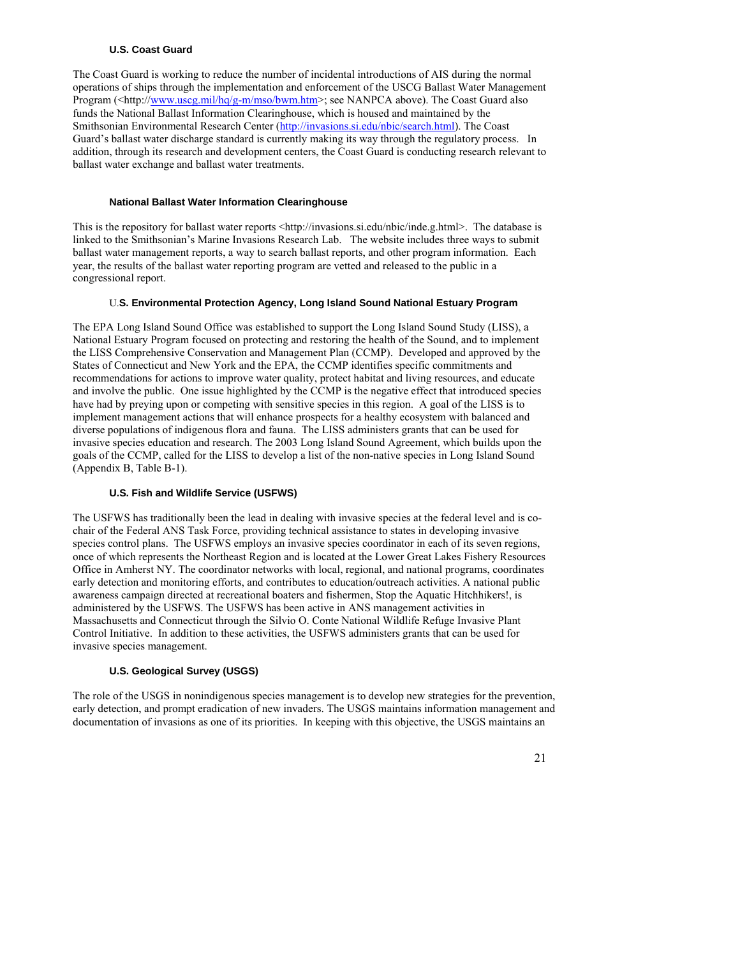#### **U.S. Coast Guard**

The Coast Guard is working to reduce the number of incidental introductions of AIS during the normal operations of ships through the implementation and enforcement of the USCG Ballast Water Management Program (<http://[www.uscg.mil/hq/g-m/mso/bwm.htm](http://www.uscg.mil/hq/g-m/mso/bwm.htm)>; see NANPCA above). The Coast Guard also funds the National Ballast Information Clearinghouse, which is housed and maintained by the Smithsonian Environmental Research Center (<http://invasions.si.edu/nbic/search.html>). The Coast Guard's ballast water discharge standard is currently making its way through the regulatory process. In addition, through its research and development centers, the Coast Guard is conducting research relevant to ballast water exchange and ballast water treatments.

#### **National Ballast Water Information Clearinghouse**

This is the repository for ballast water reports <http://invasions.si.edu/nbic/inde.g.html>. The database is linked to the Smithsonian's Marine Invasions Research Lab. The website includes three ways to submit ballast water management reports, a way to search ballast reports, and other program information. Each year, the results of the ballast water reporting program are vetted and released to the public in a congressional report.

### U.**S. Environmental Protection Agency, Long Island Sound National Estuary Program**

The EPA Long Island Sound Office was established to support the Long Island Sound Study (LISS), a National Estuary Program focused on protecting and restoring the health of the Sound, and to implement the LISS Comprehensive Conservation and Management Plan (CCMP). Developed and approved by the States of Connecticut and New York and the EPA, the CCMP identifies specific commitments and recommendations for actions to improve water quality, protect habitat and living resources, and educate and involve the public. One issue highlighted by the CCMP is the negative effect that introduced species have had by preying upon or competing with sensitive species in this region. A goal of the LISS is to implement management actions that will enhance prospects for a healthy ecosystem with balanced and diverse populations of indigenous flora and fauna. The LISS administers grants that can be used for invasive species education and research. The 2003 Long Island Sound Agreement, which builds upon the goals of the CCMP, called for the LISS to develop a list of the non-native species in Long Island Sound (Appendix B, Table B-1).

### **U.S. Fish and Wildlife Service (USFWS)**

The USFWS has traditionally been the lead in dealing with invasive species at the federal level and is cochair of the Federal ANS Task Force, providing technical assistance to states in developing invasive species control plans. The USFWS employs an invasive species coordinator in each of its seven regions, once of which represents the Northeast Region and is located at the Lower Great Lakes Fishery Resources Office in Amherst NY. The coordinator networks with local, regional, and national programs, coordinates early detection and monitoring efforts, and contributes to education/outreach activities. A national public awareness campaign directed at recreational boaters and fishermen, Stop the Aquatic Hitchhikers!, is administered by the USFWS. The USFWS has been active in ANS management activities in Massachusetts and Connecticut through the Silvio O. Conte National Wildlife Refuge Invasive Plant Control Initiative. In addition to these activities, the USFWS administers grants that can be used for invasive species management.

## **U.S. Geological Survey (USGS)**

The role of the USGS in nonindigenous species management is to develop new strategies for the prevention, early detection, and prompt eradication of new invaders. The USGS maintains information management and documentation of invasions as one of its priorities. In keeping with this objective, the USGS maintains an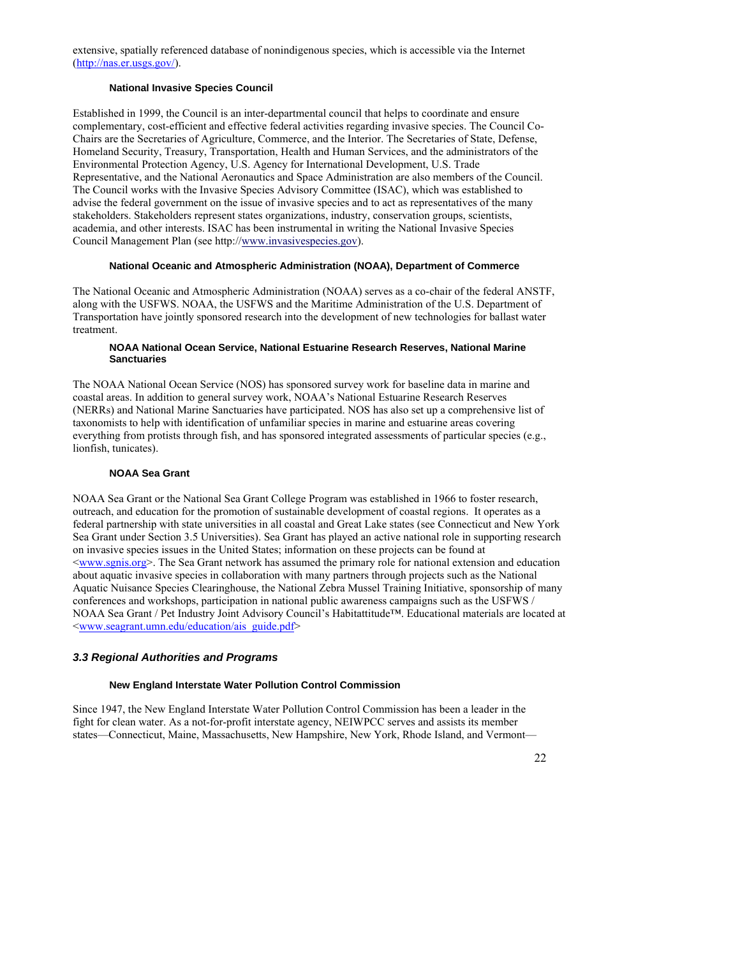extensive, spatially referenced database of nonindigenous species, which is accessible via the Internet [\(http://nas.er.usgs.gov/\)](http://nas.er.usgs.gov/).

#### **National Invasive Species Council**

Established in 1999, the Council is an inter-departmental council that helps to coordinate and ensure complementary, cost-efficient and effective federal activities regarding invasive species. The Council Co-Chairs are the Secretaries of Agriculture, Commerce, and the Interior. The Secretaries of State, Defense, Homeland Security, Treasury, Transportation, Health and Human Services, and the administrators of the Environmental Protection Agency, U.S. Agency for International Development, U.S. Trade Representative, and the National Aeronautics and Space Administration are also members of the Council. The Council works with the Invasive Species Advisory Committee (ISAC), which was established to advise the federal government on the issue of invasive species and to act as representatives of the many stakeholders. Stakeholders represent states organizations, industry, conservation groups, scientists, academia, and other interests. ISAC has been instrumental in writing the National Invasive Species Council Management Plan (see http://[www.invasivespecies.gov\)](http://www.invasivespecies.gov/).

#### **National Oceanic and Atmospheric Administration (NOAA), Department of Commerce**

The National Oceanic and Atmospheric Administration (NOAA) serves as a co-chair of the federal ANSTF, along with the USFWS. NOAA, the USFWS and the Maritime Administration of the U.S. Department of Transportation have jointly sponsored research into the development of new technologies for ballast water treatment.

#### **NOAA National Ocean Service, National Estuarine Research Reserves, National Marine Sanctuaries**

The NOAA National Ocean Service (NOS) has sponsored survey work for baseline data in marine and coastal areas. In addition to general survey work, NOAA's National Estuarine Research Reserves (NERRs) and National Marine Sanctuaries have participated. NOS has also set up a comprehensive list of taxonomists to help with identification of unfamiliar species in marine and estuarine areas covering everything from protists through fish, and has sponsored integrated assessments of particular species (e.g., lionfish, tunicates).

#### **NOAA Sea Grant**

NOAA Sea Grant or the National Sea Grant College Program was established in 1966 to foster research, outreach, and education for the promotion of sustainable development of coastal regions. It operates as a federal partnership with state universities in all coastal and Great Lake states (see Connecticut and New York Sea Grant under Section 3.5 Universities). Sea Grant has played an active national role in supporting research on invasive species issues in the United States; information on these projects can be found at <[www.sgnis.org](http://www.sgnis.org/)>. The Sea Grant network has assumed the primary role for national extension and education about aquatic invasive species in collaboration with many partners through projects such as the National Aquatic Nuisance Species Clearinghouse, the National Zebra Mussel Training Initiative, sponsorship of many conferences and workshops, participation in national public awareness campaigns such as the USFWS / NOAA Sea Grant / Pet Industry Joint Advisory Council's Habitattitude™. Educational materials are located at <[www.seagrant.umn.edu/education/ais\\_guide.pdf>](http://www.seagrant.umn.edu/education/ais_guide.pdf)

## *3.3 Regional Authorities and Programs*

#### **New England Interstate Water Pollution Control Commission**

Since 1947, the New England Interstate Water Pollution Control Commission has been a leader in the fight for clean water. As a not-for-profit interstate agency, NEIWPCC serves and assists its member states—Connecticut, Maine, Massachusetts, New Hampshire, New York, Rhode Island, and Vermont—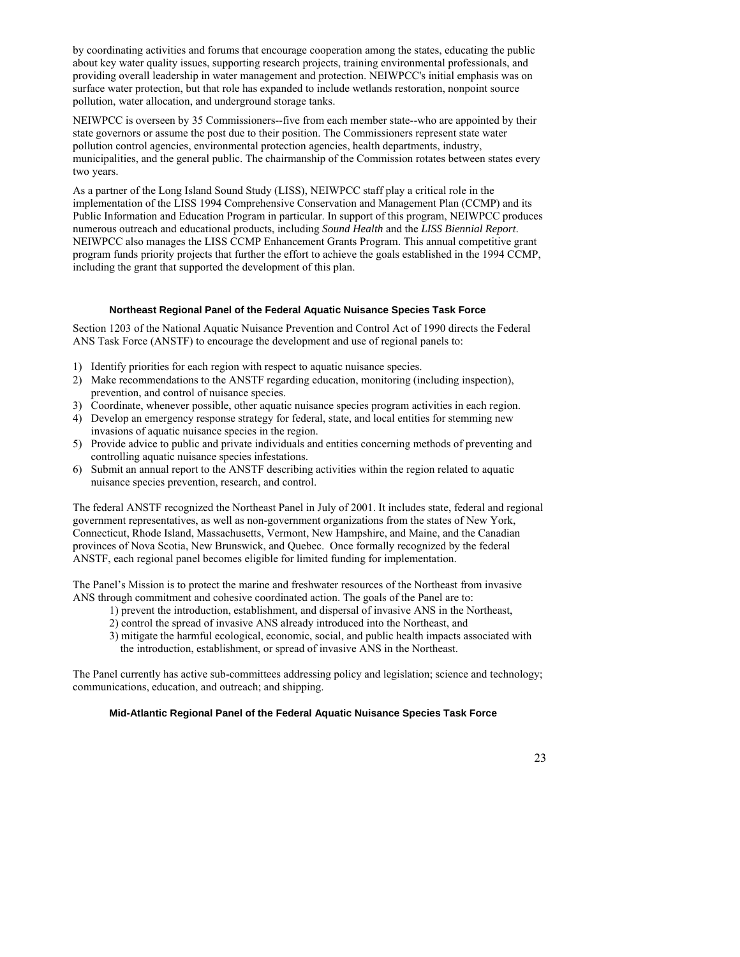by coordinating activities and forums that encourage cooperation among the states, educating the public about key water quality issues, supporting research projects, training environmental professionals, and providing overall leadership in water management and protection. NEIWPCC's initial emphasis was on surface water protection, but that role has expanded to include wetlands restoration, nonpoint source pollution, water allocation, and underground storage tanks.

NEIWPCC is overseen by 35 Commissioners--five from each member state--who are appointed by their state governors or assume the post due to their position. The Commissioners represent state water pollution control agencies, environmental protection agencies, health departments, industry, municipalities, and the general public. The chairmanship of the Commission rotates between states every two years.

As a partner of the Long Island Sound Study (LISS), NEIWPCC staff play a critical role in the implementation of the LISS 1994 Comprehensive Conservation and Management Plan (CCMP) and its Public Information and Education Program in particular. In support of this program, NEIWPCC produces numerous outreach and educational products, including *[Sound Health](http://www.neiwpcc.org/soundhealth.asp)* and the *[LISS Biennial Report](http://www.neiwpcc.org/lissbiennialreport.asp)*. NEIWPCC also manages the [LISS CCMP Enhancement Grants Program.](http://www.neiwpcc.org/lissegp.asp) This annual competitive grant program funds priority projects that further the effort to achieve the goals established in the 1994 CCMP, including the grant that supported the development of this plan.

#### **Northeast Regional Panel of the Federal Aquatic Nuisance Species Task Force**

Section 1203 of the National Aquatic Nuisance Prevention and Control Act of 1990 directs the Federal ANS Task Force (ANSTF) to encourage the development and use of regional panels to:

- 1) Identify priorities for each region with respect to aquatic nuisance species.
- 2) Make recommendations to the ANSTF regarding education, monitoring (including inspection), prevention, and control of nuisance species.
- 3) Coordinate, whenever possible, other aquatic nuisance species program activities in each region.
- 4) Develop an emergency response strategy for federal, state, and local entities for stemming new invasions of aquatic nuisance species in the region.
- 5) Provide advice to public and private individuals and entities concerning methods of preventing and controlling aquatic nuisance species infestations.
- 6) Submit an annual report to the ANSTF describing activities within the region related to aquatic nuisance species prevention, research, and control.

The federal ANSTF recognized the Northeast Panel in July of 2001. It includes state, federal and regional government representatives, as well as non-government organizations from the states of New York, Connecticut, Rhode Island, Massachusetts, Vermont, New Hampshire, and Maine, and the Canadian provinces of Nova Scotia, New Brunswick, and Quebec. Once formally recognized by the federal ANSTF, each regional panel becomes eligible for limited funding for implementation.

The Panel's Mission is to protect the marine and freshwater resources of the Northeast from invasive ANS through commitment and cohesive coordinated action. The goals of the Panel are to:

- 1) prevent the introduction, establishment, and dispersal of invasive ANS in the Northeast,
- 2) control the spread of invasive ANS already introduced into the Northeast, and
- 3) mitigate the harmful ecological, economic, social, and public health impacts associated with the introduction, establishment, or spread of invasive ANS in the Northeast.

The Panel currently has active sub-committees addressing policy and legislation; science and technology; communications, education, and outreach; and shipping.

#### **Mid-Atlantic Regional Panel of the Federal Aquatic Nuisance Species Task Force**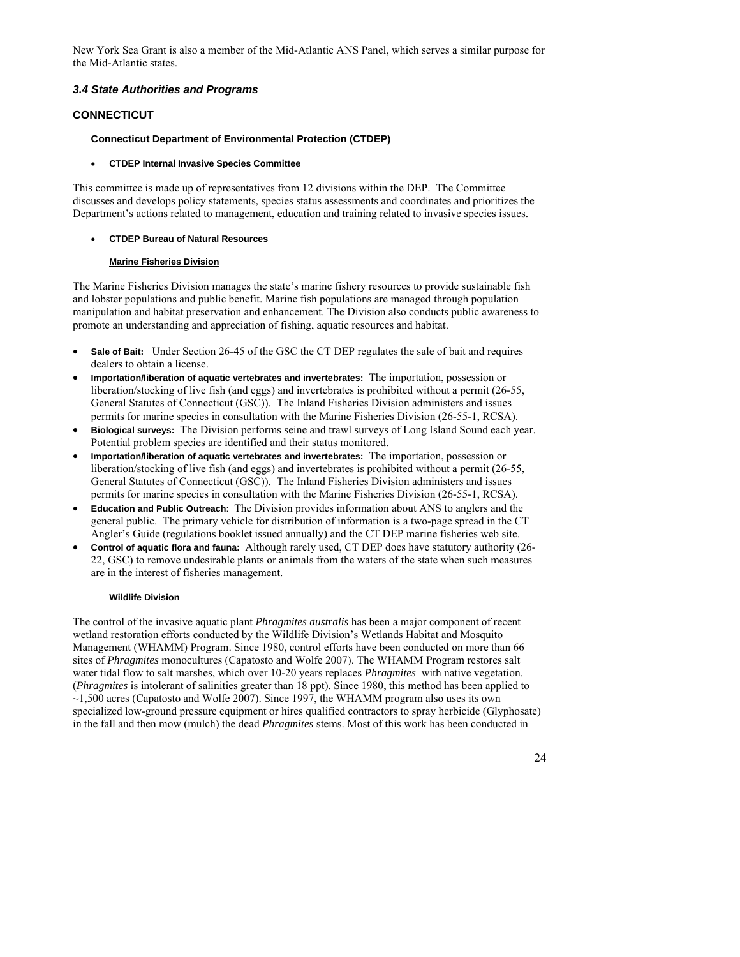New York Sea Grant is also a member of the Mid-Atlantic ANS Panel, which serves a similar purpose for the Mid-Atlantic states.

## *3.4 State Authorities and Programs*

## **CONNECTICUT**

### **Connecticut Department of Environmental Protection (CTDEP)**

#### • **CTDEP Internal Invasive Species Committee**

This committee is made up of representatives from 12 divisions within the DEP. The Committee discusses and develops policy statements, species status assessments and coordinates and prioritizes the Department's actions related to management, education and training related to invasive species issues.

#### • **CTDEP Bureau of Natural Resources**

#### **Marine Fisheries Division**

The Marine Fisheries Division manages the state's marine fishery resources to provide sustainable fish and lobster populations and public benefit. Marine fish populations are managed through population manipulation and habitat preservation and enhancement. The Division also conducts public awareness to promote an understanding and appreciation of fishing, aquatic resources and habitat.

- **Sale of Bait:** Under Section 26-45 of the GSC the CT DEP regulates the sale of bait and requires dealers to obtain a license.
- **Importation/liberation of aquatic vertebrates and invertebrates:** The importation, possession or liberation/stocking of live fish (and eggs) and invertebrates is prohibited without a permit (26-55, General Statutes of Connecticut (GSC)). The Inland Fisheries Division administers and issues permits for marine species in consultation with the Marine Fisheries Division (26-55-1, RCSA).
- **Biological surveys:** The Division performs seine and trawl surveys of Long Island Sound each year. Potential problem species are identified and their status monitored.
- **Importation/liberation of aquatic vertebrates and invertebrates:** The importation, possession or liberation/stocking of live fish (and eggs) and invertebrates is prohibited without a permit (26-55, General Statutes of Connecticut (GSC)). The Inland Fisheries Division administers and issues permits for marine species in consultation with the Marine Fisheries Division (26-55-1, RCSA).
- **Education and Public Outreach**: The Division provides information about ANS to anglers and the general public. The primary vehicle for distribution of information is a two-page spread in the CT Angler's Guide (regulations booklet issued annually) and the CT DEP marine fisheries web site.
- **Control of aquatic flora and fauna:** Although rarely used, CT DEP does have statutory authority (26- 22, GSC) to remove undesirable plants or animals from the waters of the state when such measures are in the interest of fisheries management.

### **Wildlife Division**

The control of the invasive aquatic plant *Phragmites australis* has been a major component of recent wetland restoration efforts conducted by the Wildlife Division's Wetlands Habitat and Mosquito Management (WHAMM) Program. Since 1980, control efforts have been conducted on more than 66 sites of *Phragmites* monocultures (Capatosto and Wolfe 2007). The WHAMM Program restores salt water tidal flow to salt marshes, which over 10-20 years replaces *Phragmites* with native vegetation. (*Phragmites* is intolerant of salinities greater than 18 ppt). Since 1980, this method has been applied to  $\sim$ 1,500 acres (Capatosto and Wolfe 2007). Since 1997, the WHAMM program also uses its own specialized low-ground pressure equipment or hires qualified contractors to spray herbicide (Glyphosate) in the fall and then mow (mulch) the dead *Phragmites* stems. Most of this work has been conducted in

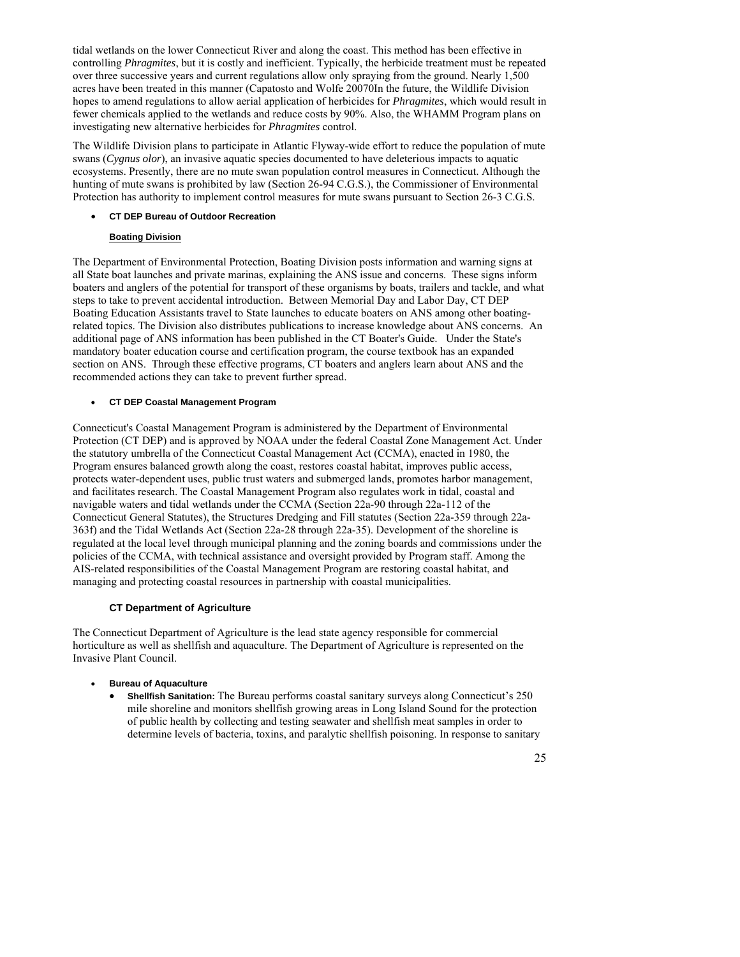tidal wetlands on the lower Connecticut River and along the coast. This method has been effective in controlling *Phragmites*, but it is costly and inefficient. Typically, the herbicide treatment must be repeated over three successive years and current regulations allow only spraying from the ground. Nearly 1,500 acres have been treated in this manner (Capatosto and Wolfe 20070In the future, the Wildlife Division hopes to amend regulations to allow aerial application of herbicides for *Phragmites*, which would result in fewer chemicals applied to the wetlands and reduce costs by 90%. Also, the WHAMM Program plans on investigating new alternative herbicides for *Phragmites* control.

The Wildlife Division plans to participate in Atlantic Flyway-wide effort to reduce the population of mute swans (*Cygnus olor*), an invasive aquatic species documented to have deleterious impacts to aquatic ecosystems. Presently, there are no mute swan population control measures in Connecticut. Although the hunting of mute swans is prohibited by law (Section 26-94 C.G.S.), the Commissioner of Environmental Protection has authority to implement control measures for mute swans pursuant to Section 26-3 C.G.S.

#### • **CT DEP Bureau of Outdoor Recreation**

#### **Boating Division**

The Department of Environmental Protection, Boating Division posts information and warning signs at all State boat launches and private marinas, explaining the ANS issue and concerns. These signs inform boaters and anglers of the potential for transport of these organisms by boats, trailers and tackle, and what steps to take to prevent accidental introduction. Between Memorial Day and Labor Day, CT DEP Boating Education Assistants travel to State launches to educate boaters on ANS among other boatingrelated topics. The Division also distributes publications to increase knowledge about ANS concerns. An additional page of ANS information has been published in the CT Boater's Guide. Under the State's mandatory boater education course and certification program, the course textbook has an expanded section on ANS. Through these effective programs, CT boaters and anglers learn about ANS and the recommended actions they can take to prevent further spread.

#### • **CT DEP Coastal Management Program**

Connecticut's Coastal Management Program is administered by the Department of Environmental Protection (CT DEP) and is approved by NOAA under the federal Coastal Zone Management Act. Under the statutory umbrella of the Connecticut Coastal Management Act (CCMA), enacted in 1980, the Program ensures balanced growth along the coast, restores coastal habitat, improves public access, protects water-dependent uses, public trust waters and submerged lands, promotes harbor management, and facilitates research. The Coastal Management Program also regulates work in tidal, coastal and navigable waters and tidal wetlands under the CCMA (Section 22a-90 through 22a-112 of the Connecticut General Statutes), the Structures Dredging and Fill statutes (Section 22a-359 through 22a-363f) and the Tidal Wetlands Act (Section 22a-28 through 22a-35). Development of the shoreline is regulated at the local level through municipal planning and the zoning boards and commissions under the policies of the CCMA, with technical assistance and oversight provided by Program staff. Among the AIS-related responsibilities of the Coastal Management Program are restoring coastal habitat, and managing and protecting coastal resources in partnership with coastal municipalities.

#### **CT Department of Agriculture**

The Connecticut Department of Agriculture is the lead state agency responsible for commercial horticulture as well as shellfish and aquaculture. The Department of Agriculture is represented on the Invasive Plant Council.

- **Bureau of Aquaculture** 
	- **Shellfish Sanitation:** The Bureau performs coastal sanitary surveys along Connecticut's 250 mile shoreline and monitors shellfish growing areas in Long Island Sound for the protection of public health by collecting and testing seawater and shellfish meat samples in order to determine levels of bacteria, toxins, and paralytic shellfish poisoning. In response to sanitary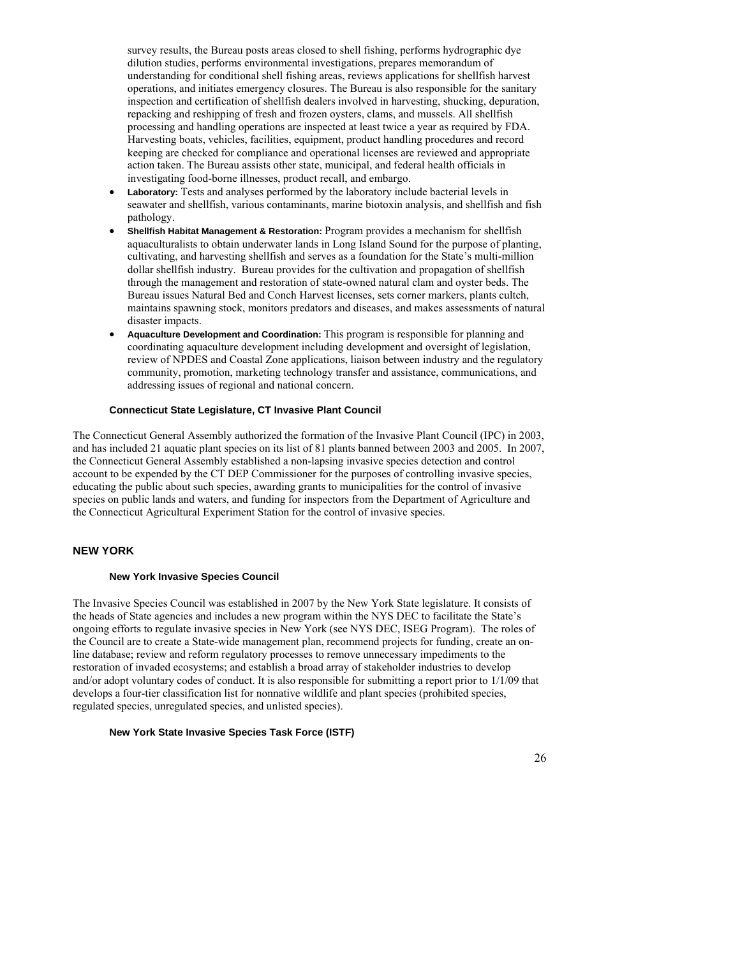survey results, the Bureau posts areas closed to shell fishing, performs hydrographic dye dilution studies, performs environmental investigations, prepares memorandum of understanding for conditional shell fishing areas, reviews applications for shellfish harvest operations, and initiates emergency closures. The Bureau is also responsible for the sanitary inspection and certification of shellfish dealers involved in harvesting, shucking, depuration, repacking and reshipping of fresh and frozen oysters, clams, and mussels. All shellfish processing and handling operations are inspected at least twice a year as required by FDA. Harvesting boats, vehicles, facilities, equipment, product handling procedures and record keeping are checked for compliance and operational licenses are reviewed and appropriate action taken. The Bureau assists other state, municipal, and federal health officials in investigating food-borne illnesses, product recall, and embargo.

- **Laboratory:** Tests and analyses performed by the laboratory include bacterial levels in seawater and shellfish, various contaminants, marine biotoxin analysis, and shellfish and fish pathology.
- **Shellfish Habitat Management & Restoration:** Program provides a mechanism for shellfish aquaculturalists to obtain underwater lands in Long Island Sound for the purpose of planting, cultivating, and harvesting shellfish and serves as a foundation for the State's multi-million dollar shellfish industry. Bureau provides for the cultivation and propagation of shellfish through the management and restoration of state-owned natural clam and oyster beds. The Bureau issues Natural Bed and Conch Harvest licenses, sets corner markers, plants cultch, maintains spawning stock, monitors predators and diseases, and makes assessments of natural disaster impacts.
- **Aquaculture Development and Coordination:** This program is responsible for planning and coordinating aquaculture development including development and oversight of legislation, review of NPDES and Coastal Zone applications, liaison between industry and the regulatory community, promotion, marketing technology transfer and assistance, communications, and addressing issues of regional and national concern.

#### **Connecticut State Legislature, CT Invasive Plant Council**

The Connecticut General Assembly authorized the formation of the Invasive Plant Council (IPC) in 2003, and has included 21 aquatic plant species on its list of 81 plants banned between 2003 and 2005. In 2007, the Connecticut General Assembly established a non-lapsing invasive species detection and control account to be expended by the CT DEP Commissioner for the purposes of controlling invasive species, educating the public about such species, awarding grants to municipalities for the control of invasive species on public lands and waters, and funding for inspectors from the Department of Agriculture and the Connecticut Agricultural Experiment Station for the control of invasive species.

#### **NEW YORK**

#### **New York Invasive Species Council**

The Invasive Species Council was established in 2007 by the New York State legislature. It consists of the heads of State agencies and includes a new program within the NYS DEC to facilitate the State's ongoing efforts to regulate invasive species in New York (see NYS DEC, ISEG Program). The roles of the Council are to create a State-wide management plan, recommend projects for funding, create an online database; review and reform regulatory processes to remove unnecessary impediments to the restoration of invaded ecosystems; and establish a broad array of stakeholder industries to develop and/or adopt voluntary codes of conduct. It is also responsible for submitting a report prior to 1/1/09 that develops a four-tier classification list for nonnative wildlife and plant species (prohibited species, regulated species, unregulated species, and unlisted species).

#### **New York State Invasive Species Task Force (ISTF)**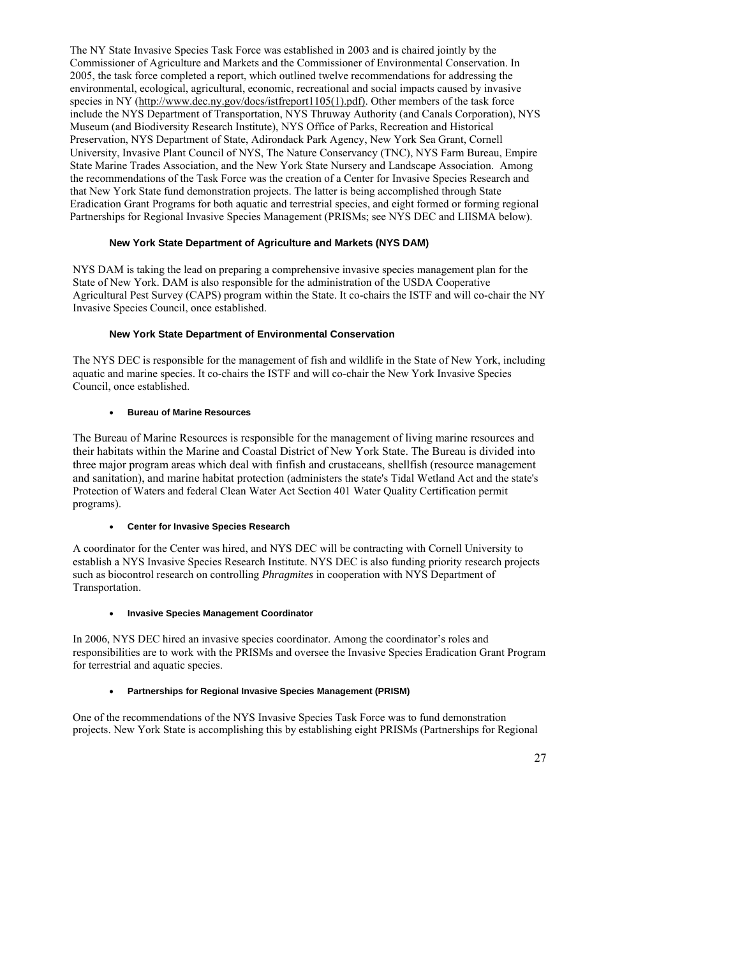The NY State Invasive Species Task Force was established in 2003 and is chaired jointly by the Commissioner of Agriculture and Markets and the Commissioner of Environmental Conservation. In 2005, the task force completed a report, which outlined twelve recommendations for addressing the environmental, ecological, agricultural, economic, recreational and social impacts caused by invasive species in NY ([http://www.dec.ny.gov/docs/istfreport1105\(1\).pdf\)](http://www.dec.ny.gov/docs/istfreport1105(1).pdf)). Other members of the task force include the NYS Department of Transportation, NYS Thruway Authority (and Canals Corporation), NYS Museum (and Biodiversity Research Institute), NYS Office of Parks, Recreation and Historical Preservation, NYS Department of State, Adirondack Park Agency, New York Sea Grant, Cornell University, Invasive Plant Council of NYS, The Nature Conservancy (TNC), NYS Farm Bureau, Empire State Marine Trades Association, and the New York State Nursery and Landscape Association. Among the recommendations of the Task Force was the creation of a Center for Invasive Species Research and that New York State fund demonstration projects. The latter is being accomplished through State Eradication Grant Programs for both aquatic and terrestrial species, and eight formed or forming regional Partnerships for Regional Invasive Species Management (PRISMs; see NYS DEC and LIISMA below).

#### **New York State Department of Agriculture and Markets (NYS DAM)**

NYS DAM is taking the lead on preparing a comprehensive invasive species management plan for the State of New York. DAM is also responsible for the administration of the USDA Cooperative Agricultural Pest Survey (CAPS) program within the State. It co-chairs the ISTF and will co-chair the NY Invasive Species Council, once established.

#### **New York State Department of Environmental Conservation**

The NYS DEC is responsible for the management of fish and wildlife in the State of New York, including aquatic and marine species. It co-chairs the ISTF and will co-chair the New York Invasive Species Council, once established.

#### • **Bureau of Marine Resources**

The Bureau of Marine Resources is responsible for the management of living marine resources and their habitats within the Marine and Coastal District of New York State. The Bureau is divided into three major program areas which deal with finfish and crustaceans, shellfish (resource management and sanitation), and marine habitat protection (administers the state's Tidal Wetland Act and the state's Protection of Waters and federal Clean Water Act Section 401 Water Quality Certification permit programs).

#### • **Center for Invasive Species Research**

A coordinator for the Center was hired, and NYS DEC will be contracting with Cornell University to establish a NYS Invasive Species Research Institute. NYS DEC is also funding priority research projects such as biocontrol research on controlling *Phragmites* in cooperation with NYS Department of Transportation.

#### • **Invasive Species Management Coordinator**

In 2006, NYS DEC hired an invasive species coordinator. Among the coordinator's roles and responsibilities are to work with the PRISMs and oversee the Invasive Species Eradication Grant Program for terrestrial and aquatic species.

#### • **Partnerships for Regional Invasive Species Management (PRISM)**

One of the recommendations of the NYS Invasive Species Task Force was to fund demonstration projects. New York State is accomplishing this by establishing eight PRISMs (Partnerships for Regional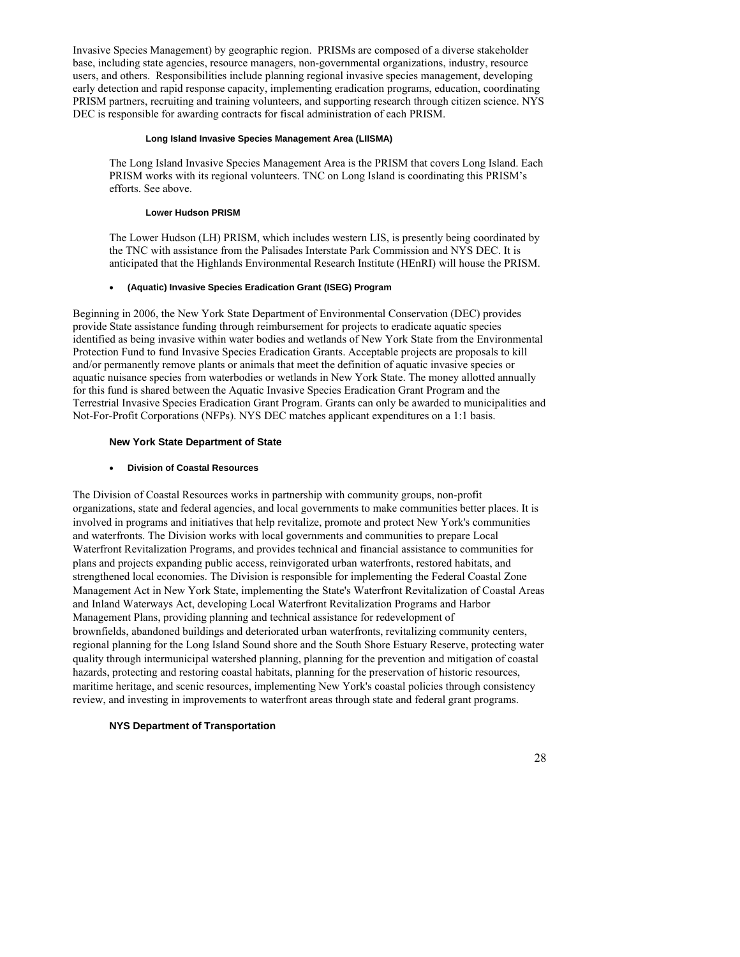Invasive Species Management) by geographic region. PRISMs are composed of a diverse stakeholder base, including state agencies, resource managers, non-governmental organizations, industry, resource users, and others. Responsibilities include planning regional invasive species management, developing early detection and rapid response capacity, implementing eradication programs, education, coordinating PRISM partners, recruiting and training volunteers, and supporting research through citizen science. NYS DEC is responsible for awarding contracts for fiscal administration of each PRISM.

#### **Long Island Invasive Species Management Area (LIISMA)**

The Long Island Invasive Species Management Area is the PRISM that covers Long Island. Each PRISM works with its regional volunteers. TNC on Long Island is coordinating this PRISM's efforts. See above.

#### **Lower Hudson PRISM**

The Lower Hudson (LH) PRISM, which includes western LIS, is presently being coordinated by the TNC with assistance from the Palisades Interstate Park Commission and NYS DEC. It is anticipated that the Highlands Environmental Research Institute (HEnRI) will house the PRISM.

#### • **(Aquatic) Invasive Species Eradication Grant (ISEG) Program**

Beginning in 2006, the New York State Department of Environmental Conservation (DEC) provides provide State assistance funding through reimbursement for projects to eradicate aquatic species identified as being invasive within water bodies and wetlands of New York State from the Environmental Protection Fund to fund Invasive Species Eradication Grants. Acceptable projects are proposals to kill and/or permanently remove plants or animals that meet the definition of aquatic invasive species or aquatic nuisance species from waterbodies or wetlands in New York State. The money allotted annually for this fund is shared between the Aquatic Invasive Species Eradication Grant Program and the Terrestrial Invasive Species Eradication Grant Program. Grants can only be awarded to municipalities and Not-For-Profit Corporations (NFPs). NYS DEC matches applicant expenditures on a 1:1 basis.

#### **New York State Department of State**

#### • **Division of Coastal Resources**

The Division of Coastal Resources works in partnership with community groups, non-profit organizations, state and federal agencies, and local governments to make communities better places. It is involved in programs and initiatives that help revitalize, promote and protect New York's communities and waterfronts. The Division works with local governments and communities to prepare Local Waterfront Revitalization Programs, and provides technical and financial assistance to communities for plans and projects expanding public access, reinvigorated urban waterfronts, restored habitats, and strengthened local economies. The Division is responsible for implementing the [Federal Coastal Zone](http://www.nyswaterfronts.com/aboutus_federal.asp)  [Management Act](http://www.nyswaterfronts.com/aboutus_federal.asp) in New York State, implementing the State's [Waterfront Revitalization of Coastal Areas](http://www.nyswaterfronts.com/downloads/pdfs/Article_42.pdf)  [and Inland Waterways Act,](http://www.nyswaterfronts.com/downloads/pdfs/Article_42.pdf) developing [Local Waterfront Revitalization Programs](http://www.nyswaterfronts.com/aboutus_lwrp.asp) and [Harbor](http://www.nyswaterfronts.com/waterfront_working_harbormgmt.asp)  [Management Plans,](http://www.nyswaterfronts.com/waterfront_working_harbormgmt.asp) providing planning and technical assistance for redevelopment of [brownfields](http://www.nyswaterfronts.com/grantopps_BOA.asp), [abandoned buildings](http://www.nyswaterfronts.com/communities_abandonedbuildings.asp) and deteriorated urban waterfronts, revitalizing community centers, regional planning for the [Long Island Sound](http://www.nyswaterfronts.com/initiatives_longisland.asp) shore and the [South Shore Estuary Reserve](http://www.nyswaterfronts.com/initiatives_southshore.asp), protecting [water](http://www.nyswaterfronts.com/waterfront_natural_waterquality.asp)  [quality](http://www.nyswaterfronts.com/waterfront_natural_waterquality.asp) through intermunicipal watershed planning, planning for the prevention and mitigation of [coastal](http://www.nyswaterfronts.com/waterfront_natural_flooding.asp)  [hazards](http://www.nyswaterfronts.com/waterfront_natural_flooding.asp), protecting and restoring coastal [habitats,](http://www.nyswaterfronts.com/waterfront_natural_resources.asp) planning for the preservation of [historic resources](http://www.nyswaterfronts.com/waterfront_developed_historic.asp), maritime heritage, and scenic resources, implementing New York's [coastal policies](http://www.nyswaterfronts.com/consistency_coastalpolicies.asp) through [consistency](http://www.nyswaterfronts.com/consistency.asp)  [review](http://www.nyswaterfronts.com/consistency.asp), and investing in improvements to waterfront areas through state and federal [grant programs](http://www.nyswaterfronts.com/grantopps.asp).

### **NYS Department of Transportation**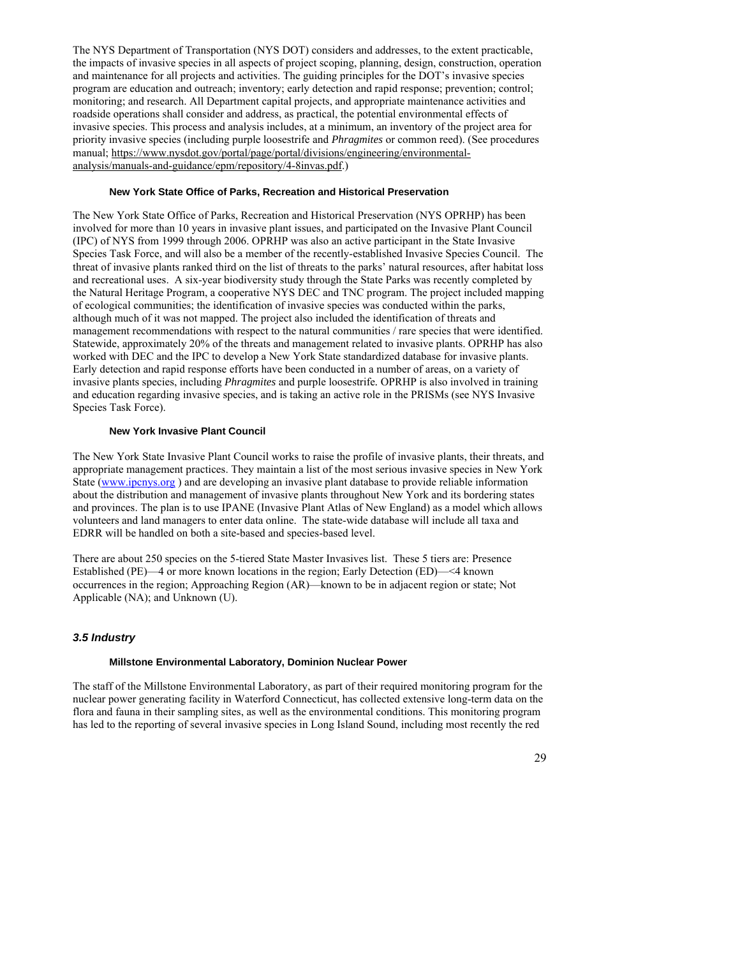The NYS Department of Transportation (NYS DOT) considers and addresses, to the extent practicable, the impacts of invasive species in all aspects of project scoping, planning, design, construction, operation and maintenance for all projects and activities. The guiding principles for the DOT's invasive species program are education and outreach; inventory; early detection and rapid response; prevention; control; monitoring; and research. All Department capital projects, and appropriate maintenance activities and roadside operations shall consider and address, as practical, the potential environmental effects of invasive species. This process and analysis includes, at a minimum, an inventory of the project area for priority invasive species (including purple loosestrife and *Phragmites* or common reed). (See procedures manual; [https://www.nysdot.gov/portal/page/portal/divisions/engineering/environmental](https://www.nysdot.gov/portal/page/portal/divisions/engineering/environmental-analysis/manuals-and-guidance/epm/repository/4-8invas.pdf)[analysis/manuals-and-guidance/epm/repository/4-8invas.pdf](https://www.nysdot.gov/portal/page/portal/divisions/engineering/environmental-analysis/manuals-and-guidance/epm/repository/4-8invas.pdf).)

#### **New York State Office of Parks, Recreation and Historical Preservation**

The New York State Office of Parks, Recreation and Historical Preservation (NYS OPRHP) has been involved for more than 10 years in invasive plant issues, and participated on the Invasive Plant Council (IPC) of NYS from 1999 through 2006. OPRHP was also an active participant in the State Invasive Species Task Force, and will also be a member of the recently-established Invasive Species Council. The threat of invasive plants ranked third on the list of threats to the parks' natural resources, after habitat loss and recreational uses. A six-year biodiversity study through the State Parks was recently completed by the Natural Heritage Program, a cooperative NYS DEC and TNC program. The project included mapping of ecological communities; the identification of invasive species was conducted within the parks, although much of it was not mapped. The project also included the identification of threats and management recommendations with respect to the natural communities / rare species that were identified. Statewide, approximately 20% of the threats and management related to invasive plants. OPRHP has also worked with DEC and the IPC to develop a New York State standardized database for invasive plants. Early detection and rapid response efforts have been conducted in a number of areas, on a variety of invasive plants species, including *Phragmites* and purple loosestrife*.* OPRHP is also involved in training and education regarding invasive species, and is taking an active role in the PRISMs (see NYS Invasive Species Task Force).

#### **New York Invasive Plant Council**

The New York State Invasive Plant Council works to raise the profile of invasive plants, their threats, and appropriate management practices. They maintain a list of the most serious invasive species in New York State [\(www.ipcnys.org](http://www.ipcnys.org/) ) and are developing an invasive plant database to provide reliable information about the distribution and management of invasive plants throughout New York and its bordering states and provinces. The plan is to use IPANE (Invasive Plant Atlas of New England) as a model which allows volunteers and land managers to enter data online. The state-wide database will include all taxa and EDRR will be handled on both a site-based and species-based level.

There are about 250 species on the 5-tiered State Master Invasives list. These 5 tiers are: Presence Established (PE)—4 or more known locations in the region; Early Detection (ED)—<4 known occurrences in the region; Approaching Region (AR)—known to be in adjacent region or state; Not Applicable (NA); and Unknown (U).

#### *3.5 Industry*

#### **Millstone Environmental Laboratory, Dominion Nuclear Power**

The staff of the Millstone Environmental Laboratory, as part of their required monitoring program for the nuclear power generating facility in Waterford Connecticut, has collected extensive long-term data on the flora and fauna in their sampling sites, as well as the environmental conditions. This monitoring program has led to the reporting of several invasive species in Long Island Sound, including most recently the red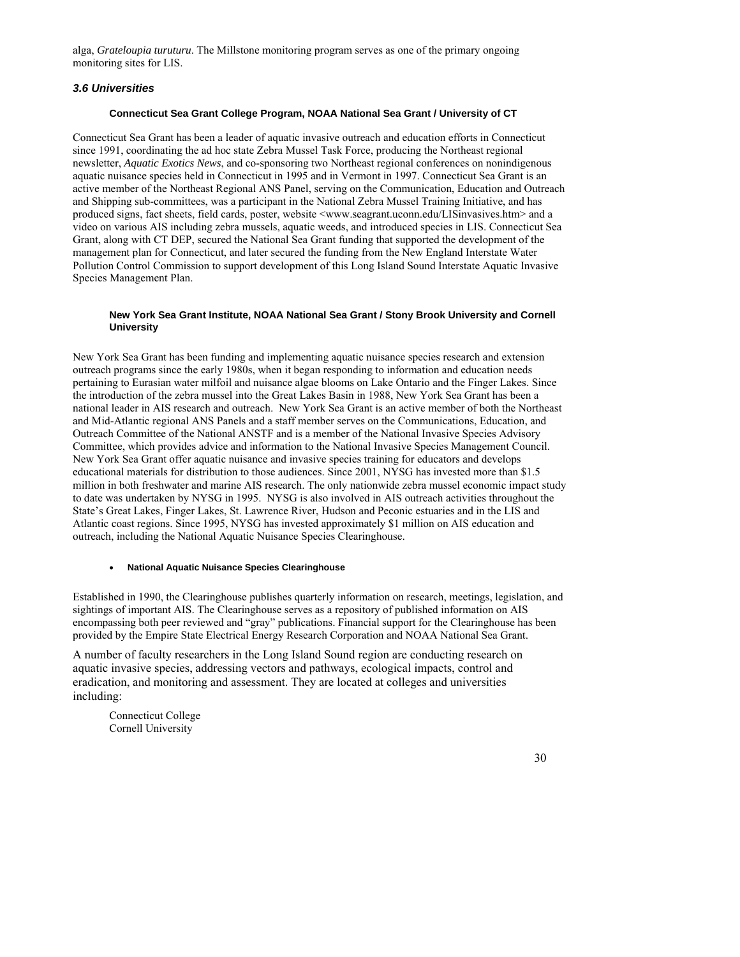alga, *Grateloupia turuturu*. The Millstone monitoring program serves as one of the primary ongoing monitoring sites for LIS.

## *3.6 Universities*

#### **Connecticut Sea Grant College Program, NOAA National Sea Grant / University of CT**

Connecticut Sea Grant has been a leader of aquatic invasive outreach and education efforts in Connecticut since 1991, coordinating the ad hoc state Zebra Mussel Task Force, producing the Northeast regional newsletter, *Aquatic Exotics News*, and co-sponsoring two Northeast regional conferences on nonindigenous aquatic nuisance species held in Connecticut in 1995 and in Vermont in 1997. Connecticut Sea Grant is an active member of the Northeast Regional ANS Panel, serving on the Communication, Education and Outreach and Shipping sub-committees, was a participant in the National Zebra Mussel Training Initiative, and has produced signs, fact sheets, field cards, poster, website <www.seagrant.uconn.edu/LISinvasives.htm> and a video on various AIS including zebra mussels, aquatic weeds, and introduced species in LIS. Connecticut Sea Grant, along with CT DEP, secured the National Sea Grant funding that supported the development of the management plan for Connecticut, and later secured the funding from the New England Interstate Water Pollution Control Commission to support development of this Long Island Sound Interstate Aquatic Invasive Species Management Plan.

#### **New York Sea Grant Institute, NOAA National Sea Grant / Stony Brook University and Cornell University**

New York Sea Grant has been funding and implementing aquatic nuisance species research and extension outreach programs since the early 1980s, when it began responding to information and education needs pertaining to Eurasian water milfoil and nuisance algae blooms on Lake Ontario and the Finger Lakes. Since the introduction of the zebra mussel into the Great Lakes Basin in 1988, New York Sea Grant has been a national leader in AIS research and outreach. New York Sea Grant is an active member of both the Northeast and Mid-Atlantic regional ANS Panels and a staff member serves on the Communications, Education, and Outreach Committee of the National ANSTF and is a member of the National Invasive Species Advisory Committee, which provides advice and information to the National Invasive Species Management Council. New York Sea Grant offer aquatic nuisance and invasive species training for educators and develops educational materials for distribution to those audiences. Since 2001, NYSG has invested more than \$1.5 million in both freshwater and marine AIS research. The only nationwide zebra mussel economic impact study to date was undertaken by NYSG in 1995. NYSG is also involved in AIS outreach activities throughout the State's Great Lakes, Finger Lakes, St. Lawrence River, Hudson and Peconic estuaries and in the LIS and Atlantic coast regions. Since 1995, NYSG has invested approximately \$1 million on AIS education and outreach, including the National Aquatic Nuisance Species Clearinghouse.

#### • **National Aquatic Nuisance Species Clearinghouse**

Established in 1990, the Clearinghouse publishes quarterly information on research, meetings, legislation, and sightings of important AIS. The Clearinghouse serves as a repository of published information on AIS encompassing both peer reviewed and "gray" publications. Financial support for the Clearinghouse has been provided by the Empire State Electrical Energy Research Corporation and NOAA National Sea Grant.

A number of faculty researchers in the Long Island Sound region are conducting research on aquatic invasive species, addressing vectors and pathways, ecological impacts, control and eradication, and monitoring and assessment. They are located at colleges and universities including:

Connecticut College Cornell University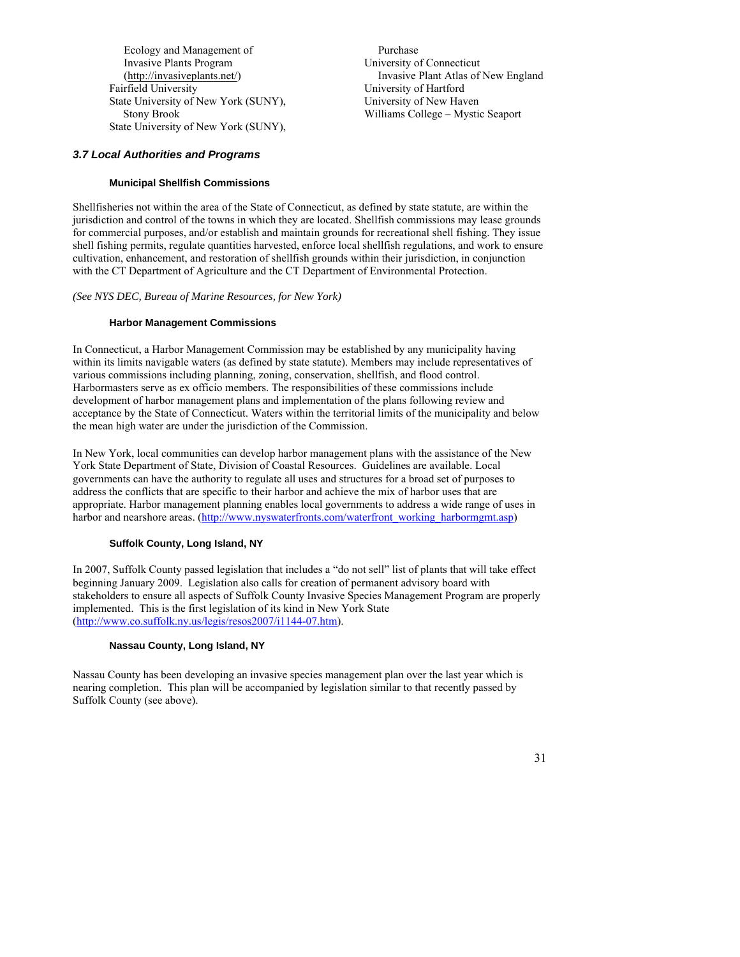Ecology and Management of Invasive Plants Program (<http://invasiveplants.net/>) Fairfield University State University of New York (SUNY), Stony Brook State University of New York (SUNY),

 Purchase University of Connecticut Invasive Plant Atlas of New England University of Hartford University of New Haven Williams College – Mystic Seaport

# *3.7 Local Authorities and Programs*

# **Municipal Shellfish Commissions**

Shellfisheries not within the area of the State of Connecticut, as defined by state statute, are within the jurisdiction and control of the towns in which they are located. Shellfish commissions may lease grounds for commercial purposes, and/or establish and maintain grounds for recreational shell fishing. They issue shell fishing permits, regulate quantities harvested, enforce local shellfish regulations, and work to ensure cultivation, enhancement, and restoration of shellfish grounds within their jurisdiction, in conjunction with the CT Department of Agriculture and the CT Department of Environmental Protection.

### *(See NYS DEC, Bureau of Marine Resources, for New York)*

### **Harbor Management Commissions**

In Connecticut, a Harbor Management Commission may be established by any municipality having within its limits navigable waters (as defined by state statute). Members may include representatives of various commissions including planning, zoning, conservation, shellfish, and flood control. Harbormasters serve as ex officio members. The responsibilities of these commissions include development of harbor management plans and implementation of the plans following review and acceptance by the State of Connecticut. Waters within the territorial limits of the municipality and below the mean high water are under the jurisdiction of the Commission.

In New York, local communities can develop harbor management plans with the assistance of the New York State Department of State, Division of Coastal Resources. Guidelines are available. Local governments can have the authority to regulate all uses and structures for a broad set of purposes to address the conflicts that are specific to their harbor and achieve the mix of harbor uses that are appropriate. Harbor management planning enables local governments to address a wide range of uses in harbor and nearshore areas. ([http://www.nyswaterfronts.com/waterfront\\_working\\_harbormgmt.asp](http://www.nyswaterfronts.com/waterfront_working_harbormgmt.asp))

# **Suffolk County, Long Island, NY**

In 2007, Suffolk County passed legislation that includes a "do not sell" list of plants that will take effect beginning January 2009. Legislation also calls for creation of permanent advisory board with stakeholders to ensure all aspects of Suffolk County Invasive Species Management Program are properly implemented. This is the first legislation of its kind in New York State [\(http://www.co.suffolk.ny.us/legis/resos2007/i1144-07.htm](http://www.co.suffolk.ny.us/legis/resos2007/i1144-07.htm)).

#### **Nassau County, Long Island, NY**

Nassau County has been developing an invasive species management plan over the last year which is nearing completion. This plan will be accompanied by legislation similar to that recently passed by Suffolk County (see above).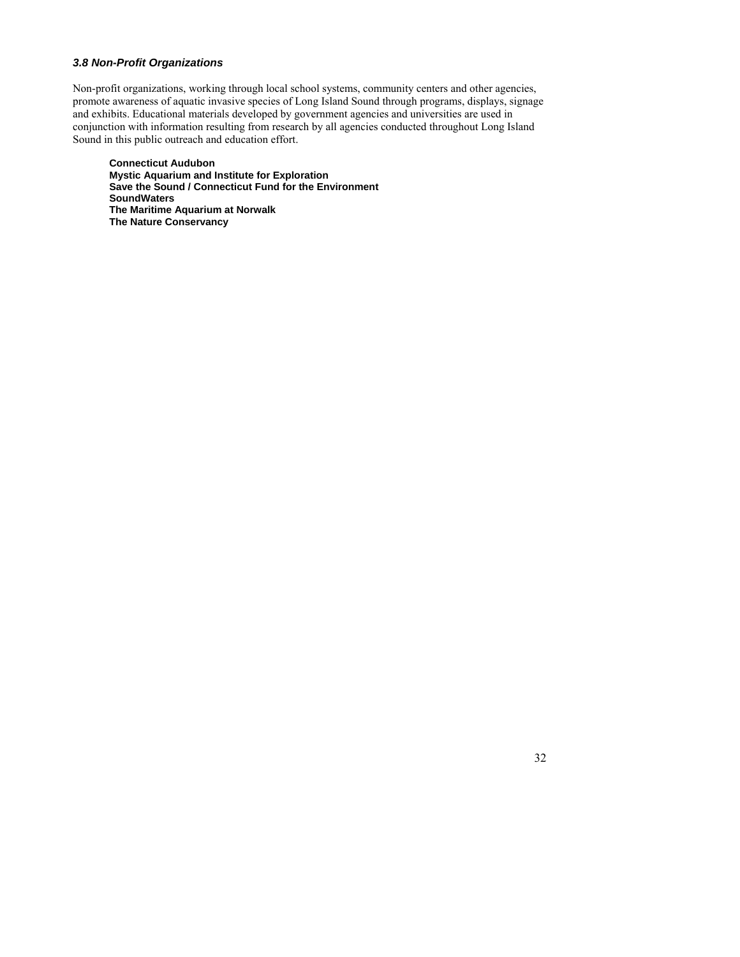# *3.8 Non-Profit Organizations*

Non-profit organizations, working through local school systems, community centers and other agencies, promote awareness of aquatic invasive species of Long Island Sound through programs, displays, signage and exhibits. Educational materials developed by government agencies and universities are used in conjunction with information resulting from research by all agencies conducted throughout Long Island Sound in this public outreach and education effort.

**Connecticut Audubon Mystic Aquarium and Institute for Exploration Save the Sound / Connecticut Fund for the Environment SoundWaters The Maritime Aquarium at Norwalk The Nature Conservancy**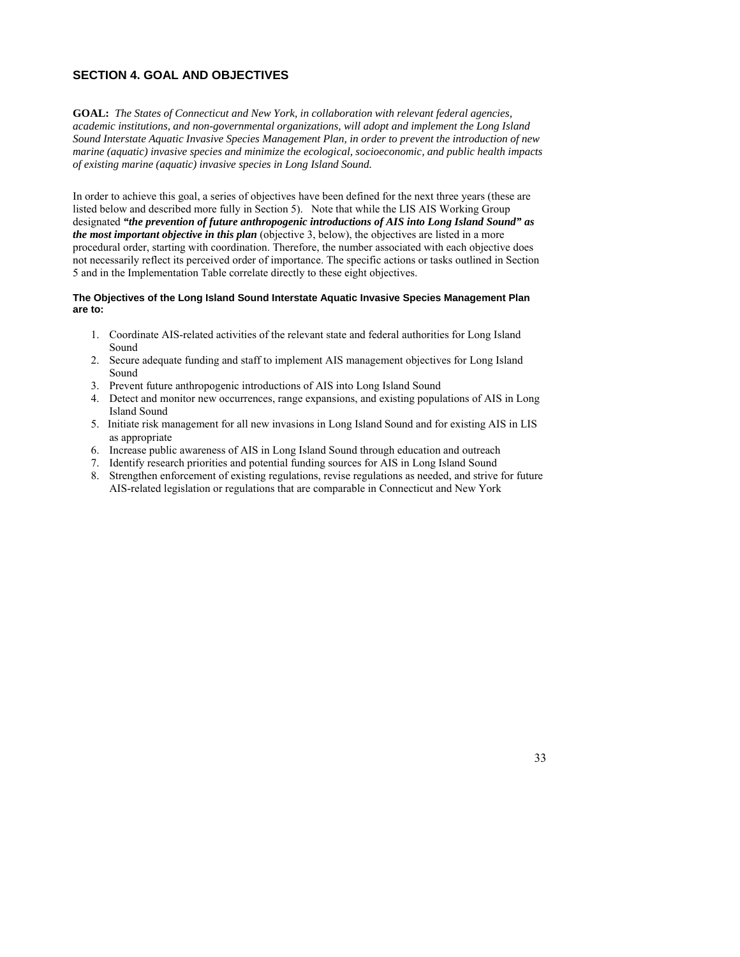# **SECTION 4. GOAL AND OBJECTIVES**

**GOAL:** *The States of Connecticut and New York, in collaboration with relevant federal agencies, academic institutions, and non-governmental organizations, will adopt and implement the Long Island Sound Interstate Aquatic Invasive Species Management Plan, in order to prevent the introduction of new marine (aquatic) invasive species and minimize the ecological, socioeconomic, and public health impacts of existing marine (aquatic) invasive species in Long Island Sound.* 

In order to achieve this goal, a series of objectives have been defined for the next three years (these are listed below and described more fully in Section 5). Note that while the LIS AIS Working Group designated *"the prevention of future anthropogenic introductions of AIS into Long Island Sound" as the most important objective in this plan* (objective 3, below), the objectives are listed in a more procedural order, starting with coordination. Therefore, the number associated with each objective does not necessarily reflect its perceived order of importance. The specific actions or tasks outlined in Section 5 and in the Implementation Table correlate directly to these eight objectives.

#### **The Objectives of the Long Island Sound Interstate Aquatic Invasive Species Management Plan are to:**

- 1. Coordinate AIS-related activities of the relevant state and federal authorities for Long Island Sound
- 2. Secure adequate funding and staff to implement AIS management objectives for Long Island Sound
- 3. Prevent future anthropogenic introductions of AIS into Long Island Sound
- 4. Detect and monitor new occurrences, range expansions, and existing populations of AIS in Long Island Sound
- 5. Initiate risk management for all new invasions in Long Island Sound and for existing AIS in LIS as appropriate
- 6. Increase public awareness of AIS in Long Island Sound through education and outreach
- 7. Identify research priorities and potential funding sources for AIS in Long Island Sound
- 8. Strengthen enforcement of existing regulations, revise regulations as needed, and strive for future AIS-related legislation or regulations that are comparable in Connecticut and New York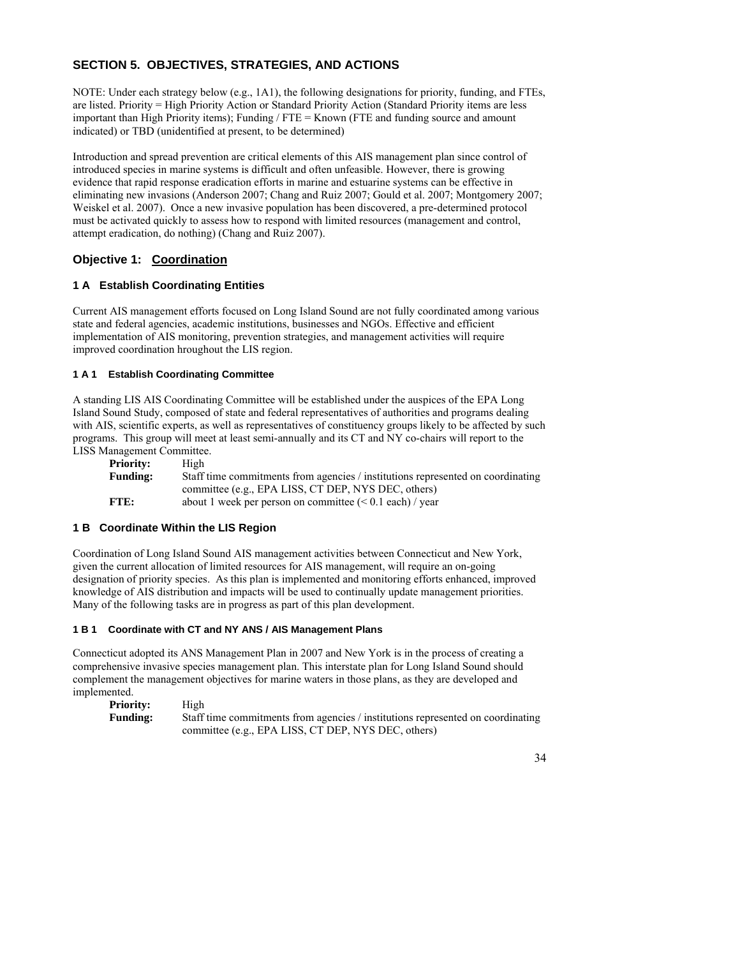# **SECTION 5. OBJECTIVES, STRATEGIES, AND ACTIONS**

NOTE: Under each strategy below (e.g., 1A1), the following designations for priority, funding, and FTEs, are listed. Priority = High Priority Action or Standard Priority Action (Standard Priority items are less important than High Priority items); Funding / FTE = Known (FTE and funding source and amount indicated) or TBD (unidentified at present, to be determined)

Introduction and spread prevention are critical elements of this AIS management plan since control of introduced species in marine systems is difficult and often unfeasible. However, there is growing evidence that rapid response eradication efforts in marine and estuarine systems can be effective in eliminating new invasions (Anderson 2007; Chang and Ruiz 2007; Gould et al. 2007; Montgomery 2007; Weiskel et al. 2007). Once a new invasive population has been discovered, a pre-determined protocol must be activated quickly to assess how to respond with limited resources (management and control, attempt eradication, do nothing) (Chang and Ruiz 2007).

# **Objective 1: Coordination**

# **1 A Establish Coordinating Entities**

Current AIS management efforts focused on Long Island Sound are not fully coordinated among various state and federal agencies, academic institutions, businesses and NGOs. Effective and efficient implementation of AIS monitoring, prevention strategies, and management activities will require improved coordination hroughout the LIS region.

# **1 A 1 Establish Coordinating Committee**

A standing LIS AIS Coordinating Committee will be established under the auspices of the EPA Long Island Sound Study, composed of state and federal representatives of authorities and programs dealing with AIS, scientific experts, as well as representatives of constituency groups likely to be affected by such programs. This group will meet at least semi-annually and its CT and NY co-chairs will report to the LISS Management Committee.

| <b>Priority:</b> | High                                                                            |
|------------------|---------------------------------------------------------------------------------|
| <b>Funding:</b>  | Staff time commitments from agencies / institutions represented on coordinating |
|                  | committee (e.g., EPA LISS, CT DEP, NYS DEC, others)                             |
| FTE:             | about 1 week per person on committee $(< 0.1$ each) / year                      |

# **1 B Coordinate Within the LIS Region**

Coordination of Long Island Sound AIS management activities between Connecticut and New York, given the current allocation of limited resources for AIS management, will require an on-going designation of priority species. As this plan is implemented and monitoring efforts enhanced, improved knowledge of AIS distribution and impacts will be used to continually update management priorities. Many of the following tasks are in progress as part of this plan development.

# **1 B 1 Coordinate with CT and NY ANS / AIS Management Plans**

Connecticut adopted its ANS Management Plan in 2007 and New York is in the process of creating a comprehensive invasive species management plan. This interstate plan for Long Island Sound should complement the management objectives for marine waters in those plans, as they are developed and implemented.

| <b>Priority:</b> | High                                                                            |
|------------------|---------------------------------------------------------------------------------|
| <b>Funding:</b>  | Staff time commitments from agencies / institutions represented on coordinating |
|                  | committee (e.g., EPA LISS, CT DEP, NYS DEC, others)                             |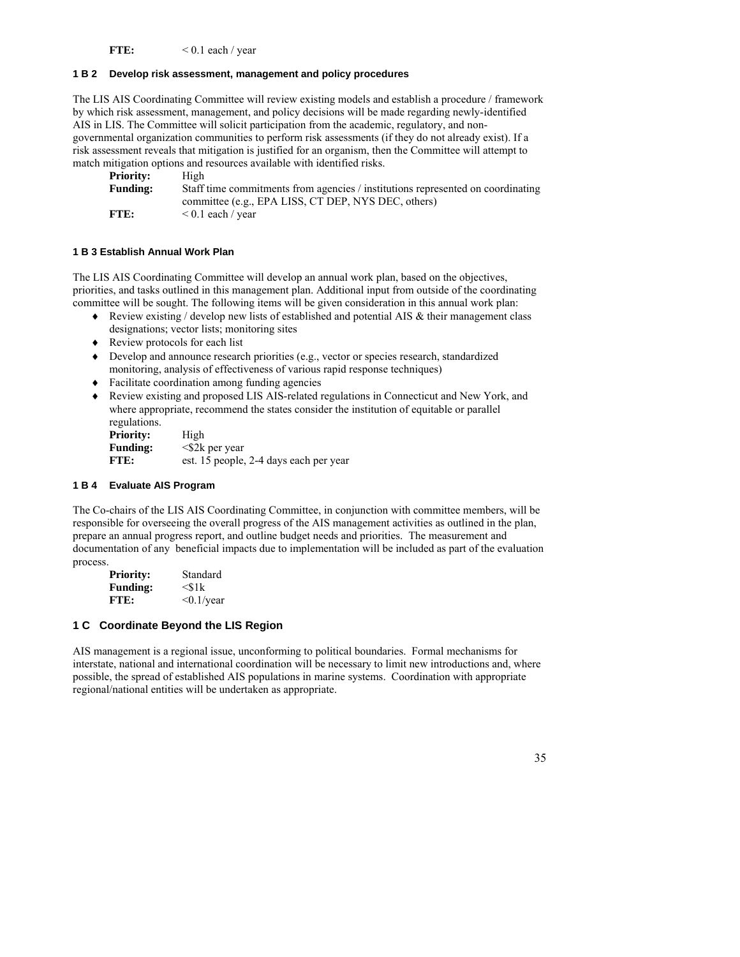FTE:  $< 0.1$  each / year

## **1 B 2 Develop risk assessment, management and policy procedures**

The LIS AIS Coordinating Committee will review existing models and establish a procedure / framework by which risk assessment, management, and policy decisions will be made regarding newly-identified AIS in LIS. The Committee will solicit participation from the academic, regulatory, and nongovernmental organization communities to perform risk assessments (if they do not already exist). If a risk assessment reveals that mitigation is justified for an organism, then the Committee will attempt to match mitigation options and resources available with identified risks.

| <b>Priority:</b> | High                                                                            |
|------------------|---------------------------------------------------------------------------------|
| <b>Funding:</b>  | Staff time commitments from agencies / institutions represented on coordinating |
|                  | committee (e.g., EPA LISS, CT DEP, NYS DEC, others)                             |
| FTE:             | $\leq 0.1$ each / year                                                          |

### **1 B 3 Establish Annual Work Plan**

The LIS AIS Coordinating Committee will develop an annual work plan, based on the objectives, priorities, and tasks outlined in this management plan. Additional input from outside of the coordinating committee will be sought. The following items will be given consideration in this annual work plan:

- ♦ Review existing / develop new lists of established and potential AIS & their management class designations; vector lists; monitoring sites
- ♦ Review protocols for each list
- ♦ Develop and announce research priorities (e.g., vector or species research, standardized monitoring, analysis of effectiveness of various rapid response techniques)
- ♦ Facilitate coordination among funding agencies
- ♦ Review existing and proposed LIS AIS-related regulations in Connecticut and New York, and where appropriate, recommend the states consider the institution of equitable or parallel regulations.

| <b>Priority:</b> | High                                   |
|------------------|----------------------------------------|
| <b>Funding:</b>  | $\langle$ S2k per year                 |
| FTE:             | est. 15 people, 2-4 days each per year |

## **1 B 4 Evaluate AIS Program**

The Co-chairs of the LIS AIS Coordinating Committee, in conjunction with committee members, will be responsible for overseeing the overall progress of the AIS management activities as outlined in the plan, prepare an annual progress report, and outline budget needs and priorities. The measurement and documentation of any beneficial impacts due to implementation will be included as part of the evaluation process.

| <b>Priority:</b> | Standard         |
|------------------|------------------|
| <b>Funding:</b>  | $<$ s1k          |
| FTE:             | $\leq 0.1$ /year |

# **1 C Coordinate Beyond the LIS Region**

AIS management is a regional issue, unconforming to political boundaries. Formal mechanisms for interstate, national and international coordination will be necessary to limit new introductions and, where possible, the spread of established AIS populations in marine systems. Coordination with appropriate regional/national entities will be undertaken as appropriate.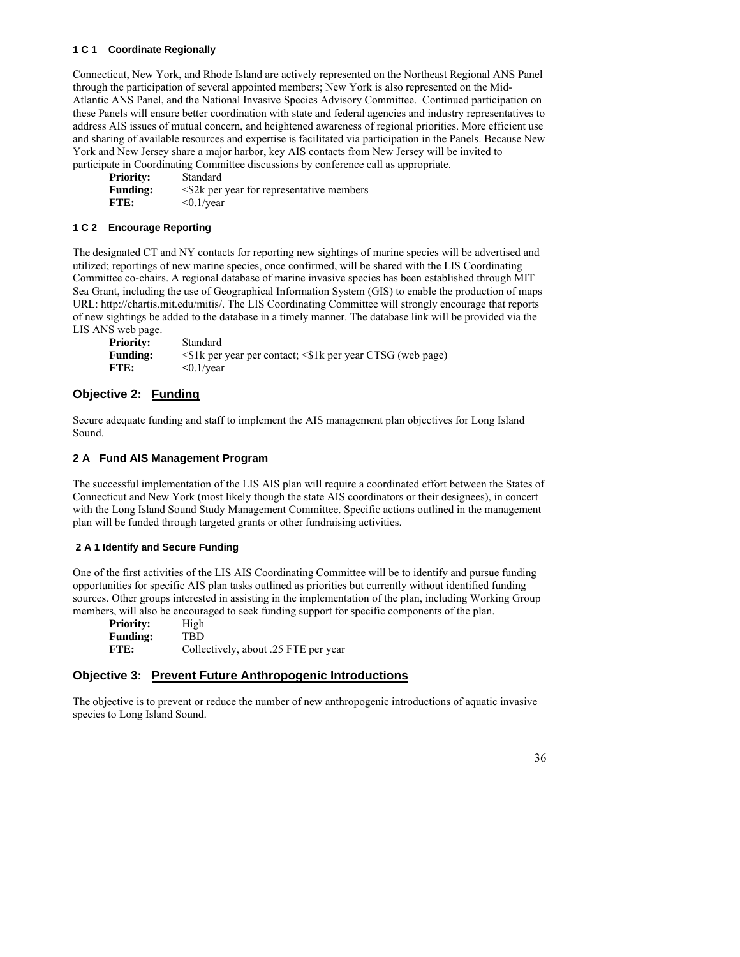### **1 C 1 Coordinate Regionally**

Connecticut, New York, and Rhode Island are actively represented on the Northeast Regional ANS Panel through the participation of several appointed members; New York is also represented on the Mid-Atlantic ANS Panel, and the National Invasive Species Advisory Committee. Continued participation on these Panels will ensure better coordination with state and federal agencies and industry representatives to address AIS issues of mutual concern, and heightened awareness of regional priorities. More efficient use and sharing of available resources and expertise is facilitated via participation in the Panels. Because New York and New Jersey share a major harbor, key AIS contacts from New Jersey will be invited to participate in Coordinating Committee discussions by conference call as appropriate.

**Priority:** Standard **Funding:**  $\leq$  \$2k per year for representative members **FTE:**  $\leq 0.1/\text{year}$ 

#### **1 C 2 Encourage Reporting**

The designated CT and NY contacts for reporting new sightings of marine species will be advertised and utilized; reportings of new marine species, once confirmed, will be shared with the LIS Coordinating Committee co-chairs. A regional database of marine invasive species has been established through MIT Sea Grant, including the use of Geographical Information System (GIS) to enable the production of maps URL: http://chartis.mit.edu/mitis/. The LIS Coordinating Committee will strongly encourage that reports of new sightings be added to the database in a timely manner. The database link will be provided via the LIS ANS web page.

| <b>Priority:</b> | Standard                                                           |
|------------------|--------------------------------------------------------------------|
| <b>Funding:</b>  | $\leq$ 1k per year per contact; $\leq$ 1k per year CTSG (web page) |
| FTE:             | $\langle 0.1/\text{year}$                                          |

# **Objective 2: Funding**

Secure adequate funding and staff to implement the AIS management plan objectives for Long Island Sound.

### **2 A Fund AIS Management Program**

The successful implementation of the LIS AIS plan will require a coordinated effort between the States of Connecticut and New York (most likely though the state AIS coordinators or their designees), in concert with the Long Island Sound Study Management Committee. Specific actions outlined in the management plan will be funded through targeted grants or other fundraising activities.

#### **2 A 1 Identify and Secure Funding**

One of the first activities of the LIS AIS Coordinating Committee will be to identify and pursue funding opportunities for specific AIS plan tasks outlined as priorities but currently without identified funding sources. Other groups interested in assisting in the implementation of the plan, including Working Group members, will also be encouraged to seek funding support for specific components of the plan.

| <b>Priority:</b> | High                                 |
|------------------|--------------------------------------|
| <b>Funding:</b>  | TBD.                                 |
| FTE:             | Collectively, about .25 FTE per year |

# **Objective 3: Prevent Future Anthropogenic Introductions**

The objective is to prevent or reduce the number of new anthropogenic introductions of aquatic invasive species to Long Island Sound.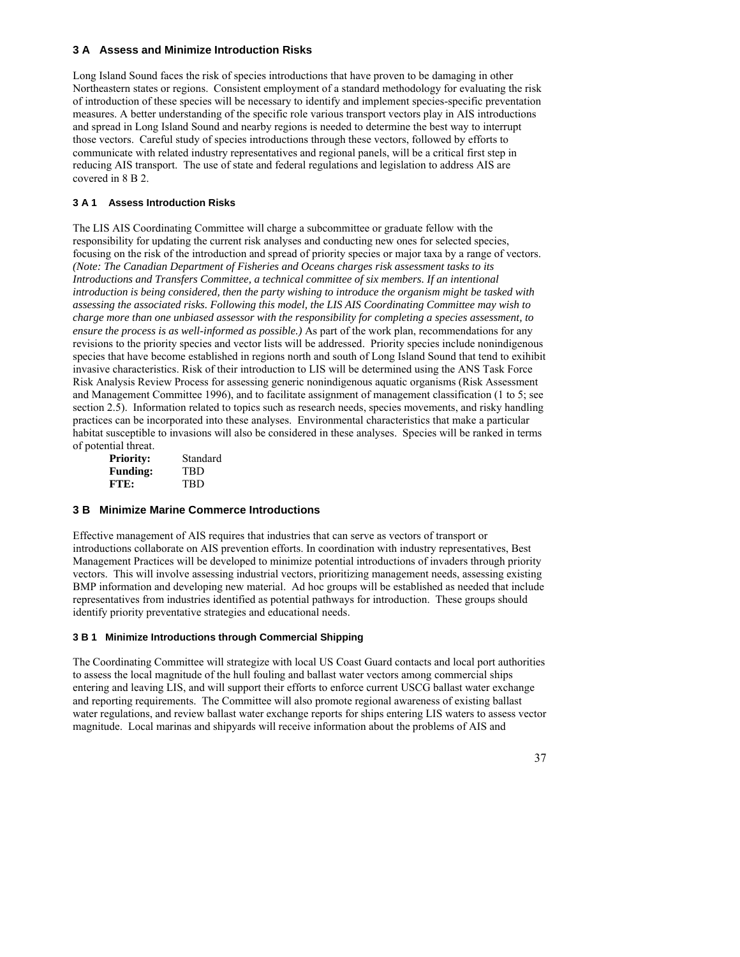# **3 A Assess and Minimize Introduction Risks**

Long Island Sound faces the risk of species introductions that have proven to be damaging in other Northeastern states or regions. Consistent employment of a standard methodology for evaluating the risk of introduction of these species will be necessary to identify and implement species-specific preventation measures. A better understanding of the specific role various transport vectors play in AIS introductions and spread in Long Island Sound and nearby regions is needed to determine the best way to interrupt those vectors. Careful study of species introductions through these vectors, followed by efforts to communicate with related industry representatives and regional panels, will be a critical first step in reducing AIS transport. The use of state and federal regulations and legislation to address AIS are covered in 8 B 2.

## **3 A 1 Assess Introduction Risks**

The LIS AIS Coordinating Committee will charge a subcommittee or graduate fellow with the responsibility for updating the current risk analyses and conducting new ones for selected species, focusing on the risk of the introduction and spread of priority species or major taxa by a range of vectors. *(Note: The Canadian Department of Fisheries and Oceans charges risk assessment tasks to its Introductions and Transfers Committee, a technical committee of six members. If an intentional introduction is being considered, then the party wishing to introduce the organism might be tasked with assessing the associated risks. Following this model, the LIS AIS Coordinating Committee may wish to charge more than one unbiased assessor with the responsibility for completing a species assessment, to ensure the process is as well-informed as possible.)* As part of the work plan, recommendations for any revisions to the priority species and vector lists will be addressed. Priority species include nonindigenous species that have become established in regions north and south of Long Island Sound that tend to exihibit invasive characteristics. Risk of their introduction to LIS will be determined using the ANS Task Force Risk Analysis Review Process for assessing generic nonindigenous aquatic organisms (Risk Assessment and Management Committee 1996), and to facilitate assignment of management classification (1 to 5; see section 2.5). Information related to topics such as research needs, species movements, and risky handling practices can be incorporated into these analyses. Environmental characteristics that make a particular habitat susceptible to invasions will also be considered in these analyses. Species will be ranked in terms of potential threat.

| <b>Priority:</b> | Standard   |
|------------------|------------|
| <b>Funding:</b>  | <b>TBD</b> |
| FTE:             | TBD        |

#### **3 B Minimize Marine Commerce Introductions**

Effective management of AIS requires that industries that can serve as vectors of transport or introductions collaborate on AIS prevention efforts. In coordination with industry representatives, Best Management Practices will be developed to minimize potential introductions of invaders through priority vectors. This will involve assessing industrial vectors, prioritizing management needs, assessing existing BMP information and developing new material. Ad hoc groups will be established as needed that include representatives from industries identified as potential pathways for introduction. These groups should identify priority preventative strategies and educational needs.

# **3 B 1 Minimize Introductions through Commercial Shipping**

The Coordinating Committee will strategize with local US Coast Guard contacts and local port authorities to assess the local magnitude of the hull fouling and ballast water vectors among commercial ships entering and leaving LIS, and will support their efforts to enforce current USCG ballast water exchange and reporting requirements. The Committee will also promote regional awareness of existing ballast water regulations, and review ballast water exchange reports for ships entering LIS waters to assess vector magnitude. Local marinas and shipyards will receive information about the problems of AIS and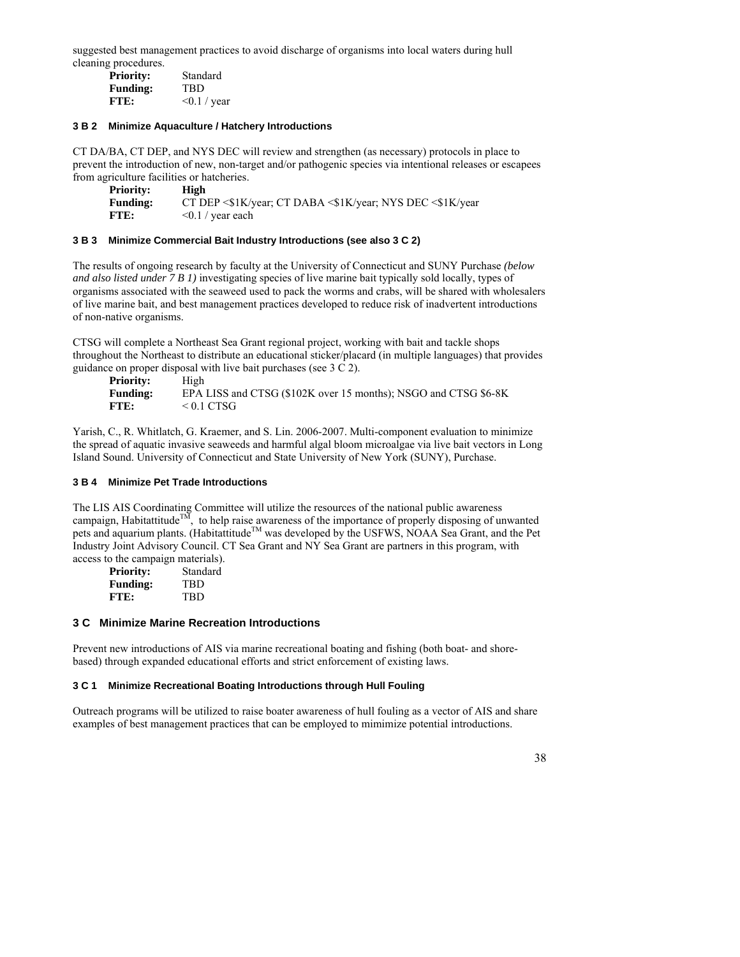suggested best management practices to avoid discharge of organisms into local waters during hull cleaning procedures.

| <b>Priority:</b> | Standard          |
|------------------|-------------------|
| <b>Funding:</b>  | <b>TRD</b>        |
| FTE:             | $\leq 0.1$ / year |

#### **3 B 2 Minimize Aquaculture / Hatchery Introductions**

CT DA/BA, CT DEP, and NYS DEC will review and strengthen (as necessary) protocols in place to prevent the introduction of new, non-target and/or pathogenic species via intentional releases or escapees from agriculture facilities or hatcheries.

| Prioritv:       | High                                                                  |
|-----------------|-----------------------------------------------------------------------|
| <b>Funding:</b> | CT DEP $\leq$ 1K/year; CT DABA $\leq$ 1K/year; NYS DEC $\leq$ 1K/year |
| FTE:            | $\leq 0.1$ / year each                                                |

#### **3 B 3 Minimize Commercial Bait Industry Introductions (see also 3 C 2)**

The results of ongoing research by faculty at the University of Connecticut and SUNY Purchase *(below and also listed under 7 B 1)* investigating species of live marine bait typically sold locally, types of organisms associated with the seaweed used to pack the worms and crabs, will be shared with wholesalers of live marine bait, and best management practices developed to reduce risk of inadvertent introductions of non-native organisms.

CTSG will complete a Northeast Sea Grant regional project, working with bait and tackle shops throughout the Northeast to distribute an educational sticker/placard (in multiple languages) that provides guidance on proper disposal with live bait purchases (see 3 C 2).

| <b>Priority:</b> | High                                                            |
|------------------|-----------------------------------------------------------------|
| <b>Funding:</b>  | EPA LISS and CTSG (\$102K over 15 months); NSGO and CTSG \$6-8K |
| FTE:             | $\leq 0.1$ CTSG                                                 |

Yarish, C., R. Whitlatch, G. Kraemer, and S. Lin. 2006-2007. Multi-component evaluation to minimize the spread of aquatic invasive seaweeds and harmful algal bloom microalgae via live bait vectors in Long Island Sound. University of Connecticut and State University of New York (SUNY), Purchase.

#### **3 B 4 Minimize Pet Trade Introductions**

The LIS AIS Coordinating Committee will utilize the resources of the national public awareness campaign, Habitattitude<sup>TM</sup>, to help raise awareness of the importance of properly disposing of unwanted pets and aquarium plants. (Habitattitude<sup>TM</sup> was developed by the USFWS, NOAA Sea Grant, and the Pet Industry Joint Advisory Council. CT Sea Grant and NY Sea Grant are partners in this program, with access to the campaign materials).

|                  | . .      |
|------------------|----------|
| <b>Priority:</b> | Standard |
| <b>Funding:</b>  | TBD      |
| FTE:             | TBD      |

#### **3 C Minimize Marine Recreation Introductions**

Prevent new introductions of AIS via marine recreational boating and fishing (both boat- and shorebased) through expanded educational efforts and strict enforcement of existing laws.

#### **3 C 1 Minimize Recreational Boating Introductions through Hull Fouling**

Outreach programs will be utilized to raise boater awareness of hull fouling as a vector of AIS and share examples of best management practices that can be employed to mimimize potential introductions.

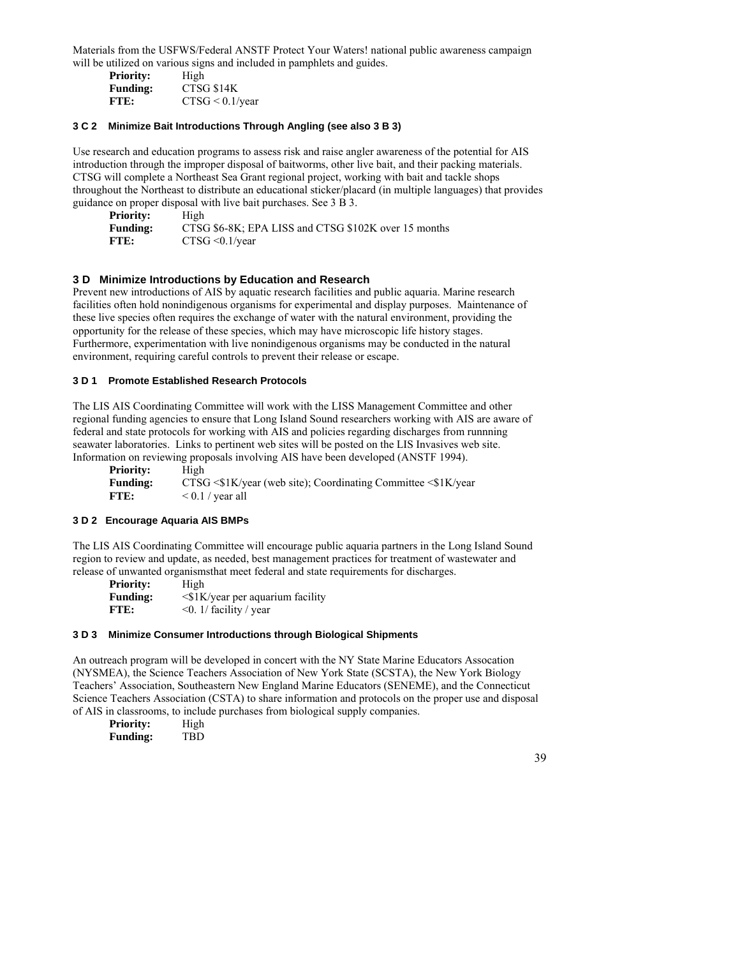Materials from the USFWS/Federal ANSTF Protect Your Waters! national public awareness campaign will be utilized on various signs and included in pamphlets and guides.

| <b>Priority:</b> | High               |
|------------------|--------------------|
| <b>Funding:</b>  | CTSG \$14K         |
| FTE:             | $CTSG < 0.1$ /year |

#### **3 C 2 Minimize Bait Introductions Through Angling (see also 3 B 3)**

Use research and education programs to assess risk and raise angler awareness of the potential for AIS introduction through the improper disposal of baitworms, other live bait, and their packing materials. CTSG will complete a Northeast Sea Grant regional project, working with bait and tackle shops throughout the Northeast to distribute an educational sticker/placard (in multiple languages) that provides guidance on proper disposal with live bait purchases. See 3 B 3.

| <b>Priority:</b> | High                                                 |
|------------------|------------------------------------------------------|
| <b>Funding:</b>  | CTSG \$6-8K; EPA LISS and CTSG \$102K over 15 months |
| FTE:             | $CTSG \leq 0.1/\text{year}$                          |

# **3 D Minimize Introductions by Education and Research**

Prevent new introductions of AIS by aquatic research facilities and public aquaria. Marine research facilities often hold nonindigenous organisms for experimental and display purposes. Maintenance of these live species often requires the exchange of water with the natural environment, providing the opportunity for the release of these species, which may have microscopic life history stages. Furthermore, experimentation with live nonindigenous organisms may be conducted in the natural environment, requiring careful controls to prevent their release or escape.

#### **3 D 1 Promote Established Research Protocols**

The LIS AIS Coordinating Committee will work with the LISS Management Committee and other regional funding agencies to ensure that Long Island Sound researchers working with AIS are aware of federal and state protocols for working with AIS and policies regarding discharges from runnning seawater laboratories. Links to pertinent web sites will be posted on the LIS Invasives web site. Information on reviewing proposals involving AIS have been developed (ANSTF 1994).

**Priority:** High **Funding:** CTSG <\$1K/year (web site); Coordinating Committee <\$1K/year **FTE:**  $< 0.1 / \text{year all}$ 

#### **3 D 2 Encourage Aquaria AIS BMPs**

The LIS AIS Coordinating Committee will encourage public aquaria partners in the Long Island Sound region to review and update, as needed, best management practices for treatment of wastewater and release of unwanted organismsthat meet federal and state requirements for discharges.

| <b>Priority:</b> | High                                      |
|------------------|-------------------------------------------|
| <b>Funding:</b>  | $\langle$ \$1K/year per aquarium facility |
| FTE:             | $\leq 0$ . 1/ facility / year             |

# **3 D 3 Minimize Consumer Introductions through Biological Shipments**

An outreach program will be developed in concert with the NY State Marine Educators Assocation (NYSMEA), the Science Teachers Association of New York State (SCSTA), the New York Biology Teachers' Association, Southeastern New England Marine Educators (SENEME), and the Connecticut Science Teachers Association (CSTA) to share information and protocols on the proper use and disposal of AIS in classrooms, to include purchases from biological supply companies.

| <b>Priority:</b> | High       |  |
|------------------|------------|--|
| <b>Funding:</b>  | <b>TBD</b> |  |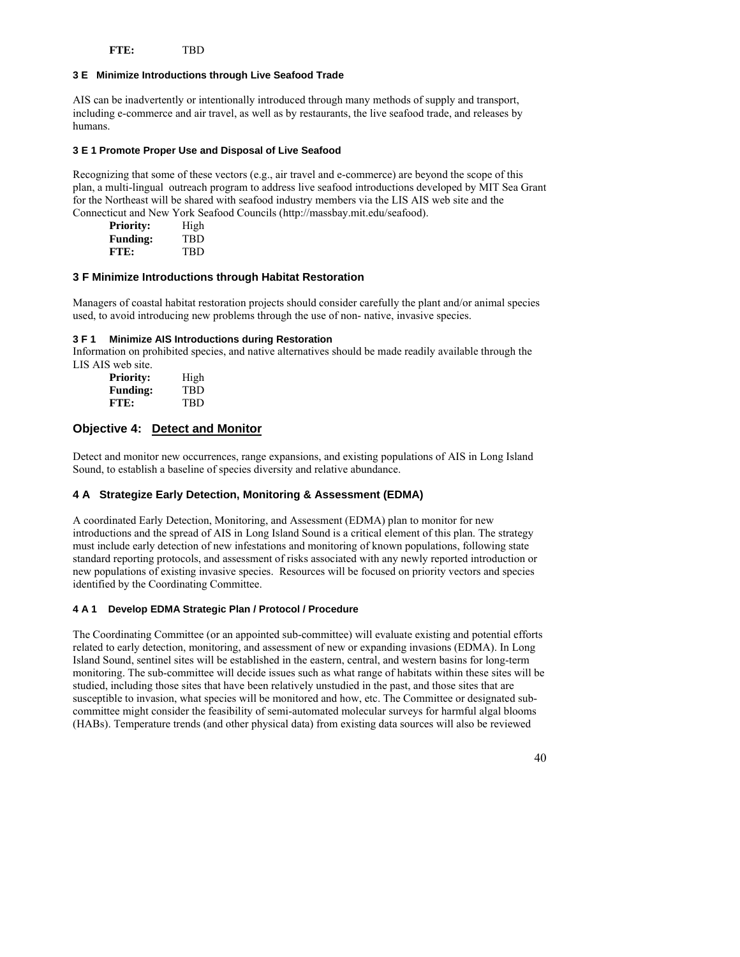**FTE:** TBD

#### **3 E Minimize Introductions through Live Seafood Trade**

AIS can be inadvertently or intentionally introduced through many methods of supply and transport, including e-commerce and air travel, as well as by restaurants, the live seafood trade, and releases by humans.

#### **3 E 1 Promote Proper Use and Disposal of Live Seafood**

Recognizing that some of these vectors (e.g., air travel and e-commerce) are beyond the scope of this plan, a multi-lingual outreach program to address live seafood introductions developed by MIT Sea Grant for the Northeast will be shared with seafood industry members via the LIS AIS web site and the Connecticut and New York Seafood Councils (http://massbay.mit.edu/seafood).

| <b>Priority:</b> | High |
|------------------|------|
| <b>Funding:</b>  | TBD  |
| FTE:             | TBD  |

#### **3 F Minimize Introductions through Habitat Restoration**

Managers of coastal habitat restoration projects should consider carefully the plant and/or animal species used, to avoid introducing new problems through the use of non- native, invasive species.

#### **3 F 1 Minimize AIS Introductions during Restoration**

Information on prohibited species, and native alternatives should be made readily available through the LIS AIS web site.

| <b>Priority:</b> | High       |
|------------------|------------|
| <b>Funding:</b>  | TBD        |
| FTE:             | <b>TRD</b> |

### **Objective 4: Detect and Monitor**

Detect and monitor new occurrences, range expansions, and existing populations of AIS in Long Island Sound, to establish a baseline of species diversity and relative abundance.

#### **4 A Strategize Early Detection, Monitoring & Assessment (EDMA)**

A coordinated Early Detection, Monitoring, and Assessment (EDMA) plan to monitor for new introductions and the spread of AIS in Long Island Sound is a critical element of this plan. The strategy must include early detection of new infestations and monitoring of known populations, following state standard reporting protocols, and assessment of risks associated with any newly reported introduction or new populations of existing invasive species. Resources will be focused on priority vectors and species identified by the Coordinating Committee.

#### **4 A 1 Develop EDMA Strategic Plan / Protocol / Procedure**

The Coordinating Committee (or an appointed sub-committee) will evaluate existing and potential efforts related to early detection, monitoring, and assessment of new or expanding invasions (EDMA). In Long Island Sound, sentinel sites will be established in the eastern, central, and western basins for long-term monitoring. The sub-committee will decide issues such as what range of habitats within these sites will be studied, including those sites that have been relatively unstudied in the past, and those sites that are susceptible to invasion, what species will be monitored and how, etc. The Committee or designated subcommittee might consider the feasibility of semi-automated molecular surveys for harmful algal blooms (HABs). Temperature trends (and other physical data) from existing data sources will also be reviewed

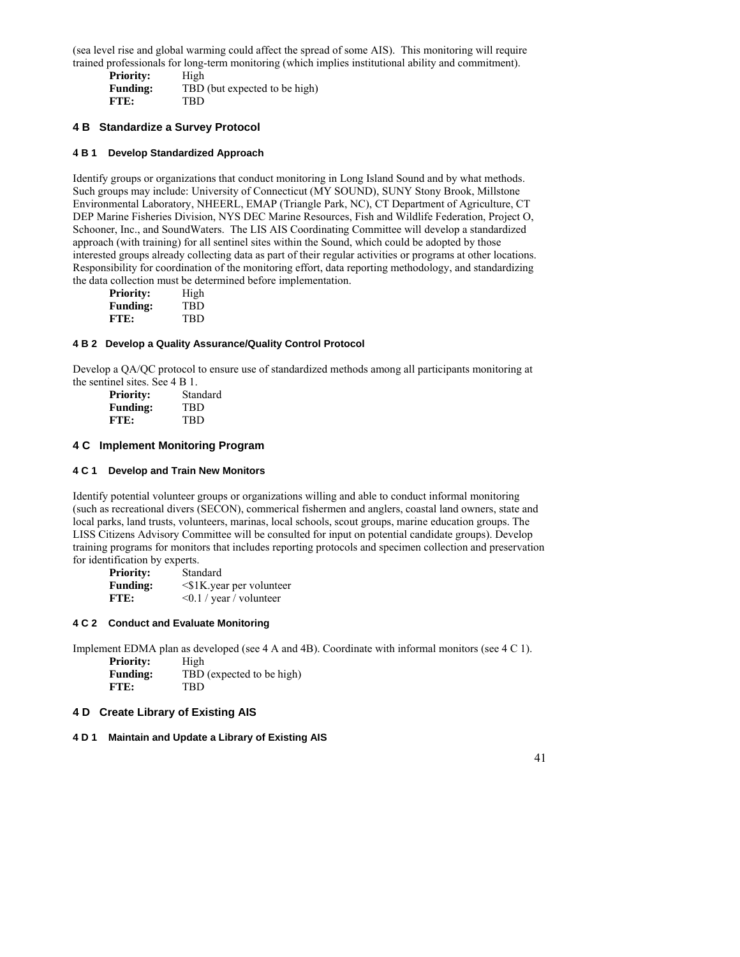(sea level rise and global warming could affect the spread of some AIS). This monitoring will require trained professionals for long-term monitoring (which implies institutional ability and commitment).

**Priority:** High **Funding:** TBD (but expected to be high) **FTE:** TBD

### **4 B Standardize a Survey Protocol**

### **4 B 1 Develop Standardized Approach**

Identify groups or organizations that conduct monitoring in Long Island Sound and by what methods. Such groups may include: University of Connecticut (MY SOUND), SUNY Stony Brook, Millstone Environmental Laboratory, NHEERL, EMAP (Triangle Park, NC), CT Department of Agriculture, CT DEP Marine Fisheries Division, NYS DEC Marine Resources, Fish and Wildlife Federation, Project O, Schooner, Inc., and SoundWaters. The LIS AIS Coordinating Committee will develop a standardized approach (with training) for all sentinel sites within the Sound, which could be adopted by those interested groups already collecting data as part of their regular activities or programs at other locations. Responsibility for coordination of the monitoring effort, data reporting methodology, and standardizing the data collection must be determined before implementation.

| <b>Priority:</b> | High |
|------------------|------|
| <b>Funding:</b>  | TBD  |
| FTE:             | TBD  |

#### **4 B 2 Develop a Quality Assurance/Quality Control Protocol**

Develop a QA/QC protocol to ensure use of standardized methods among all participants monitoring at the sentinel sites. See 4 B 1.

| <b>Priority:</b> | Standard |
|------------------|----------|
| <b>Funding:</b>  | TBD      |
| FTE:             | TBD      |

#### **4 C Implement Monitoring Program**

#### **4 C 1 Develop and Train New Monitors**

Identify potential volunteer groups or organizations willing and able to conduct informal monitoring (such as recreational divers (SECON), commerical fishermen and anglers, coastal land owners, state and local parks, land trusts, volunteers, marinas, local schools, scout groups, marine education groups. The LISS Citizens Advisory Committee will be consulted for input on potential candidate groups). Develop training programs for monitors that includes reporting protocols and specimen collection and preservation for identification by experts.

| <b>Priority:</b> | Standard                       |
|------------------|--------------------------------|
| <b>Funding:</b>  | $\leq$ \$1K.year per volunteer |
| FTE:             | $\leq 0.1$ / year / volunteer  |

#### **4 C 2 Conduct and Evaluate Monitoring**

Implement EDMA plan as developed (see 4 A and 4B). Coordinate with informal monitors (see 4 C 1).

**Priority:** High Funding: TBD (expected to be high) **FTE:** TBD

#### **4 D Create Library of Existing AIS**

#### **4 D 1 Maintain and Update a Library of Existing AIS**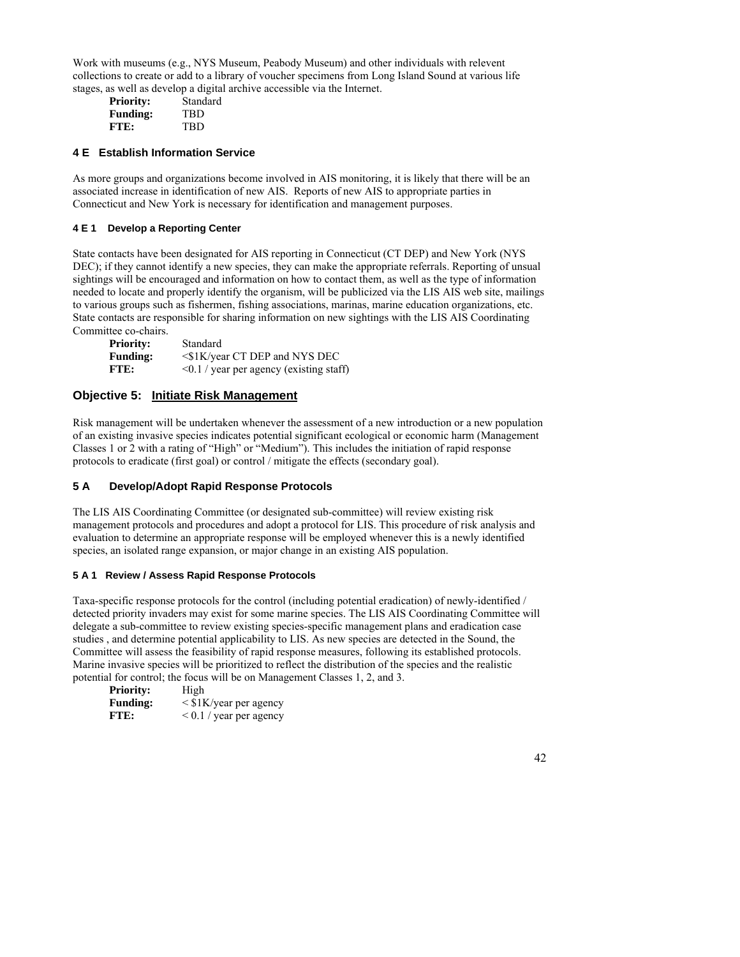Work with museums (e.g., NYS Museum, Peabody Museum) and other individuals with relevent collections to create or add to a library of voucher specimens from Long Island Sound at various life stages, as well as develop a digital archive accessible via the Internet.

| Standard |
|----------|
|          |
| TBD      |
| TBD      |
|          |

# **4 E Establish Information Service**

As more groups and organizations become involved in AIS monitoring, it is likely that there will be an associated increase in identification of new AIS. Reports of new AIS to appropriate parties in Connecticut and New York is necessary for identification and management purposes.

# **4 E 1 Develop a Reporting Center**

State contacts have been designated for AIS reporting in Connecticut (CT DEP) and New York (NYS DEC); if they cannot identify a new species, they can make the appropriate referrals. Reporting of unsual sightings will be encouraged and information on how to contact them, as well as the type of information needed to locate and properly identify the organism, will be publicized via the LIS AIS web site, mailings to various groups such as fishermen, fishing associations, marinas, marine education organizations, etc. State contacts are responsible for sharing information on new sightings with the LIS AIS Coordinating Committee co-chairs.

| <b>Priority:</b> | Standard                                      |
|------------------|-----------------------------------------------|
| <b>Funding:</b>  | $\leq$ \$1K/year CT DEP and NYS DEC           |
| FTE:             | $\leq 0.1$ / year per agency (existing staff) |

# **Objective 5: Initiate Risk Management**

Risk management will be undertaken whenever the assessment of a new introduction or a new population of an existing invasive species indicates potential significant ecological or economic harm (Management Classes 1 or 2 with a rating of "High" or "Medium"). This includes the initiation of rapid response protocols to eradicate (first goal) or control / mitigate the effects (secondary goal).

# **5 A Develop/Adopt Rapid Response Protocols**

The LIS AIS Coordinating Committee (or designated sub-committee) will review existing risk management protocols and procedures and adopt a protocol for LIS. This procedure of risk analysis and evaluation to determine an appropriate response will be employed whenever this is a newly identified species, an isolated range expansion, or major change in an existing AIS population.

# **5 A 1 Review / Assess Rapid Response Protocols**

Taxa-specific response protocols for the control (including potential eradication) of newly-identified / detected priority invaders may exist for some marine species. The LIS AIS Coordinating Committee will delegate a sub-committee to review existing species-specific management plans and eradication case studies , and determine potential applicability to LIS. As new species are detected in the Sound, the Committee will assess the feasibility of rapid response measures, following its established protocols. Marine invasive species will be prioritized to reflect the distribution of the species and the realistic potential for control; the focus will be on Management Classes 1, 2, and 3.

| <b>Priority:</b> | High                           |
|------------------|--------------------------------|
| <b>Funding:</b>  | $\langle$ \$1K/year per agency |
| FTE:             | $0.1 / year$ per agency        |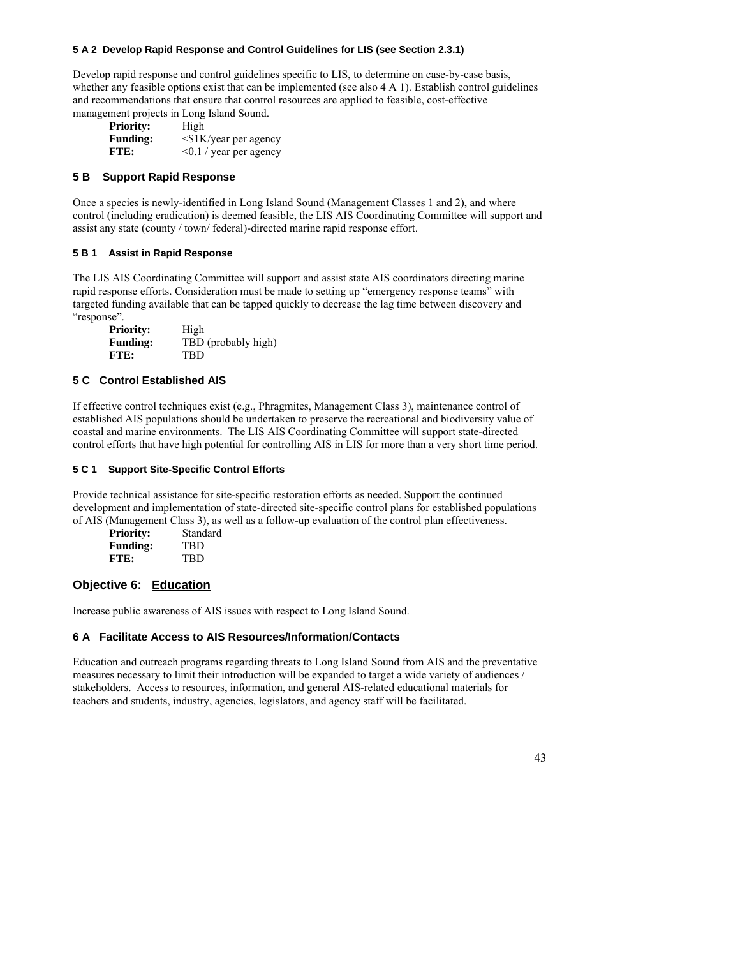#### **5 A 2 Develop Rapid Response and Control Guidelines for LIS (see Section 2.3.1)**

Develop rapid response and control guidelines specific to LIS, to determine on case-by-case basis, whether any feasible options exist that can be implemented (see also 4 A 1). Establish control guidelines and recommendations that ensure that control resources are applied to feasible, cost-effective management projects in Long Island Sound.

| <b>Priority:</b> | High                         |
|------------------|------------------------------|
| <b>Funding:</b>  | <\$1K/year per agency        |
| FTE:             | $\leq 0.1$ / year per agency |

## **5 B Support Rapid Response**

Once a species is newly-identified in Long Island Sound (Management Classes 1 and 2), and where control (including eradication) is deemed feasible, the LIS AIS Coordinating Committee will support and assist any state (county / town/ federal)-directed marine rapid response effort.

### **5 B 1 Assist in Rapid Response**

The LIS AIS Coordinating Committee will support and assist state AIS coordinators directing marine rapid response efforts. Consideration must be made to setting up "emergency response teams" with targeted funding available that can be tapped quickly to decrease the lag time between discovery and "response".

| <b>Priority:</b> | High                |
|------------------|---------------------|
| <b>Funding:</b>  | TBD (probably high) |
| FTE:             | TBD                 |

### **5 C Control Established AIS**

If effective control techniques exist (e.g., Phragmites, Management Class 3), maintenance control of established AIS populations should be undertaken to preserve the recreational and biodiversity value of coastal and marine environments. The LIS AIS Coordinating Committee will support state-directed control efforts that have high potential for controlling AIS in LIS for more than a very short time period.

#### **5 C 1 Support Site-Specific Control Efforts**

Provide technical assistance for site-specific restoration efforts as needed. Support the continued development and implementation of state-directed site-specific control plans for established populations of AIS (Management Class 3), as well as a follow-up evaluation of the control plan effectiveness.

| <b>Priority:</b> | Standard |
|------------------|----------|
| <b>Funding:</b>  | TBD      |
| FTE:             | TBD      |

# **Objective 6: Education**

Increase public awareness of AIS issues with respect to Long Island Sound.

# **6 A Facilitate Access to AIS Resources/Information/Contacts**

Education and outreach programs regarding threats to Long Island Sound from AIS and the preventative measures necessary to limit their introduction will be expanded to target a wide variety of audiences / stakeholders. Access to resources, information, and general AIS-related educational materials for teachers and students, industry, agencies, legislators, and agency staff will be facilitated.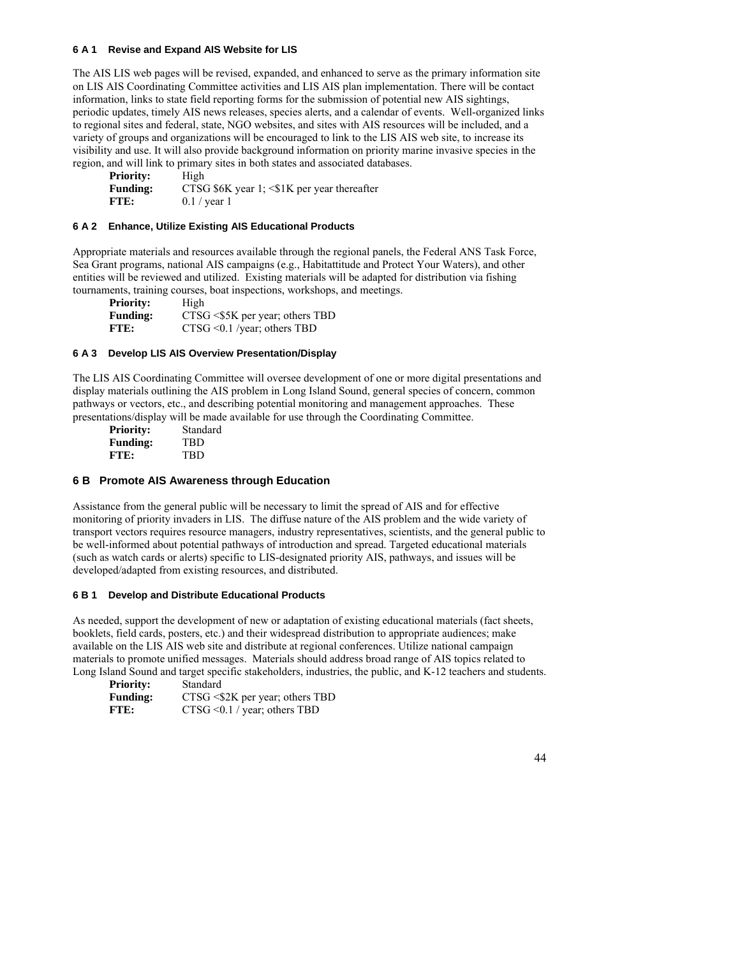#### **6 A 1 Revise and Expand AIS Website for LIS**

The AIS LIS web pages will be revised, expanded, and enhanced to serve as the primary information site on LIS AIS Coordinating Committee activities and LIS AIS plan implementation. There will be contact information, links to state field reporting forms for the submission of potential new AIS sightings, periodic updates, timely AIS news releases, species alerts, and a calendar of events. Well-organized links to regional sites and federal, state, NGO websites, and sites with AIS resources will be included, and a variety of groups and organizations will be encouraged to link to the LIS AIS web site, to increase its visibility and use. It will also provide background information on priority marine invasive species in the region, and will link to primary sites in both states and associated databases.

Priority: High **Funding:** CTSG \$6K year 1; <\$1K per year thereafter **FTE:** 0.1 / year 1

#### **6 A 2 Enhance, Utilize Existing AIS Educational Products**

Appropriate materials and resources available through the regional panels, the Federal ANS Task Force, Sea Grant programs, national AIS campaigns (e.g., Habitattitude and Protect Your Waters), and other entities will be reviewed and utilized. Existing materials will be adapted for distribution via fishing tournaments, training courses, boat inspections, workshops, and meetings.

| <b>Priority:</b> | High                              |
|------------------|-----------------------------------|
| <b>Funding:</b>  | $CTSG < $5K$ per year; others TBD |
| FTE:             | $CTSG \leq 0.1$ /year; others TBD |

### **6 A 3 Develop LIS AIS Overview Presentation/Display**

The LIS AIS Coordinating Committee will oversee development of one or more digital presentations and display materials outlining the AIS problem in Long Island Sound, general species of concern, common pathways or vectors, etc., and describing potential monitoring and management approaches. These presentations/display will be made available for use through the Coordinating Committee.

| <b>Priority:</b> | Standard |
|------------------|----------|
| <b>Funding:</b>  | TBD      |
| FTE:             | TBD      |

## **6 B Promote AIS Awareness through Education**

Assistance from the general public will be necessary to limit the spread of AIS and for effective monitoring of priority invaders in LIS. The diffuse nature of the AIS problem and the wide variety of transport vectors requires resource managers, industry representatives, scientists, and the general public to be well-informed about potential pathways of introduction and spread. Targeted educational materials (such as watch cards or alerts) specific to LIS-designated priority AIS, pathways, and issues will be developed/adapted from existing resources, and distributed.

#### **6 B 1 Develop and Distribute Educational Products**

As needed, support the development of new or adaptation of existing educational materials (fact sheets, booklets, field cards, posters, etc.) and their widespread distribution to appropriate audiences; make available on the LIS AIS web site and distribute at regional conferences. Utilize national campaign materials to promote unified messages. Materials should address broad range of AIS topics related to Long Island Sound and target specific stakeholders, industries, the public, and K-12 teachers and students.

| <b>Priority:</b> | Standard                           |
|------------------|------------------------------------|
| <b>Funding:</b>  | $CTSG < $2K$ per year; others TBD  |
| FTE:             | $CTSG \leq 0.1$ / year; others TBD |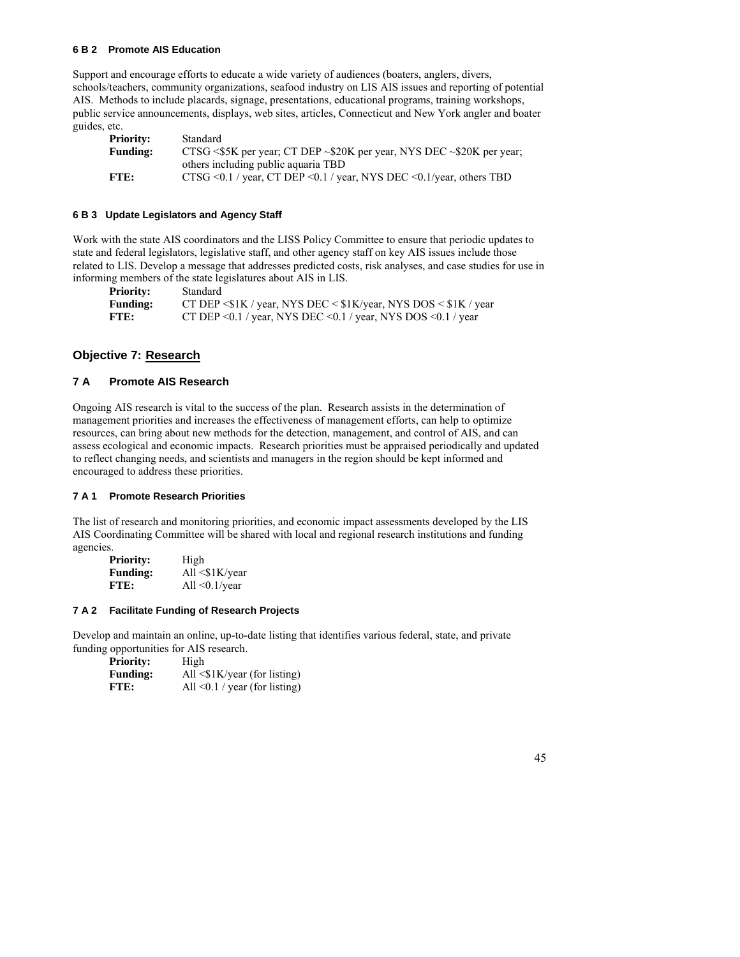#### **6 B 2 Promote AIS Education**

Support and encourage efforts to educate a wide variety of audiences (boaters, anglers, divers, schools/teachers, community organizations, seafood industry on LIS AIS issues and reporting of potential AIS. Methods to include placards, signage, presentations, educational programs, training workshops, public service announcements, displays, web sites, articles, Connecticut and New York angler and boater guides, etc.

| <b>Priority:</b> | Standard                                                                          |
|------------------|-----------------------------------------------------------------------------------|
| <b>Funding:</b>  | CTSG <\$5K per year; CT DEP $\sim$ \$20K per year, NYS DEC $\sim$ \$20K per year; |
|                  | others including public aquaria TBD                                               |
| FTE:             | CTSG <0.1 / year, CT DEP <0.1 / year, NYS DEC <0.1/year, others TBD               |

#### **6 B 3 Update Legislators and Agency Staff**

Work with the state AIS coordinators and the LISS Policy Committee to ensure that periodic updates to state and federal legislators, legislative staff, and other agency staff on key AIS issues include those related to LIS. Develop a message that addresses predicted costs, risk analyses, and case studies for use in informing members of the state legislatures about AIS in LIS.

**Priority:** Standard

| $      -$       | ------------                                                                    |
|-----------------|---------------------------------------------------------------------------------|
| <b>Funding:</b> | CT DEP $\leq$ \$1K / year, NYS DEC $\leq$ \$1K/year, NYS DOS $\leq$ \$1K / year |
| FTE:            | CT DEP $\leq 0.1$ / year, NYS DEC $\leq 0.1$ / year, NYS DOS $\leq 0.1$ / year  |

# **Objective 7: Research**

# **7 A Promote AIS Research**

Ongoing AIS research is vital to the success of the plan. Research assists in the determination of management priorities and increases the effectiveness of management efforts, can help to optimize resources, can bring about new methods for the detection, management, and control of AIS, and can assess ecological and economic impacts. Research priorities must be appraised periodically and updated to reflect changing needs, and scientists and managers in the region should be kept informed and encouraged to address these priorities.

#### **7 A 1 Promote Research Priorities**

The list of research and monitoring priorities, and economic impact assessments developed by the LIS AIS Coordinating Committee will be shared with local and regional research institutions and funding agencies.

| <b>Priority:</b> | High                |
|------------------|---------------------|
| <b>Funding:</b>  | All $\leq$ 1K/year  |
| FTE:             | All $\leq$ 0.1/year |

#### **7 A 2 Facilitate Funding of Research Projects**

Develop and maintain an online, up-to-date listing that identifies various federal, state, and private funding opportunities for AIS research.

| <b>Priority:</b> | High                                  |
|------------------|---------------------------------------|
| <b>Funding:</b>  | All $\langle$ \$1K/year (for listing) |
| FTE:             | All $\leq$ 0.1 / year (for listing)   |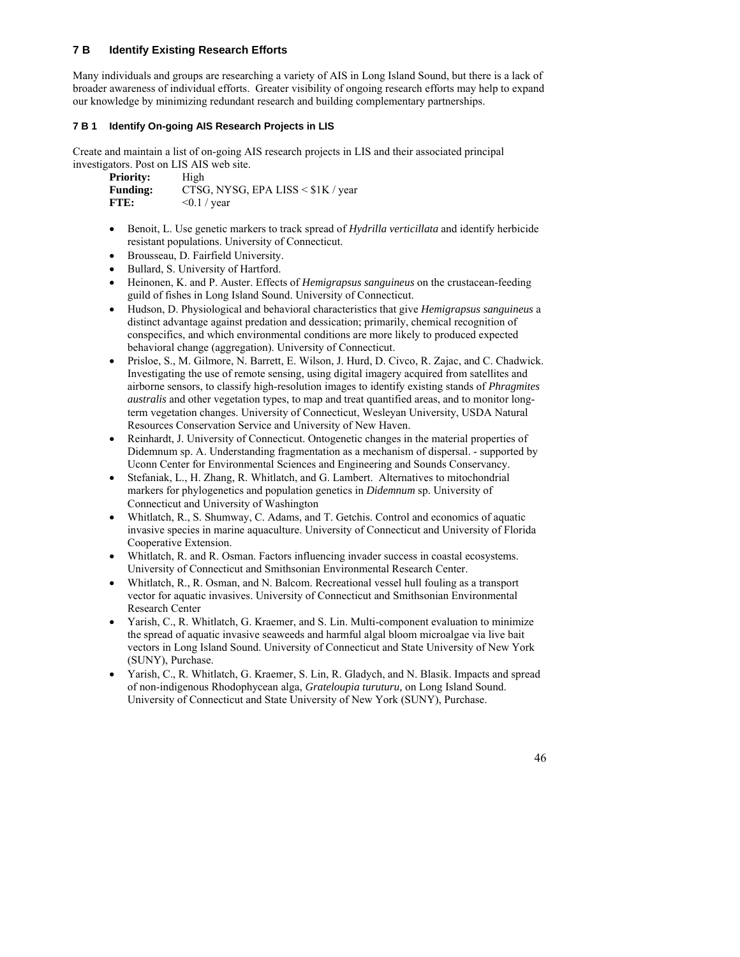# **7 B Identify Existing Research Efforts**

Many individuals and groups are researching a variety of AIS in Long Island Sound, but there is a lack of broader awareness of individual efforts. Greater visibility of ongoing research efforts may help to expand our knowledge by minimizing redundant research and building complementary partnerships.

## **7 B 1 Identify On-going AIS Research Projects in LIS**

Create and maintain a list of on-going AIS research projects in LIS and their associated principal investigators. Post on LIS AIS web site.

| <b>Priority:</b> | High                                    |
|------------------|-----------------------------------------|
| <b>Funding:</b>  | CTSG, NYSG, EPA LISS $\leq$ \$1K / year |
| FTE:             | $\leq 0.1$ / year                       |

- Benoit, L. Use genetic markers to track spread of *Hydrilla verticillata* and identify herbicide resistant populations. University of Connecticut.
- Brousseau, D. Fairfield University.
- Bullard, S. University of Hartford.
- Heinonen, K. and P. Auster. Effects of *Hemigrapsus sanguineus* on the crustacean-feeding guild of fishes in Long Island Sound. University of Connecticut.
- Hudson, D. Physiological and behavioral characteristics that give *Hemigrapsus sanguineus* a distinct advantage against predation and dessication; primarily, chemical recognition of conspecifics, and which environmental conditions are more likely to produced expected behavioral change (aggregation). University of Connecticut.
- Prisloe, S., M. Gilmore, N. Barrett, E. Wilson, J. Hurd, D. Civco, R. Zajac, and C. Chadwick. Investigating the use of remote sensing, using digital imagery acquired from satellites and airborne sensors, to classify high-resolution images to identify existing stands of *Phragmites australis* and other vegetation types, to map and treat quantified areas, and to monitor longterm vegetation changes. University of Connecticut, Wesleyan University, USDA Natural Resources Conservation Service and University of New Haven.
- Reinhardt, J. University of Connecticut. Ontogenetic changes in the material properties of Didemnum sp. A. Understanding fragmentation as a mechanism of dispersal. - supported by Uconn Center for Environmental Sciences and Engineering and Sounds Conservancy.
- Stefaniak, L., H. Zhang, R. Whitlatch, and G. Lambert. Alternatives to mitochondrial markers for phylogenetics and population genetics in *Didemnum* sp. University of Connecticut and University of Washington
- Whitlatch, R., S. Shumway, C. Adams, and T. Getchis. Control and economics of aquatic invasive species in marine aquaculture. University of Connecticut and University of Florida Cooperative Extension.
- Whitlatch, R. and R. Osman. Factors influencing invader success in coastal ecosystems. University of Connecticut and Smithsonian Environmental Research Center.
- Whitlatch, R., R. Osman, and N. Balcom. Recreational vessel hull fouling as a transport vector for aquatic invasives. University of Connecticut and Smithsonian Environmental Research Center
- Yarish, C., R. Whitlatch, G. Kraemer, and S. Lin. Multi-component evaluation to minimize the spread of aquatic invasive seaweeds and harmful algal bloom microalgae via live bait vectors in Long Island Sound. University of Connecticut and State University of New York (SUNY), Purchase.
- Yarish, C., R. Whitlatch, G. Kraemer, S. Lin, R. Gladych, and N. Blasik. Impacts and spread of non-indigenous Rhodophycean alga, *Grateloupia turuturu,* on Long Island Sound. University of Connecticut and State University of New York (SUNY), Purchase.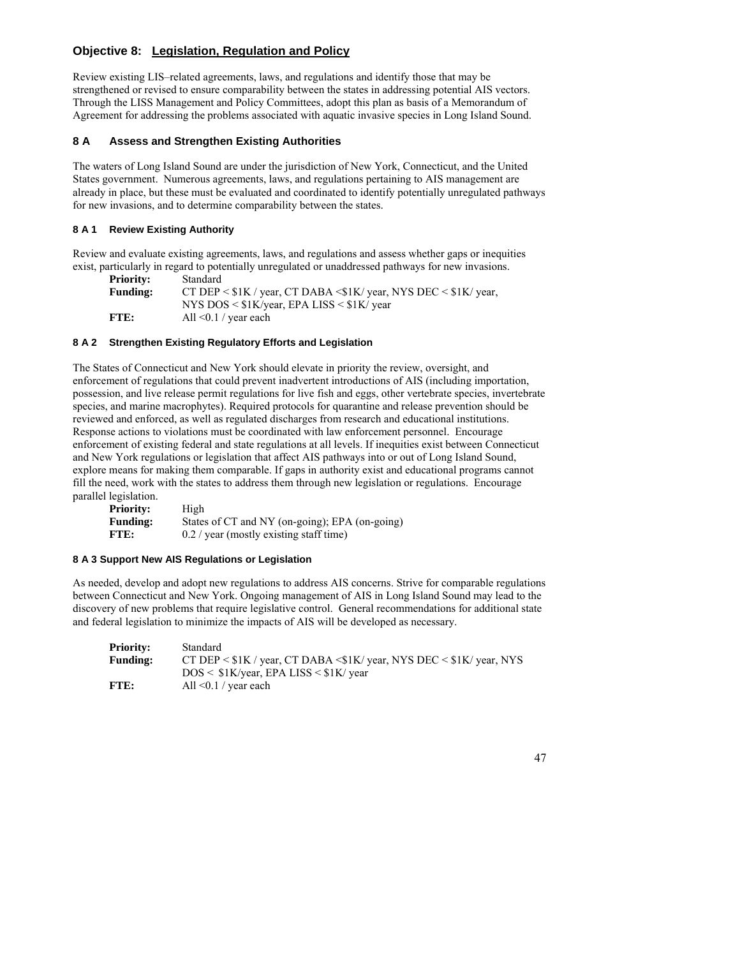# **Objective 8: Legislation, Regulation and Policy**

Review existing LIS–related agreements, laws, and regulations and identify those that may be strengthened or revised to ensure comparability between the states in addressing potential AIS vectors. Through the LISS Management and Policy Committees, adopt this plan as basis of a Memorandum of Agreement for addressing the problems associated with aquatic invasive species in Long Island Sound.

# **8 A Assess and Strengthen Existing Authorities**

The waters of Long Island Sound are under the jurisdiction of New York, Connecticut, and the United States government. Numerous agreements, laws, and regulations pertaining to AIS management are already in place, but these must be evaluated and coordinated to identify potentially unregulated pathways for new invasions, and to determine comparability between the states.

# **8 A 1 Review Existing Authority**

Review and evaluate existing agreements, laws, and regulations and assess whether gaps or inequities exist, particularly in regard to potentially unregulated or unaddressed pathways for new invasions.

| <b>Priority:</b> | Standard                                                                         |
|------------------|----------------------------------------------------------------------------------|
| <b>Funding:</b>  | CT DEP $\leq$ \$1K / year, CT DABA $\leq$ \$1K/ year, NYS DEC $\leq$ \$1K/ year, |
|                  | NYS DOS $\leq$ \$1K/year, EPA LISS $\leq$ \$1K/year                              |
| FTE:             | All $\leq 0.1$ / year each                                                       |

# **8 A 2 Strengthen Existing Regulatory Efforts and Legislation**

The States of Connecticut and New York should elevate in priority the review, oversight, and enforcement of regulations that could prevent inadvertent introductions of AIS (including importation, possession, and live release permit regulations for live fish and eggs, other vertebrate species, invertebrate species, and marine macrophytes). Required protocols for quarantine and release prevention should be reviewed and enforced, as well as regulated discharges from research and educational institutions. Response actions to violations must be coordinated with law enforcement personnel. Encourage enforcement of existing federal and state regulations at all levels. If inequities exist between Connecticut and New York regulations or legislation that affect AIS pathways into or out of Long Island Sound, explore means for making them comparable. If gaps in authority exist and educational programs cannot fill the need, work with the states to address them through new legislation or regulations. Encourage parallel legislation.

| <b>Priority:</b> | High                                           |
|------------------|------------------------------------------------|
| <b>Funding:</b>  | States of CT and NY (on-going); EPA (on-going) |
| FTE:             | $0.2 /$ year (mostly existing staff time)      |

# **8 A 3 Support New AIS Regulations or Legislation**

As needed, develop and adopt new regulations to address AIS concerns. Strive for comparable regulations between Connecticut and New York. Ongoing management of AIS in Long Island Sound may lead to the discovery of new problems that require legislative control. General recommendations for additional state and federal legislation to minimize the impacts of AIS will be developed as necessary.

| <b>Priority:</b> | Standard                                                                           |
|------------------|------------------------------------------------------------------------------------|
| <b>Funding:</b>  | CT DEP $\leq$ \$1K / year, CT DABA $\leq$ 1K/ year, NYS DEC $\leq$ \$1K/ year, NYS |
|                  | $DOS < $1K/year$ , EPA LISS $< $1K$ year                                           |
| FTE:             | All $\leq 0.1$ / year each                                                         |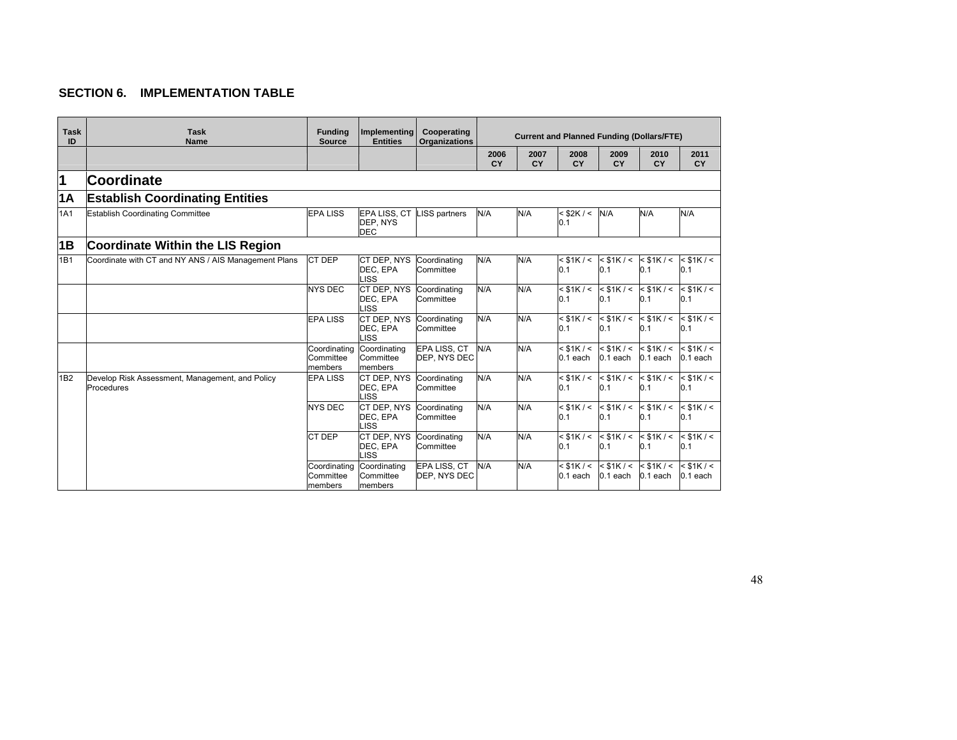# **SECTION 6. IMPLEMENTATION TABLE**

| <b>Task</b><br>ID | <b>Task</b><br><b>Name</b>                                    | <b>Funding</b><br><b>Source</b>      | <b>Implementing</b><br><b>Entities</b> | Cooperating<br><b>Organizations</b> |                   | <b>Current and Planned Funding (Dollars/FTE)</b> |                              |                              |                              |                              |  |
|-------------------|---------------------------------------------------------------|--------------------------------------|----------------------------------------|-------------------------------------|-------------------|--------------------------------------------------|------------------------------|------------------------------|------------------------------|------------------------------|--|
|                   |                                                               |                                      |                                        |                                     | 2006<br><b>CY</b> | 2007<br>CY                                       | 2008<br>CY                   | 2009<br>CY                   | 2010<br>CY                   | 2011<br><b>CY</b>            |  |
| 1                 | Coordinate                                                    |                                      |                                        |                                     |                   |                                                  |                              |                              |                              |                              |  |
| 1A                | <b>Establish Coordinating Entities</b>                        |                                      |                                        |                                     |                   |                                                  |                              |                              |                              |                              |  |
| 1A1               | <b>Establish Coordinating Committee</b>                       | <b>EPA LISS</b>                      | EPA LISS, CT<br>DEP, NYS<br><b>DEC</b> | <b>LISS partners</b>                | N/A               | N/A                                              | $<$ \$2K / $<$<br>0.1        | N/A                          | N/A                          | N/A                          |  |
| 1B                | <b>Coordinate Within the LIS Region</b>                       |                                      |                                        |                                     |                   |                                                  |                              |                              |                              |                              |  |
| 1B1               | Coordinate with CT and NY ANS / AIS Management Plans          | CT DEP                               | CT DEP, NYS<br>DEC, EPA<br><b>LISS</b> | Coordinating<br>Committee           | N/A               | N/A                                              | $<$ \$1K / $<$<br> 0.1       | $<$ \$1K / $<$<br>0.1        | $<$ \$1K / $<$<br>0.1        | $<$ \$1K / $<$<br>0.1        |  |
|                   |                                                               | <b>NYS DEC</b>                       | CT DEP. NYS<br>DEC, EPA<br>LISS        | Coordinating<br>Committee           | N/A               | N/A                                              | $<$ \$1K / $<$<br> 0.1       | $<$ \$1K / $<$<br>0.1        | $<$ \$1K / $<$<br>0.1        | $<$ \$1K / $<$<br>0.1        |  |
|                   |                                                               | <b>EPA LISS</b>                      | CT DEP, NYS<br>DEC, EPA<br><b>LISS</b> | Coordinating<br>Committee           | N/A               | N/A                                              | $<$ \$1K / $<$<br>0.1        | $<$ \$1K / $<$<br>0.1        | $<$ \$1K / $<$<br>0.1        | $<$ \$1K / $<$<br>0.1        |  |
|                   |                                                               | Coordinating<br>Committee<br>members | Coordinating<br>Committee<br>members   | EPA LISS, CT<br>DEP, NYS DEC        | N/A               | N/A                                              | $<$ \$1K / $<$<br>$0.1$ each | $<$ \$1K / $<$<br>$0.1$ each | $<$ \$1K / $<$<br>$0.1$ each | $<$ \$1K / $<$<br>$0.1$ each |  |
| 1 <sub>B2</sub>   | Develop Risk Assessment, Management, and Policy<br>Procedures | <b>EPA LISS</b>                      | CT DEP. NYS<br>DEC, EPA<br>LISS        | Coordinating<br>Committee           | N/A               | N/A                                              | $<$ \$1K / $<$<br> 0.1       | $<$ \$1K / $<$<br>0.1        | $<$ \$1K / $<$<br>0.1        | $<$ \$1K / $<$<br>0.1        |  |
|                   |                                                               | <b>NYS DEC</b>                       | CT DEP. NYS<br>DEC, EPA<br><b>LISS</b> | Coordinating<br>Committee           | N/A               | N/A                                              | $<$ \$1K / $<$<br> 0.1       | $<$ \$1K / $<$<br>0.1        | $<$ \$1K / $<$<br>0.1        | $<$ \$1K / $<$<br>0.1        |  |
|                   |                                                               | CT DEP                               | CT DEP, NYS<br>DEC, EPA<br><b>LISS</b> | Coordinating<br>Committee           | N/A               | N/A                                              | $<$ \$1K / $<$<br>0.1        | $<$ \$1K / $<$<br>0.1        | $<$ \$1K / $<$<br>0.1        | $<$ \$1K / $<$<br>0.1        |  |
|                   |                                                               | Coordinating<br>Committee<br>members | Coordinating<br>Committee<br>members   | EPA LISS, CT<br>DEP, NYS DEC        | N/A               | N/A                                              | $<$ \$1K / $<$<br>$0.1$ each | $<$ \$1K / $<$<br>$0.1$ each | $<$ \$1K / $<$<br>$0.1$ each | $<$ \$1K / $<$<br>0.1 each   |  |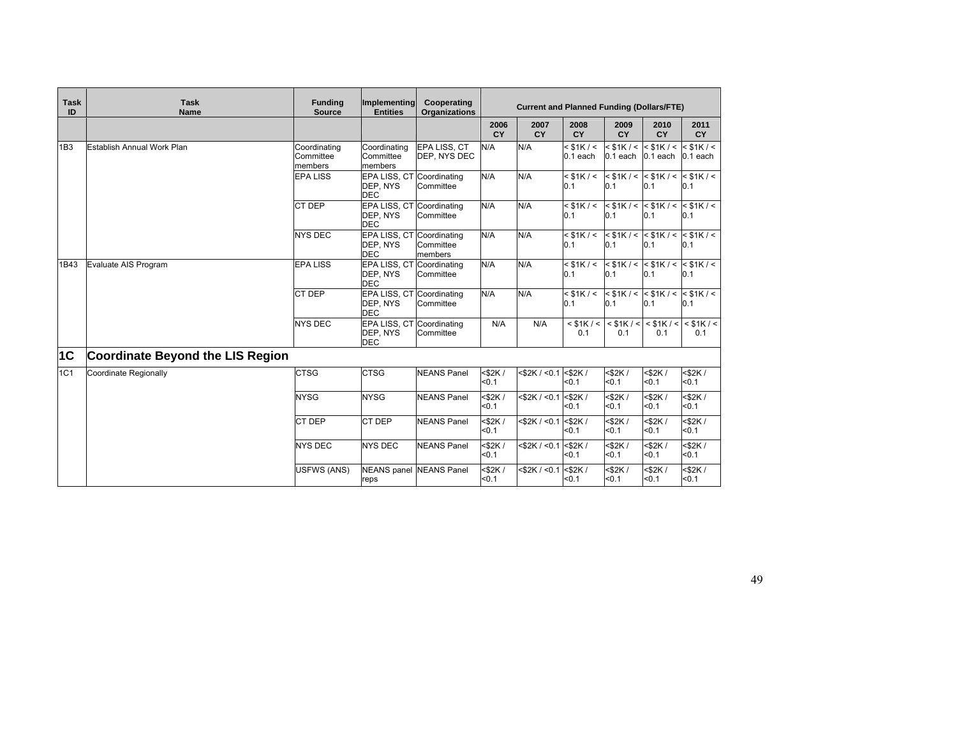| <b>Task</b><br>ID | <b>Task</b><br><b>Name</b>              | <b>Funding</b><br><b>Source</b>      | Implementing<br><b>Entities</b>                     | Cooperating<br><b>Organizations</b> | <b>Current and Planned Funding (Dollars/FTE)</b> |                    |                              |                                         |                                  |                                               |
|-------------------|-----------------------------------------|--------------------------------------|-----------------------------------------------------|-------------------------------------|--------------------------------------------------|--------------------|------------------------------|-----------------------------------------|----------------------------------|-----------------------------------------------|
|                   |                                         |                                      |                                                     |                                     | 2006<br><b>CY</b>                                | 2007<br>CY         | 2008<br>CY                   | 2009<br>CY                              | 2010<br>CY                       | 2011<br><b>CY</b>                             |
| 1B3               | <b>Establish Annual Work Plan</b>       | Coordinating<br>Committee<br>members | Coordinating<br>Committee<br>members                | EPA LISS, CT<br>DEP, NYS DEC        | N/A                                              | N/A                | $<$ \$1K / $<$<br>$0.1$ each | $<$ \$1K / $<$<br>$0.1$ each $0.1$ each | $<$ \$1K / $<$                   | $<$ \$1K / $<$<br>$0.1$ each                  |
|                   |                                         | <b>EPA LISS</b>                      | EPA LISS, CT<br>DEP, NYS<br><b>DEC</b>              | Coordinating<br>Committee           | N/A                                              | N/A                | $<$ \$1K / $<$<br>0.1        | 0.1                                     | 0.1                              | $<$ \$1K / < $<$ \$1K / < $<$ \$1K / <<br>0.1 |
|                   |                                         | CT DEP                               | EPA LISS, CT Coordinating<br>DEP, NYS<br><b>DEC</b> | Committee                           | N/A                                              | N/A                | $<$ \$1K / $<$<br>0.1        | 0.1                                     | 0.1                              | $<$ \$1K / < $<$ \$1K / < $<$ \$1K / <<br>0.1 |
|                   |                                         | <b>NYS DEC</b>                       | EPA LISS, CT Coordinating<br>DEP, NYS<br><b>DEC</b> | Committee<br>members                | N/A                                              | N/A                | $<$ \$1K / $<$<br>0.1        | 0.1                                     | 0.1                              | $<$ \$1K / < $<$ \$1K / < $<$ \$1K / <<br>0.1 |
| 1B43              | Evaluate AIS Program                    | <b>EPA LISS</b>                      | EPA LISS, CT<br>DEP, NYS<br><b>DEC</b>              | Coordinating<br>Committee           | N/A                                              | N/A                | $<$ \$1K / $<$<br>0.1        | 0.1                                     | 0.1                              | $<$ \$1K / < $<$ \$1K / < $<$ \$1K / <<br>0.1 |
|                   |                                         | CT DEP                               | EPA LISS, CT<br>DEP, NYS<br><b>DEC</b>              | Coordinating<br>Committee           | N/A                                              | N/A                | $<$ \$1K / $<$<br>0.1        | 0.1                                     | 0.1                              | $<$ \$1K / < $<$ \$1K / < $<$ \$1K / <<br>0.1 |
|                   |                                         | <b>NYS DEC</b>                       | EPA LISS, CT Coordinating<br>DEP, NYS<br><b>DEC</b> | Committee                           | N/A                                              | N/A                | $<$ \$1K / $<$<br>0.1        | 0.1                                     | $<$ \$1K / < $<$ \$1K / <<br>0.1 | $<$ \$1K / $<$<br>0.1                         |
| 1C                | <b>Coordinate Beyond the LIS Region</b> |                                      |                                                     |                                     |                                                  |                    |                              |                                         |                                  |                                               |
| 1C1               | Coordinate Regionally                   | <b>CTSG</b>                          | <b>CTSG</b>                                         | <b>NEANS Panel</b>                  | $<$ \$2K /<br>< 0.1                              | $<$ \$2K / $<$ 0.1 | $<$ \$2K /<br>< 0.1          | $<$ \$2K /<br>< 0.1                     | $<$ \$2K /<br>$0.1$              | $<$ \$2K /<br>< 0.1                           |
|                   |                                         | <b>NYSG</b>                          | <b>NYSG</b>                                         | <b>NEANS Panel</b>                  | <\$2K/<br>< 0.1                                  | $<$ \$2K / $<$ 0.1 | $<$ \$2K /<br>< 0.1          | $<$ \$2K /<br>< 0.1                     | $<$ \$2K /<br>$0.1$              | <\$2K/<br>$0.1$                               |
|                   |                                         | <b>CT DEP</b>                        | <b>CT DEP</b>                                       | <b>NEANS Panel</b>                  | $<$ \$2K/<br>< 0.1                               | $<$ \$2K / $<$ 0.1 | $<$ \$2K /<br>< 0.1          | $<$ \$2K /<br>< 0.1                     | $<$ \$2K /<br>$0.1$              | $<$ \$2K/<br>$0.1$                            |
|                   |                                         | <b>NYS DEC</b>                       | <b>NYS DEC</b>                                      | <b>NEANS Panel</b>                  | $<$ \$2K /<br>< 0.1                              | $<$ \$2K / $<$ 0.1 | $<$ \$2K /<br>$0.1$          | $<$ \$2K/<br>< 0.1                      | $<$ \$2K /<br>$0.1$              | <\$2K/<br>$0.1$                               |
|                   |                                         | <b>USFWS (ANS)</b>                   | <b>NEANS</b> panel<br>reps                          | <b>NEANS Panel</b>                  | $<$ \$2K /<br>< 0.1                              | $<$ \$2K / $<$ 0.1 | $<$ \$2K /<br>< 0.1          | $<$ \$2K /<br>< 0.1                     | $<$ \$2K /<br>$0.1$              | $<$ \$2K /<br>50.1                            |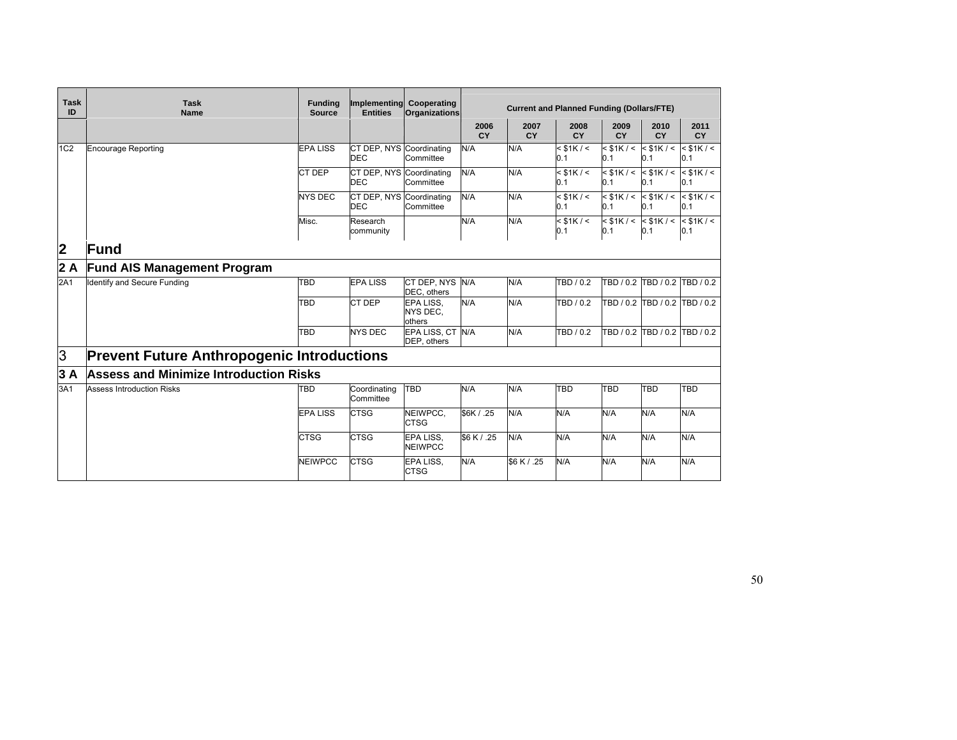| <b>Task</b><br>ID | <b>Task</b><br><b>Name</b>                        | <b>Funding</b><br><b>Source</b> | <b>Entities</b>                        | Implementing Cooperating<br><b>Organizations</b> | <b>Current and Planned Funding (Dollars/FTE)</b> |                   |                       |            |                                               |                               |  |  |
|-------------------|---------------------------------------------------|---------------------------------|----------------------------------------|--------------------------------------------------|--------------------------------------------------|-------------------|-----------------------|------------|-----------------------------------------------|-------------------------------|--|--|
|                   |                                                   |                                 |                                        |                                                  | 2006<br>CY                                       | 2007<br><b>CY</b> | 2008<br><b>CY</b>     | 2009<br>CY | 2010<br>CY                                    | 2011<br><b>CY</b>             |  |  |
| 1C <sub>2</sub>   | <b>Encourage Reporting</b>                        | <b>EPA LISS</b>                 | CT DEP, NYS Coordinating<br><b>DEC</b> | Committee                                        | N/A                                              | N/A               | $<$ \$1K / $<$<br>0.1 | 0.1        | $<$ \$1K / < $<$ \$1K / < $<$ \$1K / <<br>0.1 | 0.1                           |  |  |
|                   |                                                   | CT DEP                          | CT DEP, NYS Coordinating<br><b>DEC</b> | Committee                                        | N/A                                              | N/A               | $<$ \$1K / $<$<br>0.1 | 0.1        | $<$ \$1K / < $<$ \$1K / <<br>0.1              | $<$ \$1K / $<$<br>0.1         |  |  |
|                   |                                                   | <b>NYS DEC</b>                  | CT DEP, NYS Coordinating<br><b>DEC</b> | Committee                                        | N/A                                              | N/A               | $<$ \$1K / $<$<br>0.1 | 0.1        | $<$ \$1K / < $<$ \$1K / < $<$ \$1K / <<br>0.1 | 0.1                           |  |  |
|                   |                                                   | Misc.                           | Research<br>community                  |                                                  | N/A                                              | N/A               | $<$ \$1K / $<$<br>0.1 | 0.1        | $<$ \$1K / < $<$ \$1K / < $<$ \$1K / <<br>0.1 | 0.1                           |  |  |
| 2                 | <b>Fund</b>                                       |                                 |                                        |                                                  |                                                  |                   |                       |            |                                               |                               |  |  |
| 2A                | <b>Fund AIS Management Program</b>                |                                 |                                        |                                                  |                                                  |                   |                       |            |                                               |                               |  |  |
| 2A1               | <b>Identify and Secure Funding</b>                | <b>TBD</b>                      | <b>EPA LISS</b>                        | CT DEP. NYS N/A<br>DEC, others                   |                                                  | N/A               | TBD / 0.2             |            |                                               | TBD / 0.2 TBD / 0.2 TBD / 0.2 |  |  |
|                   |                                                   | TBD                             | CT DEP                                 | EPA LISS.<br>NYS DEC.<br>others                  | N/A                                              | N/A               | TBD / 0.2             |            |                                               | TBD / 0.2 TBD / 0.2 TBD / 0.2 |  |  |
|                   |                                                   | TBD                             | <b>NYS DEC</b>                         | EPA LISS, CT N/A<br>DEP, others                  |                                                  | N/A               | TBD / 0.2             |            |                                               | TBD / 0.2 TBD / 0.2 TBD / 0.2 |  |  |
| 3                 | <b>Prevent Future Anthropogenic Introductions</b> |                                 |                                        |                                                  |                                                  |                   |                       |            |                                               |                               |  |  |
| 3A                | <b>Assess and Minimize Introduction Risks</b>     |                                 |                                        |                                                  |                                                  |                   |                       |            |                                               |                               |  |  |
| 3A1               | <b>Assess Introduction Risks</b>                  | <b>TBD</b>                      | Coordinating<br>Committee              | TBD                                              | N/A                                              | N/A               | <b>TBD</b>            | <b>TBD</b> | <b>TBD</b>                                    | TBD                           |  |  |
|                   |                                                   | <b>EPA LISS</b>                 | <b>CTSG</b>                            | NEIWPCC,<br><b>CTSG</b>                          | \$6K / .25                                       | N/A               | N/A                   | N/A        | N/A                                           | N/A                           |  |  |
|                   |                                                   | <b>CTSG</b>                     | <b>CTSG</b>                            | EPA LISS.<br><b>NEIWPCC</b>                      | \$6 K / .25                                      | N/A               | N/A                   | N/A        | N/A                                           | N/A                           |  |  |
|                   |                                                   | <b>NEIWPCC</b>                  | <b>CTSG</b>                            | EPA LISS.<br><b>CTSG</b>                         | N/A                                              | \$6 K / .25       | N/A                   | N/A        | N/A                                           | N/A                           |  |  |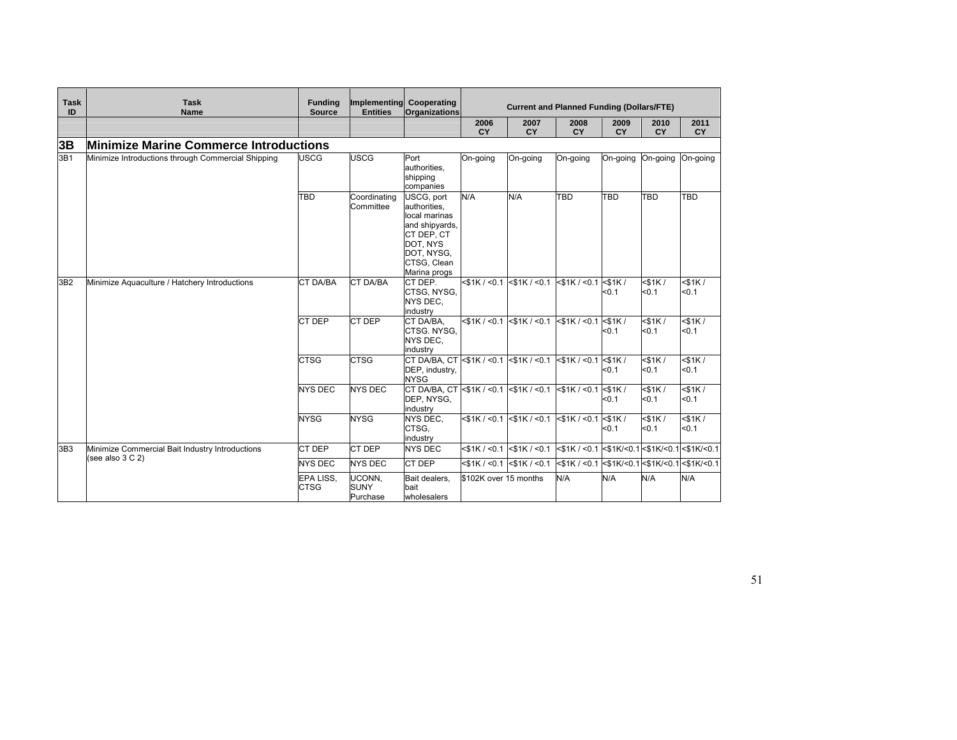| <b>Task</b><br>ID | <b>Task</b><br><b>Name</b>                         | <b>Funding</b><br><b>Source</b> | Implementing<br><b>Entities</b>   | Cooperating<br><b>Organizations</b>                                                                                                  | <b>Current and Planned Funding (Dollars/FTE)</b> |                                   |                                                                                    |                       |                       |                       |  |
|-------------------|----------------------------------------------------|---------------------------------|-----------------------------------|--------------------------------------------------------------------------------------------------------------------------------------|--------------------------------------------------|-----------------------------------|------------------------------------------------------------------------------------|-----------------------|-----------------------|-----------------------|--|
|                   |                                                    |                                 |                                   |                                                                                                                                      | 2006<br>CY                                       | 2007<br>CY                        | 2008<br><b>CY</b>                                                                  | 2009<br><b>CY</b>     | 2010<br><b>CY</b>     | 2011<br>CY            |  |
| 3B                | <b>Minimize Marine Commerce Introductions</b>      |                                 |                                   |                                                                                                                                      |                                                  |                                   |                                                                                    |                       |                       |                       |  |
| 3B1               | Minimize Introductions through Commercial Shipping | <b>USCG</b>                     | <b>USCG</b>                       | Port<br>authorities.<br>shipping<br>companies                                                                                        | On-going                                         | On-going                          | On-going                                                                           | On-going              | On-going              | On-going              |  |
| 3B2               |                                                    | <b>TBD</b>                      | Coordinating<br>Committee         | USCG, port<br>authorities.<br>local marinas<br>and shipyards,<br>CT DEP, CT<br>DOT, NYS<br>DOT, NYSG,<br>CTSG, Clean<br>Marina progs | N/A                                              | N/A                               | <b>TBD</b>                                                                         | <b>TBD</b>            | <b>TBD</b>            | <b>TBD</b>            |  |
|                   | Minimize Aquaculture / Hatchery Introductions      | <b>CT DA/BA</b>                 | <b>CT DA/BA</b>                   | CT DEP.<br>CTSG, NYSG,<br>NYS DEC.<br>industry                                                                                       | $<$ \$1K / $<$ 0.1                               | $<$ \$1K / $<$ 0.1                | $<$ \$1K / $<$ 0.1                                                                 | $<$ \$1K $/$<br>$0.1$ | $<$ \$1K/<br>< 0.1    | $<$ \$1K $/$<br>< 0.1 |  |
|                   |                                                    | CT DEP                          | <b>CT DEP</b>                     | CT DA/BA.<br>CTSG. NYSG.<br>NYS DEC.<br>industry                                                                                     | $<$ \$1K / $<$ 0.1                               | $<$ \$1K / $<$ 0.1                | $ $ < \$1K / < 0.1 $ $ < \$1K /                                                    | $0.1$                 | $<$ \$1K/<br>< 0.1    | $<$ \$1K $/$<br>< 0.1 |  |
|                   |                                                    | <b>CTSG</b>                     | <b>CTSG</b>                       | CT DA/BA, CT <\$1K / <0.1<br>DEP, industry,<br><b>NYSG</b>                                                                           |                                                  | $<$ \$1K / $<$ 0.1                | $<$ \$1K / < 0.1 $<$ \$1K /                                                        | $0.1$                 | $<$ \$1K $/$<br>< 0.1 | $<$ \$1K $/$<br>< 0.1 |  |
|                   |                                                    | <b>NYS DEC</b>                  | <b>NYS DEC</b>                    | CT DA/BA, CT <\$1K / <0.1<br>DEP, NYSG,<br>industry                                                                                  |                                                  | $<$ \$1K / $<$ 0.1                | $<$ \$1K / < 0.1 $<$ \$1K /                                                        | $0.1$                 | $<$ \$1K $/$<br>< 0.1 | $<$ \$1K $/$<br>< 0.1 |  |
|                   |                                                    | <b>NYSG</b>                     | <b>NYSG</b>                       | NYS DEC.<br>CTSG.<br>industry                                                                                                        |                                                  | $<$ \$1K / <0.1 $\le$ \$1K / <0.1 | $<$ \$1K / <0.1 $<$ \$1K /                                                         | < 0.1                 | $<$ \$1K $/$<br>< 0.1 | $<$ \$1K $/$<br>< 0.1 |  |
| 3B <sub>3</sub>   | Minimize Commercial Bait Industry Introductions    | CT DEP                          | <b>CT DEP</b>                     | <b>NYS DEC</b>                                                                                                                       | $<$ \$1K / $<$ 0.1                               | $<$ \$1K / $<$ 0.1                | $ $ < \$1K / < 0.1 < \$1K/ < 0.1 < \$1K/ < 0.1 $ $ < \$1K/ < 0.1 $ $ < \$1K/ < 0.1 |                       |                       |                       |  |
|                   | (see also $3 C 2$ )                                | <b>NYS DEC</b>                  | <b>NYS DEC</b>                    | CT DEP                                                                                                                               | $<$ \$1K / $<$ 0.1                               | $<$ \$1K / $<$ 0.1                |                                                                                    |                       |                       |                       |  |
|                   |                                                    | EPA LISS,<br><b>CTSG</b>        | UCONN,<br><b>SUNY</b><br>Purchase | Bait dealers,<br>bait<br>wholesalers                                                                                                 | \$102K over 15 months                            |                                   | N/A                                                                                | N/A                   | N/A                   | N/A                   |  |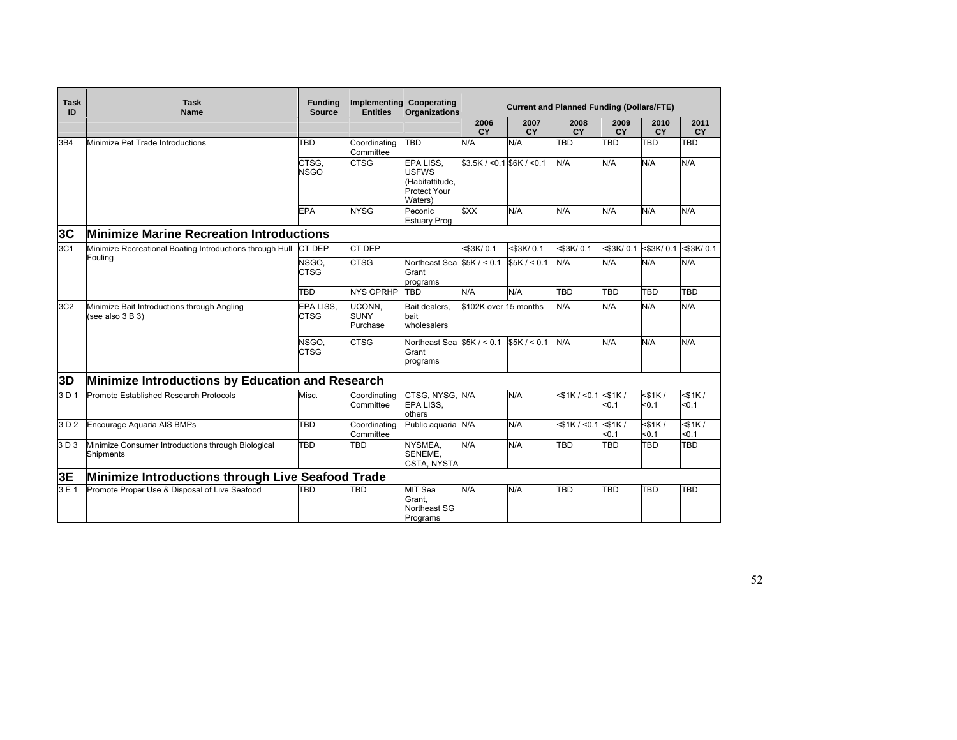| Task<br>ID | <b>Task</b><br><b>Name</b>                                             | <b>Funding</b><br><b>Source</b> | Implementing Cooperating<br><b>Entities</b> | <b>Organizations</b>                                                           |                             | <b>Current and Planned Funding (Dollars/FTE)</b> |                    |                       |                       |                   |
|------------|------------------------------------------------------------------------|---------------------------------|---------------------------------------------|--------------------------------------------------------------------------------|-----------------------------|--------------------------------------------------|--------------------|-----------------------|-----------------------|-------------------|
|            |                                                                        |                                 |                                             |                                                                                | 2006<br><b>CY</b>           | 2007<br><b>CY</b>                                | 2008<br><b>CY</b>  | 2009<br><b>CY</b>     | 2010<br><b>CY</b>     | 2011<br><b>CY</b> |
| 3B4        | Minimize Pet Trade Introductions                                       | TBD                             | Coordinating<br>Committee                   | TBD                                                                            | N/A                         | N/A                                              | <b>TBD</b>         | TBD                   | <b>TBD</b>            | TBD               |
|            |                                                                        | CTSG,<br><b>NSGO</b>            | <b>CTSG</b>                                 | EPA LISS,<br><b>USFWS</b><br>(Habitattitude,<br><b>Protect Your</b><br>Waters) | $$3.5K / < 0.1$ S6K / < 0.1 |                                                  | N/A                | N/A                   | N/A                   | N/A               |
|            |                                                                        | <b>EPA</b>                      | <b>NYSG</b>                                 | Peconic<br><b>Estuary Prog</b>                                                 | <b>SXX</b>                  | N/A                                              | N/A                | N/A                   | N/A                   | N/A               |
| 3C         | <b>Minimize Marine Recreation Introductions</b>                        |                                 |                                             |                                                                                |                             |                                                  |                    |                       |                       |                   |
| 3C1        | Minimize Recreational Boating Introductions through Hull               | CT DEP                          | <b>CT DEP</b>                               |                                                                                | <\$3K/0.1                   | <\$3K/0.1                                        | <\$3K/0.1          | <\$3K/0.1             | <\$3K/0.1             | <\$3K/0.1         |
|            | Fouling                                                                | NSGO.<br><b>CTSG</b>            | <b>CTSG</b>                                 | Northeast Sea<br>Grant<br>programs                                             | \$5K / < 0.1                | \$5K / < 0.1                                     | N/A                | N/A                   | N/A                   | N/A               |
|            |                                                                        | <b>TBD</b>                      | <b>NYS OPRHP</b>                            | <b>TBD</b>                                                                     | N/A                         | N/A                                              | <b>TBD</b>         | TBD                   | TBD                   | TBD               |
| 3C2        | Minimize Bait Introductions through Angling<br>(see also 3 B 3)        | EPA LISS,<br><b>CTSG</b>        | UCONN,<br><b>SUNY</b><br>Purchase           | Bait dealers,<br>bait<br>wholesalers                                           | \$102K over 15 months       |                                                  | N/A                | N/A                   | N/A                   | N/A               |
|            |                                                                        | NSGO.<br>CTSG                   | <b>CTSG</b>                                 | Northeast Sea $$5K / < 0.1$<br>Grant<br>programs                               |                             | \$5K / < 0.1                                     | N/A                | N/A                   | N/A                   | N/A               |
| 3D         | Minimize Introductions by Education and Research                       |                                 |                                             |                                                                                |                             |                                                  |                    |                       |                       |                   |
| 3D1        | Promote Established Research Protocols                                 | Misc.                           | Coordinating<br>Committee                   | CTSG, NYSG, N/A<br>EPA LISS.<br>others                                         |                             | N/A                                              | $<$ \$1K / $<$ 0.1 | $<$ \$1K/<br>50.1     | $<$ \$1K $/$<br>< 0.1 | $<$ \$1K/<br>50.1 |
| 3 D 2      | Encourage Aguaria AIS BMPs                                             | TBD                             | Coordinating<br>Committee                   | Public aguaria N/A                                                             |                             | N/A                                              | $<$ \$1K / $<$ 0.1 | $<$ \$1K $/$<br>< 0.1 | $<$ \$1K $/$<br>< 0.1 | $<$ \$1K/<br>50.1 |
| 3D3        | Minimize Consumer Introductions through Biological<br><b>Shipments</b> | TBD                             | <b>TBD</b>                                  | NYSMEA.<br>SENEME,<br><b>CSTA, NYSTA</b>                                       | N/A                         | N/A                                              | <b>TBD</b>         | TBD                   | <b>TBD</b>            | <b>TBD</b>        |
| 3E         | Minimize Introductions through Live Seafood Trade                      |                                 |                                             |                                                                                |                             |                                                  |                    |                       |                       |                   |
| 3E1        | Promote Proper Use & Disposal of Live Seafood                          | TBD                             | <b>TBD</b>                                  | MIT Sea<br>Grant.<br>Northeast SG<br>Programs                                  | N/A                         | N/A                                              | <b>TBD</b>         | TBD                   | <b>TBD</b>            | <b>TBD</b>        |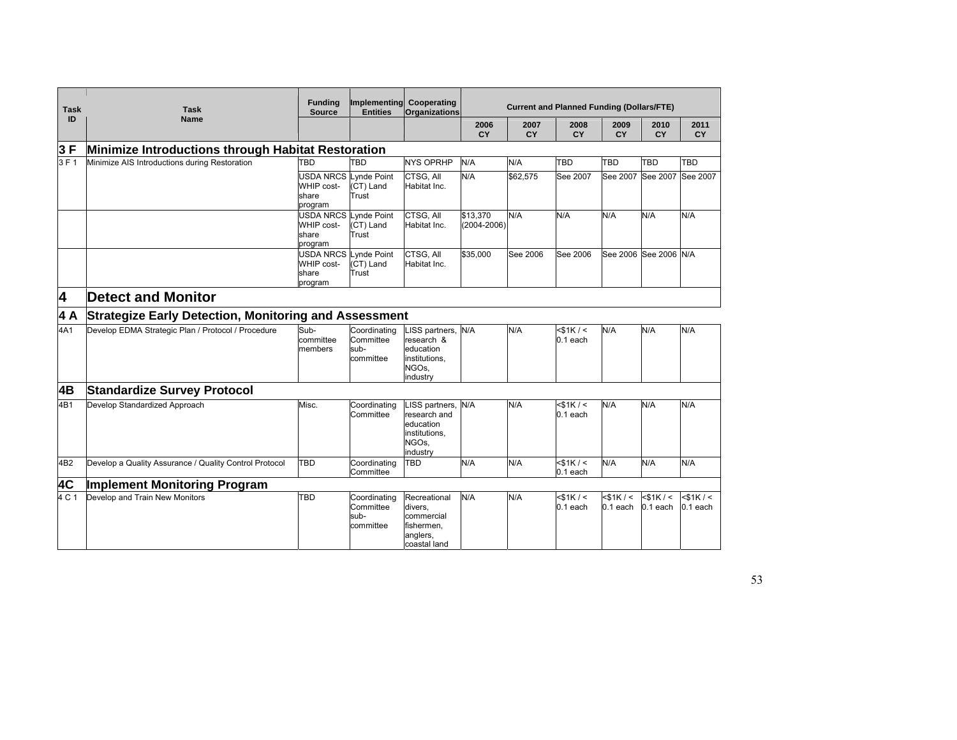|                         |                                                              | <b>Funding</b>                                                        | Implementing                                   | Cooperating                                                                       | <b>Current and Planned Funding (Dollars/FTE)</b> |                   |                             |                             |                              |                                          |  |  |  |
|-------------------------|--------------------------------------------------------------|-----------------------------------------------------------------------|------------------------------------------------|-----------------------------------------------------------------------------------|--------------------------------------------------|-------------------|-----------------------------|-----------------------------|------------------------------|------------------------------------------|--|--|--|
| <b>Task</b>             | <b>Task</b>                                                  | <b>Source</b>                                                         | <b>Entities</b>                                | <b>Organizations</b>                                                              |                                                  |                   |                             |                             |                              |                                          |  |  |  |
| ID                      | <b>Name</b>                                                  |                                                                       |                                                |                                                                                   | 2006<br>CY                                       | 2007<br><b>CY</b> | 2008<br><b>CY</b>           | 2009<br><b>CY</b>           | 2010<br><b>CY</b>            | 2011<br><b>CY</b>                        |  |  |  |
| 3F                      | Minimize Introductions through Habitat Restoration           |                                                                       |                                                |                                                                                   |                                                  |                   |                             |                             |                              |                                          |  |  |  |
| 3 F 1                   | Minimize AIS Introductions during Restoration                | TBD                                                                   | TBD                                            | <b>NYS OPRHP</b>                                                                  | N/A                                              | N/A               | TBD                         | <b>TBD</b>                  | <b>TBD</b>                   | TBD                                      |  |  |  |
|                         |                                                              | WHIP cost-<br>share<br>program                                        | USDA NRCS Lynde Point<br>(CT) Land<br>Trust    | CTSG, All<br>Habitat Inc.                                                         | N/A                                              | \$62.575          | See 2007                    |                             | See 2007 See 2007            | See 2007                                 |  |  |  |
|                         |                                                              | WHIP cost-<br>share<br>program                                        | USDA NRCS Lynde Point<br>(CT) Land<br>Trust    | CTSG, All<br>Habitat Inc.                                                         | \$13.370<br>$(2004 - 2006)$                      | N/A               | N/A                         | N/A                         | N/A                          | N/A                                      |  |  |  |
|                         |                                                              | <b>USDA NRCS Lynde Point</b><br><b>WHIP cost-</b><br>share<br>program | (CT) Land<br>Trust                             | CTSG, All<br>Habitat Inc.                                                         | \$35.000                                         | See 2006          | See 2006                    |                             | See 2006 See 2006 N/A        |                                          |  |  |  |
| $\overline{\mathbf{4}}$ | <b>Detect and Monitor</b>                                    |                                                                       |                                                |                                                                                   |                                                  |                   |                             |                             |                              |                                          |  |  |  |
| 4 A                     | <b>Strategize Early Detection, Monitoring and Assessment</b> |                                                                       |                                                |                                                                                   |                                                  |                   |                             |                             |                              |                                          |  |  |  |
| 4A1                     | Develop EDMA Strategic Plan / Protocol / Procedure           | Sub-<br>committee<br>members                                          | Coordinating<br>Committee<br>sub-<br>committee | .ISS partners,<br>research &<br>education<br>institutions,<br>NGOs.<br>industry   | N/A                                              | N/A               | $<$ \$1K/ $<$<br>$0.1$ each | N/A                         | N/A                          | N/A                                      |  |  |  |
| 4B                      | <b>Standardize Survey Protocol</b>                           |                                                                       |                                                |                                                                                   |                                                  |                   |                             |                             |                              |                                          |  |  |  |
| 4B1                     | Develop Standardized Approach                                | Misc.                                                                 | Coordinating<br>Committee                      | .ISS partners,<br>research and<br>education<br>institutions,<br>NGOs.<br>industry | N/A                                              | N/A               | $<$ \$1K/ $<$<br>$0.1$ each | N/A                         | N/A                          | N/A                                      |  |  |  |
| 4B <sub>2</sub>         | Develop a Quality Assurance / Quality Control Protocol       | TBD                                                                   | Coordinating<br>Committee                      | TBD                                                                               | N/A                                              | N/A               | $<$ \$1K/ $<$<br>$0.1$ each | N/A                         | N/A                          | N/A                                      |  |  |  |
| 4C                      | <b>Implement Monitoring Program</b>                          |                                                                       |                                                |                                                                                   |                                                  |                   |                             |                             |                              |                                          |  |  |  |
| 4 C 1                   | Develop and Train New Monitors                               | TBD                                                                   | Coordinating<br>Committee<br>sub-<br>committee | Recreational<br>divers,<br>commercial<br>fishermen,<br>anglers,<br>coastal land   | N/A                                              | N/A               | $<$ \$1K/ $<$<br>$0.1$ each | $<$ \$1K/ $<$<br>$0.1$ each | $<$ \$1K / $<$<br>$0.1$ each | $<$ \$1K/ $\overline{\le}$<br>$0.1$ each |  |  |  |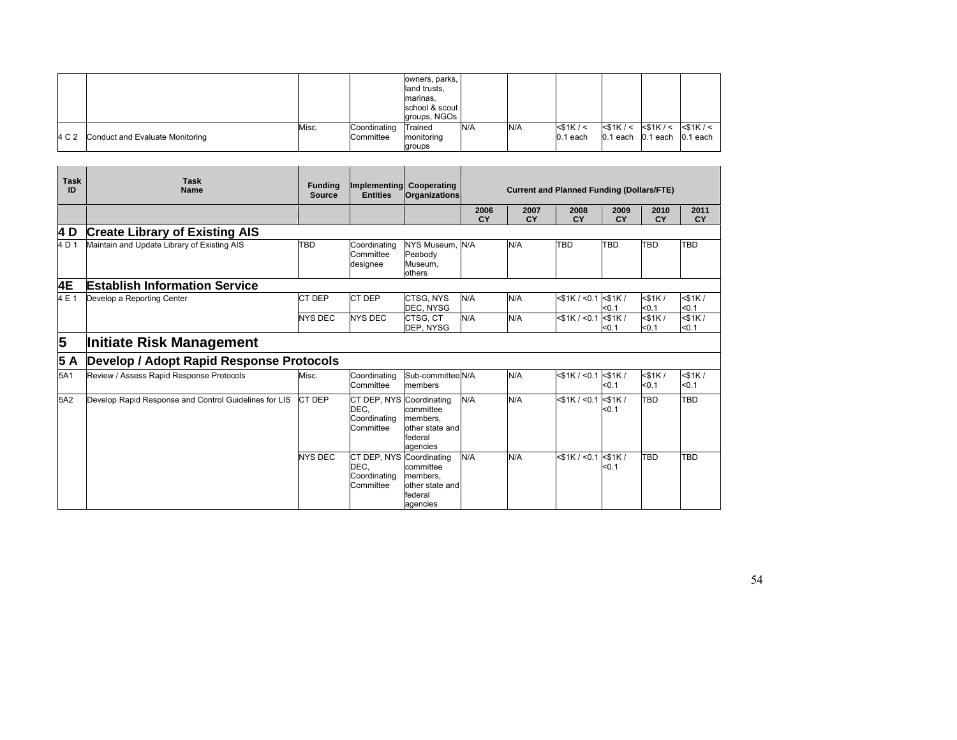|       |                                 |       |                           | owners, parks,<br>land trusts.<br>marinas,<br>school & scout<br>groups, NGOs |     |     |                              |                                                                      |  |
|-------|---------------------------------|-------|---------------------------|------------------------------------------------------------------------------|-----|-----|------------------------------|----------------------------------------------------------------------|--|
| 4 C 2 | Conduct and Evaluate Monitoring | Misc. | Coordinating<br>Committee | Trained<br>monitoring<br>groups                                              | N/A | N/A | $<$ \$1K / $<$<br>$0.1$ each | $<$ \$1K/< $<$ \$1K/< $<$ \$1K/<<br>$0.1$ each $0.1$ each $0.1$ each |  |

| <b>Task</b><br>ID | <b>Task</b><br><b>Name</b>                            | <b>Funding</b><br><b>Source</b> | Implementing Cooperating<br><b>Entities</b>                   | <b>Organizations</b>                                            | <b>Current and Planned Funding (Dollars/FTE)</b> |            |                            |                       |                       |                       |  |  |
|-------------------|-------------------------------------------------------|---------------------------------|---------------------------------------------------------------|-----------------------------------------------------------------|--------------------------------------------------|------------|----------------------------|-----------------------|-----------------------|-----------------------|--|--|
|                   |                                                       |                                 |                                                               |                                                                 | 2006<br><b>CY</b>                                | 2007<br>CY | 2008<br>CY                 | 2009<br>CY            | 2010<br>CY            | 2011<br>CY            |  |  |
| 4 D               | <b>Create Library of Existing AIS</b>                 |                                 |                                                               |                                                                 |                                                  |            |                            |                       |                       |                       |  |  |
| 4 D 1             | Maintain and Update Library of Existing AIS           | TBD                             | Coordinating<br>Committee<br>designee                         | NYS Museum. N/A<br>Peabody<br>Museum,<br>others                 |                                                  | N/A        | TBD                        | <b>TBD</b>            | TBD                   | <b>TBD</b>            |  |  |
| 4E                | <b>Establish Information Service</b>                  |                                 |                                                               |                                                                 |                                                  |            |                            |                       |                       |                       |  |  |
| 4 E 1             | Develop a Reporting Center                            | CT DEP                          | <b>CT DEP</b>                                                 | CTSG, NYS<br>DEC, NYSG                                          | N/A                                              | N/A        | $<$ \$1K / <0.1 $<$ \$1K / | $0.1$                 | $<$ \$1K $/$<br>< 0.1 | $<$ \$1K /<br>< 0.1   |  |  |
|                   |                                                       | <b>NYS DEC</b>                  | <b>NYS DEC</b>                                                | CTSG. CT<br>DEP. NYSG                                           | N/A                                              | N/A        | $<$ \$1K / $<$ 0.1         | $<$ \$1K $/$<br>$0.1$ | $<$ \$1K $/$<br>$0.1$ | $<$ \$1K $/$<br>< 0.1 |  |  |
| 5                 | <b>Initiate Risk Management</b>                       |                                 |                                                               |                                                                 |                                                  |            |                            |                       |                       |                       |  |  |
| 5 A               | Develop / Adopt Rapid Response Protocols              |                                 |                                                               |                                                                 |                                                  |            |                            |                       |                       |                       |  |  |
| 5A1               | Review / Assess Rapid Response Protocols              | Misc.                           | Coordinating<br>Committee                                     | Sub-committee N/A<br>members                                    |                                                  | N/A        | $<$ \$1K / $<$ 0.1         | $<$ \$1K $/$<br>$0.1$ | $<$ \$1K $/$<br>$0.1$ | $<$ \$1K $/$<br>< 0.1 |  |  |
| 5A2               | Develop Rapid Response and Control Guidelines for LIS | CT DEP                          | CT DEP, NYS Coordinating<br>DEC.<br>Coordinating<br>Committee | committee<br>members,<br>other state and<br>federal<br>agencies | N/A                                              | N/A        | $<$ \$1K / <0.1 $<$ \$1K / | < 0.1                 | <b>TBD</b>            | <b>TBD</b>            |  |  |
|                   |                                                       | <b>NYS DEC</b>                  | CT DEP, NYS Coordinating<br>DEC.<br>Coordinating<br>Committee | committee<br>members.<br>other state and<br>federal<br>agencies | N/A                                              | N/A        | $<$ \$1K / <0.1 <\$1K /    | $0.1$                 | <b>TBD</b>            | <b>TBD</b>            |  |  |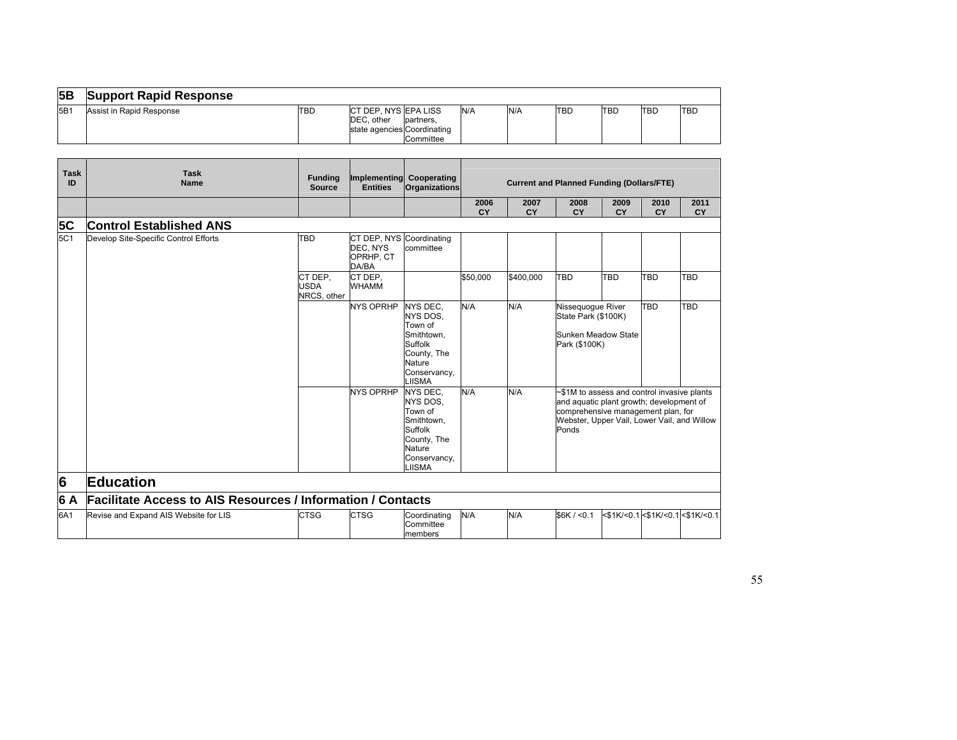| 5B  | <b>Support Rapid Response</b> |     |                                                                    |                       |     |     |            |     |            |             |
|-----|-------------------------------|-----|--------------------------------------------------------------------|-----------------------|-----|-----|------------|-----|------------|-------------|
| 5B1 | Assist in Rapid Response      | TBD | ICT DEP. NYS EPA LISS<br>DEC. other<br>state agencies Coordinating | partners<br>Committee | N/A | N/A | <b>TBD</b> | TBD | <b>TBD</b> | <b>ITBD</b> |

| <b>Task</b><br>ID | <b>Task</b><br><b>Name</b>                                         | <b>Funding</b><br><b>Source</b>       | Implementing Cooperating<br><b>Entities</b>                                                                                                                                                                                                     | <b>Organizations</b>                                                                                                      | <b>Current and Planned Funding (Dollars/FTE)</b> |                   |                                                                                                                                                                                       |                   |                   |                                  |
|-------------------|--------------------------------------------------------------------|---------------------------------------|-------------------------------------------------------------------------------------------------------------------------------------------------------------------------------------------------------------------------------------------------|---------------------------------------------------------------------------------------------------------------------------|--------------------------------------------------|-------------------|---------------------------------------------------------------------------------------------------------------------------------------------------------------------------------------|-------------------|-------------------|----------------------------------|
|                   |                                                                    |                                       |                                                                                                                                                                                                                                                 |                                                                                                                           | 2006<br>CY                                       | 2007<br><b>CY</b> | 2008<br><b>CY</b>                                                                                                                                                                     | 2009<br><b>CY</b> | 2010<br><b>CY</b> | 2011<br><b>CY</b>                |
| 5C                | <b>Control Established ANS</b>                                     |                                       |                                                                                                                                                                                                                                                 |                                                                                                                           |                                                  |                   |                                                                                                                                                                                       |                   |                   |                                  |
| 5C1               | Develop Site-Specific Control Efforts                              | <b>TBD</b>                            | CT DEP, NYS Coordinating<br>DEC, NYS<br>OPRHP, CT<br>DA/BA                                                                                                                                                                                      | committee                                                                                                                 |                                                  |                   |                                                                                                                                                                                       |                   |                   |                                  |
|                   |                                                                    | CT DEP.<br><b>USDA</b><br>NRCS, other | CT DEP.<br><b>WHAMM</b>                                                                                                                                                                                                                         |                                                                                                                           | \$50,000                                         | \$400,000         | TBD                                                                                                                                                                                   | TBD               | <b>TBD</b>        | TBD                              |
|                   |                                                                    |                                       | N/A<br>N/A<br><b>NYS OPRHP</b><br><b>NYS DEC.</b><br>Nissequoque River<br>NYS DOS,<br>State Park (\$100K)<br>Town of<br>Smithtown,<br>Sunken Meadow State<br>Suffolk<br>Park (\$100K)<br>County, The<br><b>Nature</b><br>Conservancy,<br>LIISMA |                                                                                                                           |                                                  | TBD               | TBD                                                                                                                                                                                   |                   |                   |                                  |
|                   |                                                                    |                                       | <b>NYS OPRHP</b>                                                                                                                                                                                                                                | NYS DEC.<br>NYS DOS,<br>Town of<br>Smithtown,<br>Suffolk<br>County, The<br><b>Nature</b><br>Conservancy,<br><b>LIISMA</b> | N/A                                              | N/A               | ~\$1M to assess and control invasive plants<br>and aquatic plant growth; development of<br>comprehensive management plan, for<br>Webster, Upper Vail, Lower Vail, and Willow<br>Ponds |                   |                   |                                  |
| 6                 | <b>Education</b>                                                   |                                       |                                                                                                                                                                                                                                                 |                                                                                                                           |                                                  |                   |                                                                                                                                                                                       |                   |                   |                                  |
| 6 A               | <b>Facilitate Access to AIS Resources / Information / Contacts</b> |                                       |                                                                                                                                                                                                                                                 |                                                                                                                           |                                                  |                   |                                                                                                                                                                                       |                   |                   |                                  |
| 6A1               | Revise and Expand AIS Website for LIS                              | <b>CTSG</b>                           | <b>CTSG</b>                                                                                                                                                                                                                                     | Coordinating<br>Committee<br>members                                                                                      | N/A                                              | N/A               | \$6K / 0.1                                                                                                                                                                            |                   |                   | <\$1K/<0.1 <\$1K/<0.1 <\$1K/<0.1 |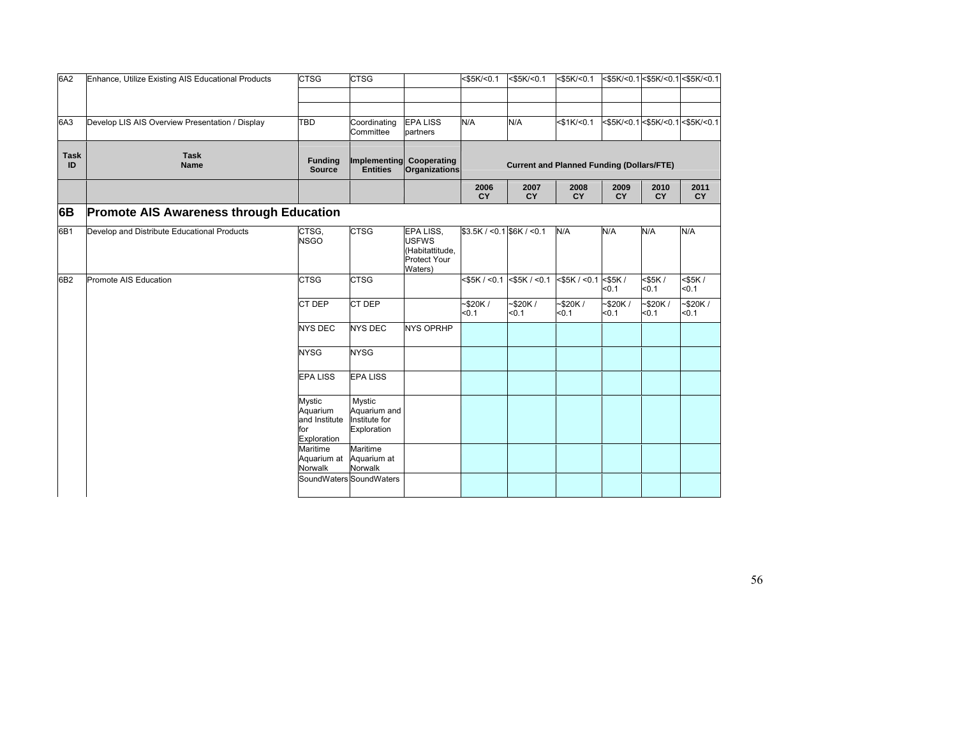| 6A2               | Enhance, Utilize Existing AIS Educational Products | <b>CTSG</b>                                               | <b>CTSG</b>                                            |                                                                         | $<$ \$5K/<0.1                | $<$ \$5K/<0.1                                    | $<$ \$5K/<0.1       |                     |                     | <\$5K/<0.1 <\$5K/<0.1 <\$5K/<0.1 |
|-------------------|----------------------------------------------------|-----------------------------------------------------------|--------------------------------------------------------|-------------------------------------------------------------------------|------------------------------|--------------------------------------------------|---------------------|---------------------|---------------------|----------------------------------|
|                   |                                                    |                                                           |                                                        |                                                                         |                              |                                                  |                     |                     |                     |                                  |
| 6A3               | Develop LIS AIS Overview Presentation / Display    | TBD                                                       | Coordinating<br>Committee                              | <b>EPA LISS</b><br>partners                                             | N/A                          | N/A                                              | $<$ \$1K/<0.1       |                     |                     | <\$5K/<0.1 <\$5K/<0.1 <\$5K/<0.1 |
| <b>Task</b><br>ID | <b>Task</b><br><b>Name</b>                         | <b>Funding</b><br>Source                                  | <b>Entities</b>                                        | Implementing Cooperating<br><b>Organizations</b>                        |                              | <b>Current and Planned Funding (Dollars/FTE)</b> |                     |                     |                     |                                  |
|                   |                                                    |                                                           |                                                        |                                                                         | 2006<br><b>CY</b>            | 2007<br><b>CY</b>                                | 2008<br><b>CY</b>   | 2009<br><b>CY</b>   | 2010<br><b>CY</b>   | 2011<br><b>CY</b>                |
| 6B                | <b>Promote AIS Awareness through Education</b>     |                                                           |                                                        |                                                                         |                              |                                                  |                     |                     |                     |                                  |
| 6B1               | Develop and Distribute Educational Products        | CTSG,<br><b>NSGO</b>                                      | <b>CTSG</b>                                            | EPA LISS,<br><b>USFWS</b><br>(Habitattitude,<br>Protect Your<br>Waters) | $$3.5K / < 0.1$ \$6K / < 0.1 |                                                  | N/A                 | N/A                 | N/A                 | N/A                              |
| 6B2               | Promote AIS Education                              | <b>CTSG</b>                                               | <b>CTSG</b>                                            |                                                                         | $<$ \$5K / $<$ 0.1           | $<$ \$5K / $<$ 0.1                               | $<$ \$5K / $<$ 0.1  | $<$ \$5K /<br>< 0.1 | $<$ \$5K /<br>< 0.1 | <\$5K/<br>< 0.1                  |
|                   |                                                    | CT DEP                                                    | CT DEP                                                 |                                                                         | $-$ \$20K/<br>< 0.1          | $-$ \$20K/<br>< 0.1                              | $-$ \$20K/<br>< 0.1 | $-$ \$20K/<br>< 0.1 | -\$20K/<br>< 0.1    | $-$ \$20K/<br>50.1               |
|                   |                                                    | <b>NYS DEC</b>                                            | <b>NYS DEC</b>                                         | <b>NYS OPRHP</b>                                                        |                              |                                                  |                     |                     |                     |                                  |
|                   |                                                    | <b>NYSG</b>                                               | <b>NYSG</b>                                            |                                                                         |                              |                                                  |                     |                     |                     |                                  |
|                   |                                                    | <b>EPA LISS</b>                                           | <b>EPA LISS</b>                                        |                                                                         |                              |                                                  |                     |                     |                     |                                  |
|                   |                                                    | Mystic<br>Aquarium<br>and Institute<br>for<br>Exploration | Mystic<br>Aquarium and<br>Institute for<br>Exploration |                                                                         |                              |                                                  |                     |                     |                     |                                  |
|                   |                                                    | Maritime<br>Aquarium at<br>Norwalk                        | Maritime<br>Aquarium at<br>Norwalk                     |                                                                         |                              |                                                  |                     |                     |                     |                                  |
|                   |                                                    |                                                           | SoundWaters SoundWaters                                |                                                                         |                              |                                                  |                     |                     |                     |                                  |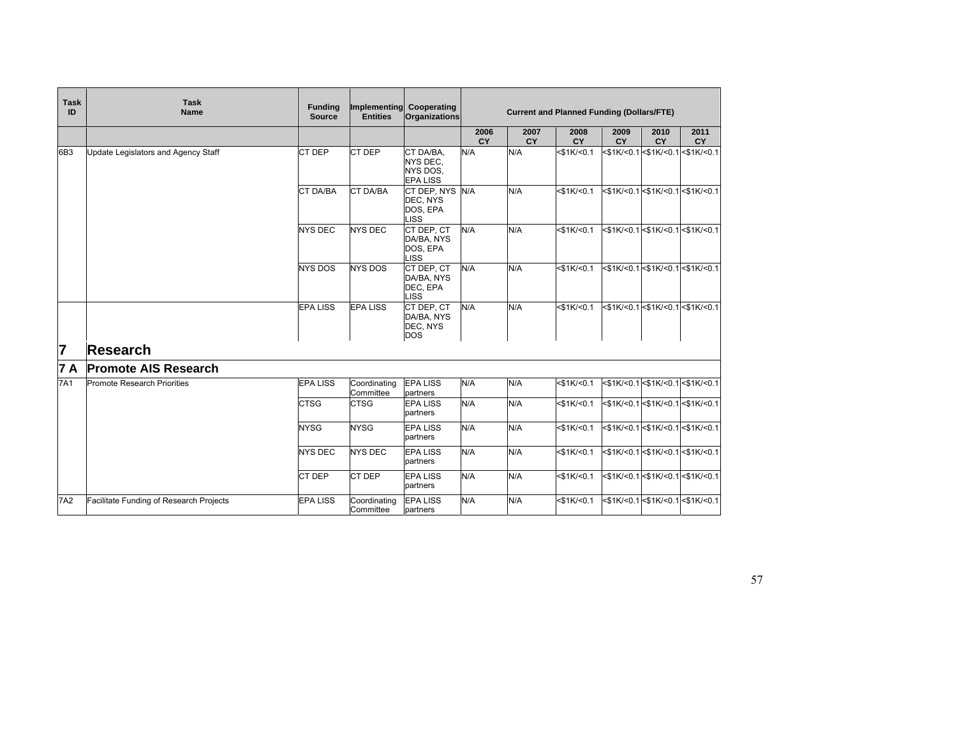| <b>Task</b><br>ID | <b>Task</b><br><b>Name</b>              | <b>Funding</b><br><b>Source</b> | <b>Entities</b>           | Implementing Cooperating<br><b>Organizations</b>     | <b>Current and Planned Funding (Dollars/FTE)</b> |                   |                   |                   |                   |                                           |
|-------------------|-----------------------------------------|---------------------------------|---------------------------|------------------------------------------------------|--------------------------------------------------|-------------------|-------------------|-------------------|-------------------|-------------------------------------------|
|                   |                                         |                                 |                           |                                                      | 2006<br>CY                                       | 2007<br><b>CY</b> | 2008<br>CY        | 2009<br><b>CY</b> | 2010<br><b>CY</b> | 2011<br><b>CY</b>                         |
| 6B3               | Update Legislators and Agency Staff     | CT DEP                          | CT DEP                    | CT DA/BA.<br>NYS DEC.<br>NYS DOS.<br><b>EPA LISS</b> | N/A                                              | N/A               | $<$ \$1K/ $<$ 0.1 |                   |                   | <\$1K/<0.1 <\$1K/<0.1 <\$1K/<0.1          |
|                   |                                         | <b>CT DA/BA</b>                 | <b>CT DA/BA</b>           | CT DEP, NYS<br>DEC, NYS<br>DOS, EPA<br><b>LISS</b>   | N/A                                              | N/A               | $<$ \$1K/ $<$ 0.1 |                   |                   | <\$1K/<0.1 <\$1K/<0.1 <\$1K/<0.1          |
|                   |                                         | <b>NYS DEC</b>                  | <b>NYS DEC</b>            | CT DEP, CT<br>DA/BA, NYS<br>DOS, EPA<br><b>LISS</b>  | N/A                                              | N/A               | $<$ \$1K/ $<$ 0.1 |                   |                   | <\$1K/<0.1 <\$1K/<0.1 <\$1K/<0.1          |
|                   |                                         | <b>NYS DOS</b>                  | <b>NYS DOS</b>            | CT DEP, CT<br>DA/BA, NYS<br>DEC, EPA<br><b>LISS</b>  | N/A                                              | N/A               | $<$ \$1K/ $<$ 0.1 |                   |                   | <\$1K/<0.1 <\$1K/<0.1 <\$1K/<0.1          |
|                   |                                         | <b>EPA LISS</b>                 | <b>EPA LISS</b>           | CT DEP. CT<br>DA/BA, NYS<br>DEC, NYS<br><b>DOS</b>   | N/A                                              | N/A               | $<$ \$1K/<0.1     |                   |                   | <\$1K/<0.1 <\$1K/<0.1 <\$1K/<0.1          |
| 17                | Research                                |                                 |                           |                                                      |                                                  |                   |                   |                   |                   |                                           |
| 7 A               | <b>Promote AIS Research</b>             |                                 |                           |                                                      |                                                  |                   |                   |                   |                   |                                           |
| 7A1               | Promote Research Priorities             | <b>EPA LISS</b>                 | Coordinating<br>Committee | <b>EPALISS</b><br>partners                           | N/A                                              | N/A               | $<$ \$1K/ $<$ 0.1 |                   |                   | <\$1K/<0.1 <\$1K/<0.1 <\$1K/<0.1          |
|                   |                                         | <b>CTSG</b>                     | <b>CTSG</b>               | <b>EPA LISS</b><br>partners                          | N/A                                              | N/A               | $<$ \$1K/ $<$ 0.1 |                   |                   | $<$ \$1K/<0.1 $<$ \$1K/<0.1 $<$ \$1K/<0.1 |
|                   |                                         | <b>NYSG</b>                     | <b>NYSG</b>               | <b>EPA LISS</b><br>partners                          | N/A                                              | N/A               | $<$ \$1K/ $<$ 0.1 |                   |                   | <\$1K/<0.1 <\$1K/<0.1 <\$1K/<0.1          |
|                   |                                         | <b>NYS DEC</b>                  | <b>NYS DEC</b>            | <b>EPA LISS</b><br>partners                          | N/A                                              | N/A               | $<$ \$1K/<0.1     |                   |                   | <\$1K/<0.1 <\$1K/<0.1 <\$1K/<0.1          |
|                   |                                         | CT DEP                          | CT DEP                    | <b>EPA LISS</b><br>partners                          | N/A                                              | N/A               | $<$ \$1K/ $<$ 0.1 |                   |                   | <\$1K/<0.1 <\$1K/<0.1 <\$1K/<0.1          |
| <b>7A2</b>        | Facilitate Funding of Research Projects | <b>EPA LISS</b>                 | Coordinating<br>Committee | <b>EPA LISS</b><br>partners                          | N/A                                              | N/A               | $<$ \$1K/ $<$ 0.1 |                   |                   | <\$1K/<0.1<\$1K/<0.1<\$1K/<0.1            |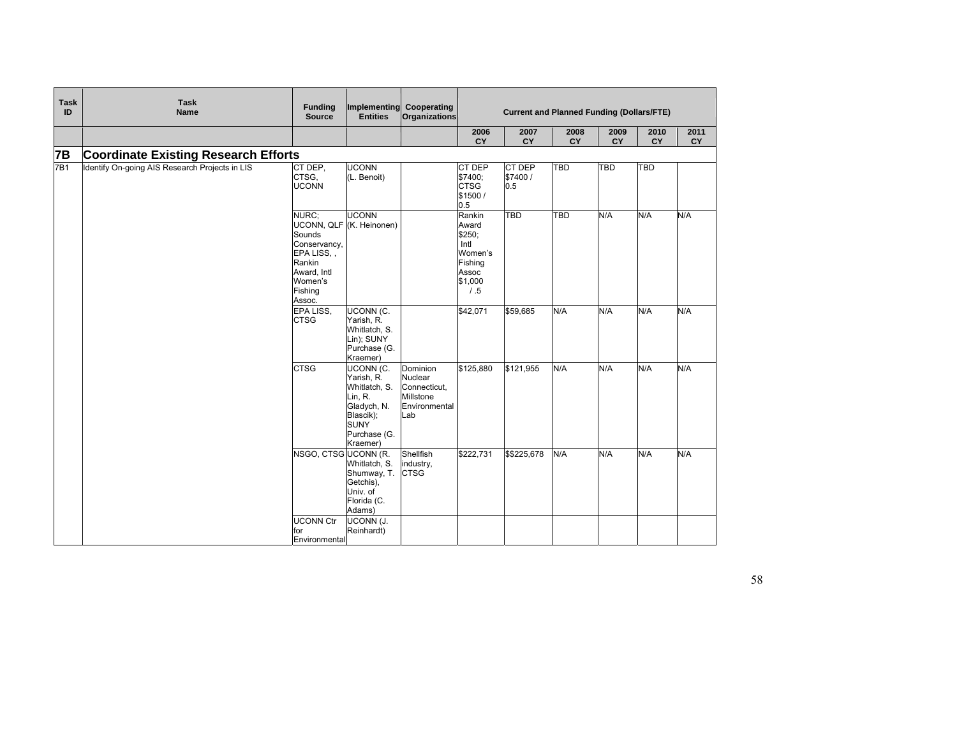| <b>Task</b><br>ID | <b>Task</b><br>Name                            | <b>Funding</b><br><b>Source</b>                                                                      | <b>Entities</b>                                                                                                            | Implementing Cooperating<br>Organizations                                | <b>Current and Planned Funding (Dollars/FTE)</b>                                    |                           |            |            |            |            |
|-------------------|------------------------------------------------|------------------------------------------------------------------------------------------------------|----------------------------------------------------------------------------------------------------------------------------|--------------------------------------------------------------------------|-------------------------------------------------------------------------------------|---------------------------|------------|------------|------------|------------|
|                   |                                                |                                                                                                      |                                                                                                                            |                                                                          | 2006<br>CY                                                                          | 2007<br>CY                | 2008<br>CY | 2009<br>CY | 2010<br>CY | 2011<br>CY |
| <b>7B</b>         | <b>Coordinate Existing Research Efforts</b>    |                                                                                                      |                                                                                                                            |                                                                          |                                                                                     |                           |            |            |            |            |
| 7B1               | Identify On-going AIS Research Projects in LIS | CT DEP.<br>CTSG.<br><b>UCONN</b>                                                                     | <b>UCONN</b><br>(L. Benoit)                                                                                                |                                                                          | CT DEP<br>\$7400;<br><b>CTSG</b><br>\$1500/<br>0.5                                  | CT DEP<br>\$7400 /<br>0.5 | <b>TBD</b> | TBD        | <b>TBD</b> |            |
|                   |                                                | NURC:<br>Sounds<br>Conservancy,<br>EPA LISS<br>Rankin<br>Award, Intl<br>Women's<br>Fishing<br>Assoc. | <b>UCONN</b><br>UCONN, QLF (K. Heinonen)                                                                                   |                                                                          | Rankin<br>Award<br>\$250;<br>Intl<br>Women's<br>Fishing<br>Assoc<br>\$1,000<br>/ .5 | <b>TBD</b>                | TBD        | N/A        | N/A        | N/A        |
|                   |                                                | EPA LISS.<br><b>CTSG</b>                                                                             | <b>UCONN (C.</b><br>Yarish, R.<br>Whitlatch, S.<br>Lin); SUNY<br>Purchase (G.<br>Kraemer)                                  |                                                                          | \$42,071                                                                            | \$59,685                  | N/A        | N/A        | N/A        | N/A        |
|                   |                                                | <b>CTSG</b>                                                                                          | UCONN (C.<br>Yarish, R.<br>Whitlatch, S.<br>Lin, R.<br>Gladych, N.<br>Blascik);<br><b>SUNY</b><br>Purchase (G.<br>Kraemer) | Dominion<br>Nuclear<br>Connecticut,<br>Millstone<br>Environmental<br>Lab | \$125,880                                                                           | \$121,955                 | N/A        | N/A        | N/A        | N/A        |
|                   |                                                | NSGO, CTSG UCONN (R.                                                                                 | Whitlatch, S.<br>Shumway, T.<br>Getchis),<br>Univ. of<br>Florida (C.<br>Adams)                                             | Shellfish<br>industry,<br><b>CTSG</b>                                    | \$222,731                                                                           | \$\$225,678               | N/A        | N/A        | N/A        | N/A        |
|                   |                                                | <b>UCONN Ctr</b><br>for<br>Environmental                                                             | <b>UCONN (J.</b><br>Reinhardt)                                                                                             |                                                                          |                                                                                     |                           |            |            |            |            |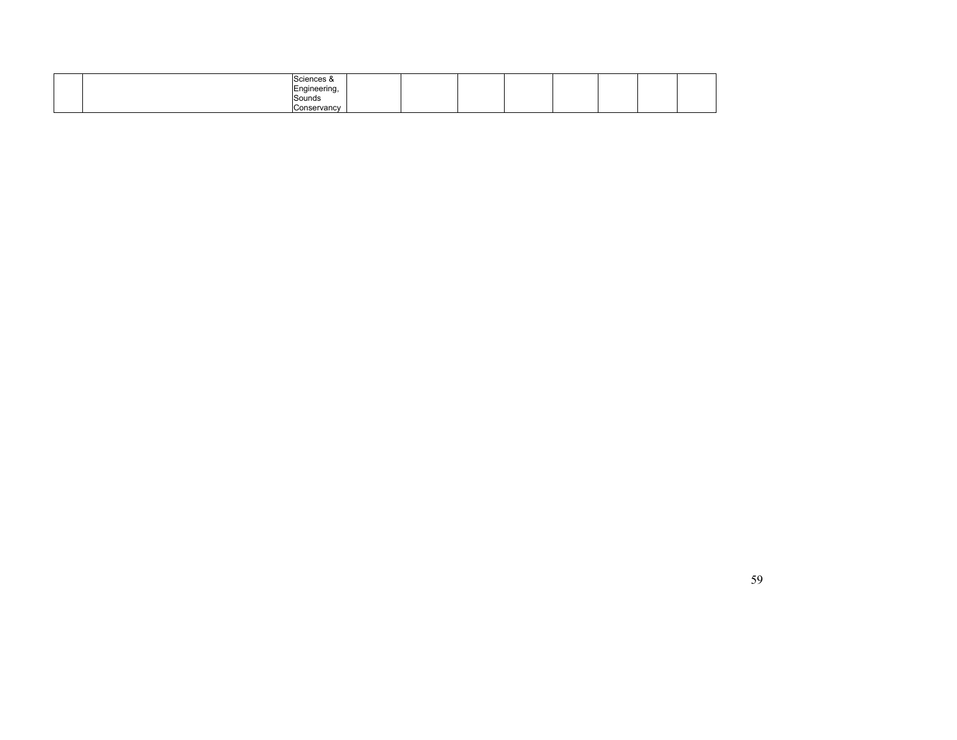| Coioncos<br>ngineering,                 |  |  |  |  |
|-----------------------------------------|--|--|--|--|
| Sounds                                  |  |  |  |  |
| $n \wedge n \wedge n \wedge n$<br>. чањ |  |  |  |  |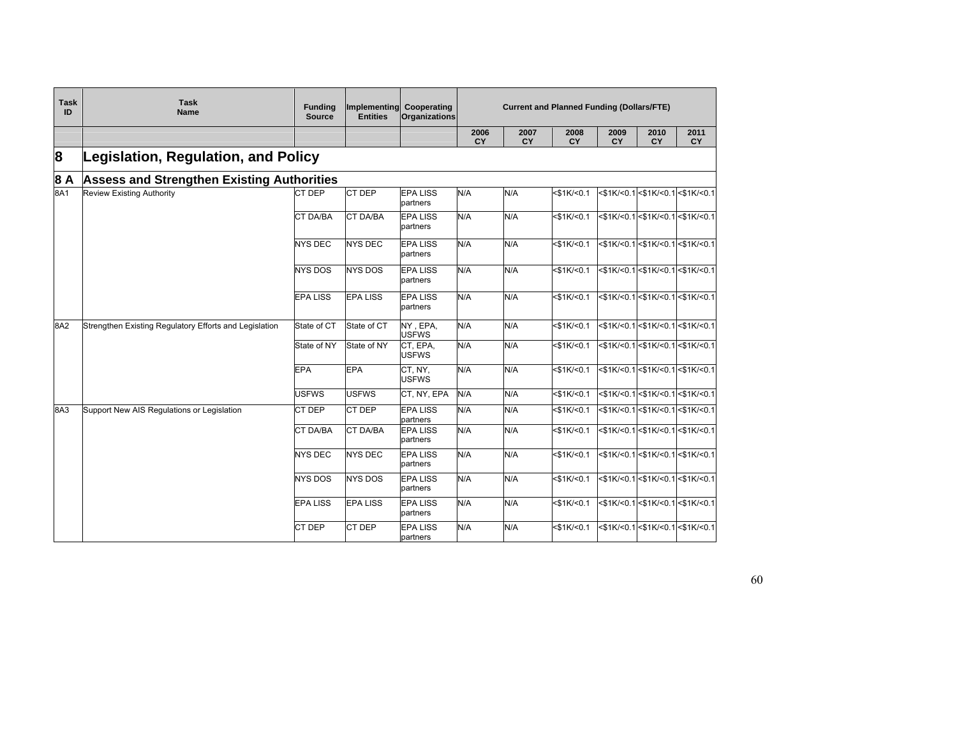| <b>Task</b><br>ID | <b>Task</b><br><b>Name</b>                             | <b>Funding</b><br>Source | Implementing Cooperating<br><b>Entities</b> | Organizations               | <b>Current and Planned Funding (Dollars/FTE)</b> |            |                   |            |            |                                  |
|-------------------|--------------------------------------------------------|--------------------------|---------------------------------------------|-----------------------------|--------------------------------------------------|------------|-------------------|------------|------------|----------------------------------|
|                   |                                                        |                          |                                             |                             | 2006<br><b>CY</b>                                | 2007<br>CY | 2008<br>CY        | 2009<br>CY | 2010<br>CY | 2011<br><b>CY</b>                |
| 8                 | <b>Legislation, Regulation, and Policy</b>             |                          |                                             |                             |                                                  |            |                   |            |            |                                  |
| 8 A               | <b>Assess and Strengthen Existing Authorities</b>      |                          |                                             |                             |                                                  |            |                   |            |            |                                  |
| 8A1               | Review Existing Authority                              | CT DEP                   | CT DEP                                      | <b>EPA LISS</b><br>partners | N/A                                              | N/A        | $<$ \$1K/<0.1     |            |            | <\$1K/<0.1 <\$1K/<0.1 <\$1K/<0.1 |
|                   |                                                        | CT DA/BA                 | CT DA/BA                                    | <b>EPA LISS</b><br>partners | N/A                                              | N/A        | $<$ \$1K/<0.1     |            |            | <\$1K/<0.1 <\$1K/<0.1 <\$1K/<0.1 |
|                   |                                                        | <b>NYS DEC</b>           | <b>NYS DEC</b>                              | <b>EPA LISS</b><br>partners | N/A                                              | N/A        | $<$ \$1K/ $<$ 0.1 |            |            |                                  |
|                   |                                                        | <b>NYS DOS</b>           | <b>NYS DOS</b>                              | <b>EPA LISS</b><br>partners | N/A                                              | N/A        | $<$ \$1K/ $<$ 0.1 |            |            | <\$1K/<0.1 <\$1K/<0.1 <\$1K/<0.1 |
|                   |                                                        | <b>EPA LISS</b>          | <b>EPA LISS</b>                             | <b>EPA LISS</b><br>partners | N/A                                              | N/A        | $<$ \$1K/<0.1     |            |            | <\$1K/<0.1 <\$1K/<0.1 <\$1K/<0.1 |
| 8A2               | Strengthen Existing Regulatory Efforts and Legislation | State of CT              | State of CT                                 | NY, EPA,<br><b>USFWS</b>    | N/A                                              | N/A        | $<$ \$1K/<0.1     |            |            | <\$1K/<0.1 <\$1K/<0.1 <\$1K/<0.1 |
|                   |                                                        | State of NY              | State of NY                                 | CT, EPA,<br><b>USFWS</b>    | N/A                                              | N/A        | $<$ \$1K/ $<$ 0.1 |            |            | <\$1K/<0.1 <\$1K/<0.1 <\$1K/<0.1 |
|                   |                                                        | <b>EPA</b>               | <b>EPA</b>                                  | CT, NY,<br><b>USFWS</b>     | N/A                                              | N/A        | $<$ \$1K/<0.1     |            |            | <\$1K/<0.1 <\$1K/<0.1 <\$1K/<0.1 |
|                   |                                                        | <b>USFWS</b>             | <b>USFWS</b>                                | CT, NY, EPA                 | N/A                                              | N/A        | $<$ \$1K/<0.1     |            |            | <\$1K/<0.1<\$1K/<0.1<\$1K/<0.1   |
| 8A3               | Support New AIS Regulations or Legislation             | CT DEP                   | CT DEP                                      | <b>EPA LISS</b><br>partners | N/A                                              | N/A        | $<$ \$1K/<0.1     |            |            | <\$1K/<0.1 <\$1K/<0.1 <\$1K/<0.1 |
|                   |                                                        | <b>CT DA/BA</b>          | <b>CT DA/BA</b>                             | <b>EPA LISS</b><br>partners | N/A                                              | N/A        | $<$ \$1K/ $<$ 0.1 |            |            | <\$1K/<0.1 <\$1K/<0.1 <\$1K/<0.1 |
|                   |                                                        | <b>NYS DEC</b>           | <b>NYS DEC</b>                              | <b>EPA LISS</b><br>partners | N/A                                              | N/A        | $<$ \$1K/ $<$ 0.1 |            |            | <\$1K/<0.1 <\$1K/<0.1 <\$1K/<0.1 |
|                   |                                                        | <b>NYS DOS</b>           | <b>NYS DOS</b>                              | <b>EPA LISS</b><br>partners | N/A                                              | N/A        | $<$ \$1K/ $<$ 0.1 |            |            | <\$1K/<0.1 <\$1K/<0.1 <\$1K/<0.1 |
|                   |                                                        | <b>EPA LISS</b>          | <b>EPA LISS</b>                             | <b>EPA LISS</b><br>partners | N/A                                              | N/A        | $<$ \$1K/<0.1     |            |            | <\$1K/<0.1 <\$1K/<0.1 <\$1K/<0.1 |
|                   |                                                        | <b>CT DEP</b>            | CT DEP                                      | <b>EPA LISS</b><br>partners | N/A                                              | N/A        | $<$ \$1K/ $<$ 0.1 |            |            | <\$1K/<0.1 <\$1K/<0.1 <\$1K/<0.1 |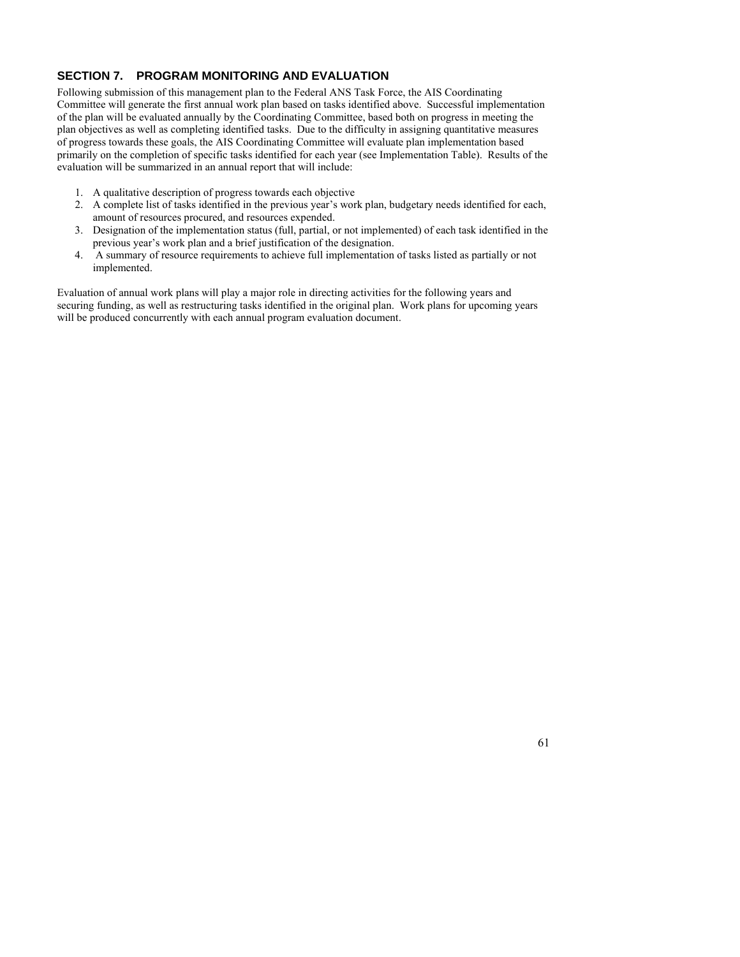# **SECTION 7. PROGRAM MONITORING AND EVALUATION**

Following submission of this management plan to the Federal ANS Task Force, the AIS Coordinating Committee will generate the first annual work plan based on tasks identified above. Successful implementation of the plan will be evaluated annually by the Coordinating Committee, based both on progress in meeting the plan objectives as well as completing identified tasks. Due to the difficulty in assigning quantitative measures of progress towards these goals, the AIS Coordinating Committee will evaluate plan implementation based primarily on the completion of specific tasks identified for each year (see Implementation Table). Results of the evaluation will be summarized in an annual report that will include:

- 1. A qualitative description of progress towards each objective
- 2. A complete list of tasks identified in the previous year's work plan, budgetary needs identified for each, amount of resources procured, and resources expended.
- 3. Designation of the implementation status (full, partial, or not implemented) of each task identified in the previous year's work plan and a brief justification of the designation.
- 4. A summary of resource requirements to achieve full implementation of tasks listed as partially or not implemented.

Evaluation of annual work plans will play a major role in directing activities for the following years and securing funding, as well as restructuring tasks identified in the original plan. Work plans for upcoming years will be produced concurrently with each annual program evaluation document.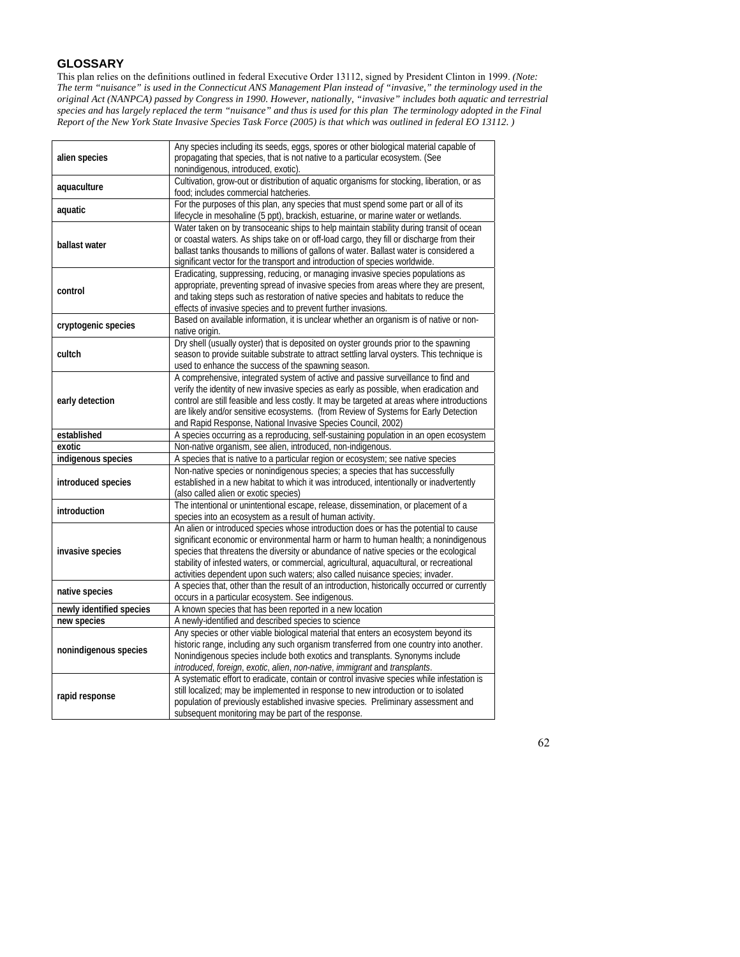# **GLOSSARY**

This plan relies on the definitions outlined in federal Executive Order 13112, signed by President Clinton in 1999. *(Note: The term "nuisance" is used in the Connecticut ANS Management Plan instead of "invasive," the terminology used in the original Act (NANPCA) passed by Congress in 1990. However, nationally, "invasive" includes both aquatic and terrestrial species and has largely replaced the term "nuisance" and thus is used for this plan The terminology adopted in the Final Report of the New York State Invasive Species Task Force (2005) is that which was outlined in federal EO 13112. )* 

| alien species            | Any species including its seeds, eggs, spores or other biological material capable of<br>propagating that species, that is not native to a particular ecosystem. (See                                                                                                                                                                                                                                                                             |
|--------------------------|---------------------------------------------------------------------------------------------------------------------------------------------------------------------------------------------------------------------------------------------------------------------------------------------------------------------------------------------------------------------------------------------------------------------------------------------------|
| aquaculture              | nonindigenous, introduced, exotic).<br>Cultivation, grow-out or distribution of aquatic organisms for stocking, liberation, or as<br>food; includes commercial hatcheries.                                                                                                                                                                                                                                                                        |
| aquatic                  | For the purposes of this plan, any species that must spend some part or all of its<br>lifecycle in mesohaline (5 ppt), brackish, estuarine, or marine water or wetlands.                                                                                                                                                                                                                                                                          |
| ballast water            | Water taken on by transoceanic ships to help maintain stability during transit of ocean<br>or coastal waters. As ships take on or off-load cargo, they fill or discharge from their<br>ballast tanks thousands to millions of gallons of water. Ballast water is considered a<br>significant vector for the transport and introduction of species worldwide.                                                                                      |
| control                  | Eradicating, suppressing, reducing, or managing invasive species populations as<br>appropriate, preventing spread of invasive species from areas where they are present,<br>and taking steps such as restoration of native species and habitats to reduce the<br>effects of invasive species and to prevent further invasions.                                                                                                                    |
| cryptogenic species      | Based on available information, it is unclear whether an organism is of native or non-<br>native origin.                                                                                                                                                                                                                                                                                                                                          |
| cultch                   | Dry shell (usually oyster) that is deposited on oyster grounds prior to the spawning<br>season to provide suitable substrate to attract settling larval oysters. This technique is<br>used to enhance the success of the spawning season.                                                                                                                                                                                                         |
| early detection          | A comprehensive, integrated system of active and passive surveillance to find and<br>verify the identity of new invasive species as early as possible, when eradication and<br>control are still feasible and less costly. It may be targeted at areas where introductions<br>are likely and/or sensitive ecosystems. (from Review of Systems for Early Detection<br>and Rapid Response, National Invasive Species Council, 2002)                 |
| established              | A species occurring as a reproducing, self-sustaining population in an open ecosystem                                                                                                                                                                                                                                                                                                                                                             |
| exotic                   | Non-native organism, see alien, introduced, non-indigenous.                                                                                                                                                                                                                                                                                                                                                                                       |
| indigenous species       | A species that is native to a particular region or ecosystem; see native species                                                                                                                                                                                                                                                                                                                                                                  |
| introduced species       | Non-native species or nonindigenous species; a species that has successfully<br>established in a new habitat to which it was introduced, intentionally or inadvertently<br>(also called alien or exotic species)                                                                                                                                                                                                                                  |
| introduction             | The intentional or unintentional escape, release, dissemination, or placement of a<br>species into an ecosystem as a result of human activity.                                                                                                                                                                                                                                                                                                    |
| invasive species         | An alien or introduced species whose introduction does or has the potential to cause<br>significant economic or environmental harm or harm to human health; a nonindigenous<br>species that threatens the diversity or abundance of native species or the ecological<br>stability of infested waters, or commercial, agricultural, aquacultural, or recreational<br>activities dependent upon such waters; also called nuisance species; invader. |
| native species           | A species that, other than the result of an introduction, historically occurred or currently<br>occurs in a particular ecosystem. See indigenous.                                                                                                                                                                                                                                                                                                 |
| newly identified species | A known species that has been reported in a new location                                                                                                                                                                                                                                                                                                                                                                                          |
| new species              | A newly-identified and described species to science                                                                                                                                                                                                                                                                                                                                                                                               |
| nonindigenous species    | Any species or other viable biological material that enters an ecosystem beyond its<br>historic range, including any such organism transferred from one country into another.<br>Nonindigenous species include both exotics and transplants. Synonyms include<br>introduced, foreign, exotic, alien, non-native, immigrant and transplants.                                                                                                       |
| rapid response           | A systematic effort to eradicate, contain or control invasive species while infestation is<br>still localized; may be implemented in response to new introduction or to isolated<br>population of previously established invasive species. Preliminary assessment and<br>subsequent monitoring may be part of the response.                                                                                                                       |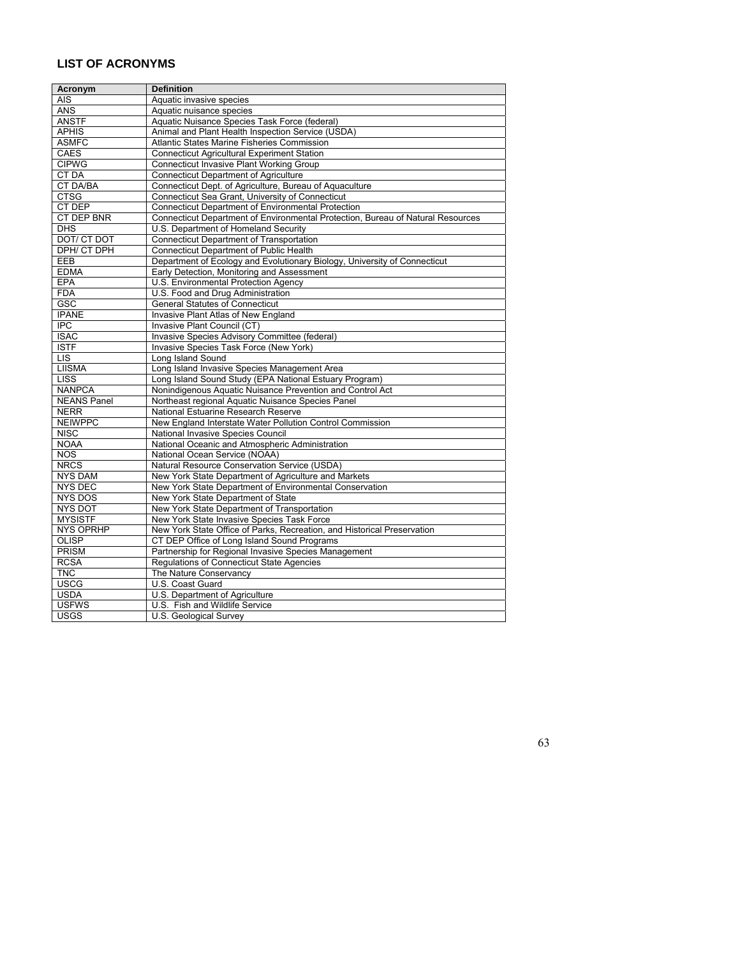# **LIST OF ACRONYMS**

| Acronym            | <b>Definition</b>                                                               |
|--------------------|---------------------------------------------------------------------------------|
| <b>AIS</b>         | Aquatic invasive species                                                        |
| <b>ANS</b>         | Aquatic nuisance species                                                        |
| <b>ANSTF</b>       | Aquatic Nuisance Species Task Force (federal)                                   |
| <b>APHIS</b>       | Animal and Plant Health Inspection Service (USDA)                               |
| <b>ASMFC</b>       | Atlantic States Marine Fisheries Commission                                     |
| CAES               | <b>Connecticut Agricultural Experiment Station</b>                              |
| <b>CIPWG</b>       | <b>Connecticut Invasive Plant Working Group</b>                                 |
| <b>CT DA</b>       | <b>Connecticut Department of Agriculture</b>                                    |
| <b>CT DA/BA</b>    | Connecticut Dept. of Agriculture, Bureau of Aguaculture                         |
| <b>CTSG</b>        | Connecticut Sea Grant, University of Connecticut                                |
| CT DEP             | <b>Connecticut Department of Environmental Protection</b>                       |
| CT DEP BNR         | Connecticut Department of Environmental Protection, Bureau of Natural Resources |
| $\overline{DHS}$   | U.S. Department of Homeland Security                                            |
| DOT/ CT DOT        | <b>Connecticut Department of Transportation</b>                                 |
| DPH/ CT DPH        | <b>Connecticut Department of Public Health</b>                                  |
| <b>EEB</b>         | Department of Ecology and Evolutionary Biology, University of Connecticut       |
| <b>EDMA</b>        | Early Detection, Monitoring and Assessment                                      |
| EPA                | U.S. Environmental Protection Agency                                            |
| <b>FDA</b>         | U.S. Food and Drug Administration                                               |
| GSC                | <b>General Statutes of Connecticut</b>                                          |
| <b>IPANE</b>       | Invasive Plant Atlas of New England                                             |
| <b>IPC</b>         | Invasive Plant Council (CT)                                                     |
| <b>ISAC</b>        | Invasive Species Advisory Committee (federal)                                   |
| <b>ISTF</b>        | Invasive Species Task Force (New York)                                          |
| LIS                | Long Island Sound                                                               |
| <b>LIISMA</b>      | Long Island Invasive Species Management Area                                    |
| <b>LISS</b>        | Long Island Sound Study (EPA National Estuary Program)                          |
| <b>NANPCA</b>      | Nonindigenous Aquatic Nuisance Prevention and Control Act                       |
| <b>NEANS Panel</b> | Northeast regional Aguatic Nuisance Species Panel                               |
| <b>NERR</b>        | National Estuarine Research Reserve                                             |
| <b>NEIWPPC</b>     | New England Interstate Water Pollution Control Commission                       |
| <b>NISC</b>        | National Invasive Species Council                                               |
| <b>NOAA</b>        | National Oceanic and Atmospheric Administration                                 |
| <b>NOS</b>         | National Ocean Service (NOAA)                                                   |
| <b>NRCS</b>        | Natural Resource Conservation Service (USDA)                                    |
| <b>NYS DAM</b>     | New York State Department of Agriculture and Markets                            |
| <b>NYS DEC</b>     | New York State Department of Environmental Conservation                         |
| <b>NYS DOS</b>     | New York State Department of State                                              |
| <b>NYS DOT</b>     | New York State Department of Transportation                                     |
| <b>MYSISTF</b>     | New York State Invasive Species Task Force                                      |
| <b>NYS OPRHP</b>   | New York State Office of Parks, Recreation, and Historical Preservation         |
| OLISP              | CT DEP Office of Long Island Sound Programs                                     |
| <b>PRISM</b>       | Partnership for Regional Invasive Species Management                            |
| <b>RCSA</b>        | Regulations of Connecticut State Agencies                                       |
| <b>TNC</b>         |                                                                                 |
|                    | The Nature Conservancy                                                          |
| <b>USCG</b>        | U.S. Coast Guard                                                                |
| <b>USDA</b>        | U.S. Department of Agriculture                                                  |
| <b>USFWS</b>       | U.S. Fish and Wildlife Service                                                  |
| <b>USGS</b>        | U.S. Geological Survey                                                          |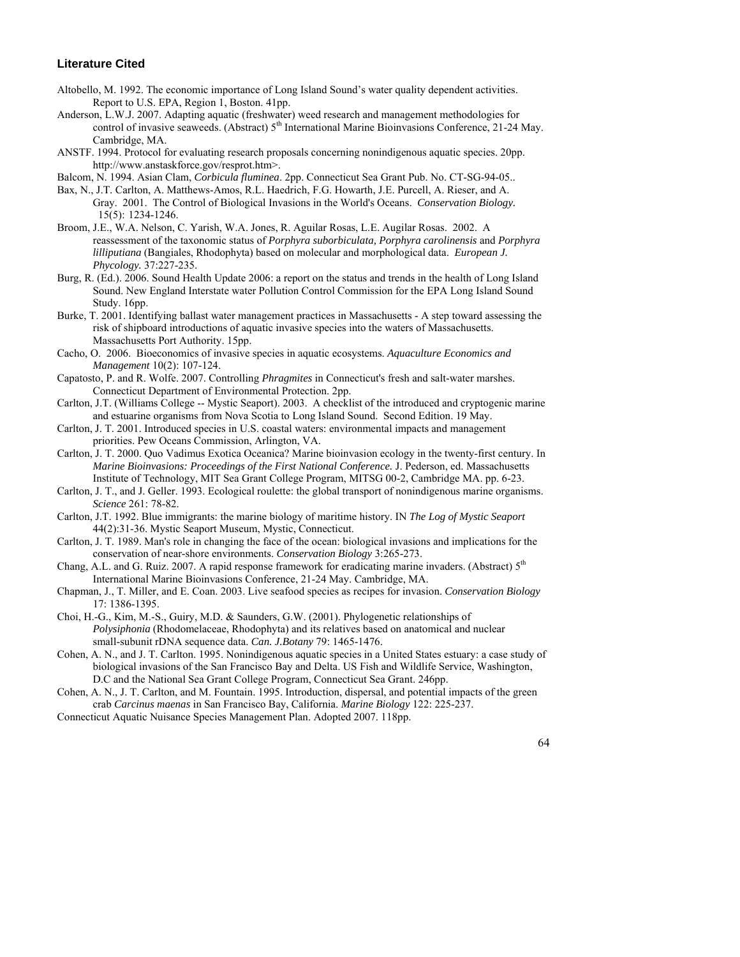# **Literature Cited**

- Altobello, M. 1992. The economic importance of Long Island Sound's water quality dependent activities. Report to U.S. EPA, Region 1, Boston. 41pp.
- Anderson, L.W.J. 2007. Adapting aquatic (freshwater) weed research and management methodologies for control of invasive seaweeds. (Abstract)  $5<sup>th</sup>$  International Marine Bioinvasions Conference, 21-24 May. Cambridge, MA.
- ANSTF. 1994. Protocol for evaluating research proposals concerning nonindigenous aquatic species. 20pp. http://www.anstaskforce.gov/resprot.htm>.
- Balcom, N. 1994. Asian Clam, *Corbicula fluminea*. 2pp. Connecticut Sea Grant Pub. No. CT-SG-94-05..
- Bax, N., J.T. Carlton, A. Matthews-Amos, R.L. Haedrich, F.G. Howarth, J.E. Purcell, A. Rieser, and A. Gray. 2001. The Control of Biological Invasions in the World's Oceans. *Conservation Biology.*  15(5): 1234-1246.
- Broom, J.E., W.A. Nelson, C. Yarish, W.A. Jones, R. Aguilar Rosas, L.E. Augilar Rosas. 2002. A reassessment of the taxonomic status of *Porphyra suborbiculata, Porphyra carolinensis* and *Porphyra lilliputiana* (Bangiales, Rhodophyta) based on molecular and morphological data. *European J. Phycology.* 37:227-235.
- Burg, R. (Ed.). 2006. Sound Health Update 2006: a report on the status and trends in the health of Long Island Sound. New England Interstate water Pollution Control Commission for the EPA Long Island Sound Study. 16pp.
- Burke, T. 2001. Identifying ballast water management practices in Massachusetts A step toward assessing the risk of shipboard introductions of aquatic invasive species into the waters of Massachusetts. Massachusetts Port Authority. 15pp.
- Cacho, O. 2006. Bioeconomics of invasive species in aquatic ecosystems. *Aquaculture Economics and Management* 10(2): 107-124.
- Capatosto, P. and R. Wolfe. 2007. Controlling *Phragmites* in Connecticut's fresh and salt-water marshes. Connecticut Department of Environmental Protection. 2pp.
- Carlton, J.T. (Williams College -- Mystic Seaport). 2003. A checklist of the introduced and cryptogenic marine and estuarine organisms from Nova Scotia to Long Island Sound. Second Edition. 19 May.
- Carlton, J. T. 2001. Introduced species in U.S. coastal waters: environmental impacts and management priorities. Pew Oceans Commission, Arlington, VA.
- Carlton, J. T. 2000. Quo Vadimus Exotica Oceanica? Marine bioinvasion ecology in the twenty-first century. In *Marine Bioinvasions: Proceedings of the First National Conference.* J. Pederson, ed. Massachusetts Institute of Technology, MIT Sea Grant College Program, MITSG 00-2, Cambridge MA. pp. 6-23.
- Carlton, J. T., and J. Geller. 1993. Ecological roulette: the global transport of nonindigenous marine organisms. *Science* 261: 78-82.
- Carlton, J.T. 1992. Blue immigrants: the marine biology of maritime history. IN *The Log of Mystic Seaport* 44(2):31-36. Mystic Seaport Museum, Mystic, Connecticut.
- Carlton, J. T. 1989. Man's role in changing the face of the ocean: biological invasions and implications for the conservation of near-shore environments. *Conservation Biology* 3:265-273.
- Chang, A.L. and G. Ruiz. 2007. A rapid response framework for eradicating marine invaders. (Abstract) 5<sup>th</sup> International Marine Bioinvasions Conference, 21-24 May. Cambridge, MA.
- Chapman, J., T. Miller, and E. Coan. 2003. Live seafood species as recipes for invasion. *Conservation Biology* 17: 1386-1395.
- Choi, H.-G., Kim, M.-S., Guiry, M.D. & Saunders, G.W. (2001). Phylogenetic relationships of *Polysiphonia* (Rhodomelaceae, Rhodophyta) and its relatives based on anatomical and nuclear small-subunit rDNA sequence data. *Can. J.Botany* 79: 1465-1476.
- Cohen, A. N., and J. T. Carlton. 1995. Nonindigenous aquatic species in a United States estuary: a case study of biological invasions of the San Francisco Bay and Delta. US Fish and Wildlife Service, Washington, D.C and the National Sea Grant College Program, Connecticut Sea Grant. 246pp.
- Cohen, A. N., J. T. Carlton, and M. Fountain. 1995. Introduction, dispersal, and potential impacts of the green crab *Carcinus maenas* in San Francisco Bay, California. *Marine Biology* 122: 225-237.
- Connecticut Aquatic Nuisance Species Management Plan. Adopted 2007. 118pp.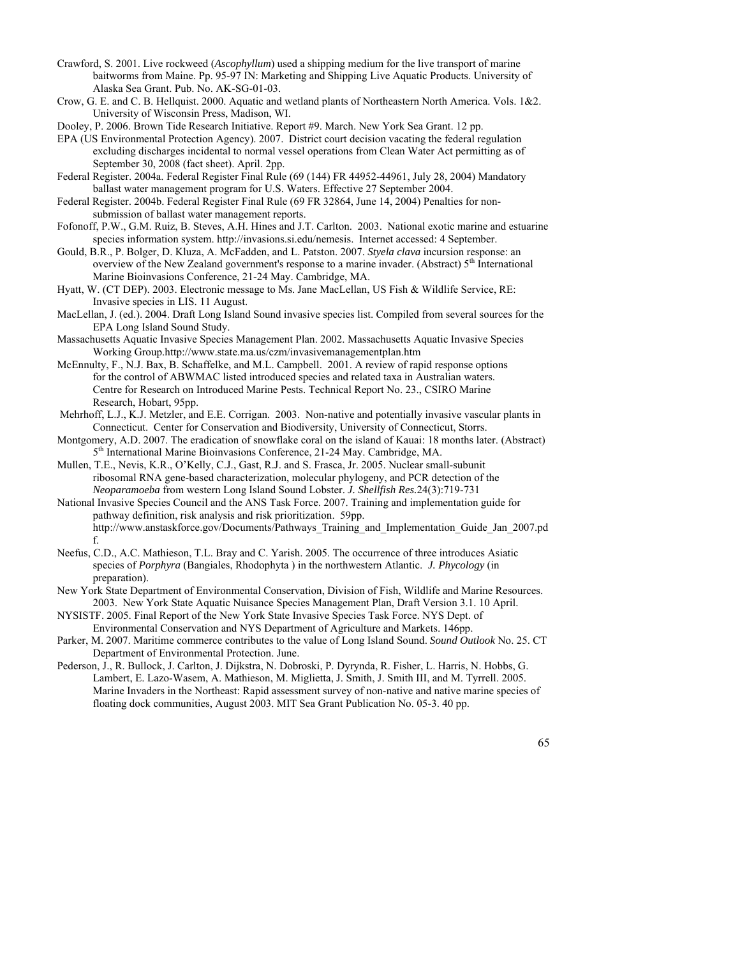- Crawford, S. 2001. Live rockweed (*Ascophyllum*) used a shipping medium for the live transport of marine baitworms from Maine. Pp. 95-97 IN: Marketing and Shipping Live Aquatic Products. University of Alaska Sea Grant. Pub. No. AK-SG-01-03.
- Crow, G. E. and C. B. Hellquist. 2000. Aquatic and wetland plants of Northeastern North America. Vols. 1&2. University of Wisconsin Press, Madison, WI.
- Dooley, P. 2006. Brown Tide Research Initiative. Report #9. March. New York Sea Grant. 12 pp.

EPA (US Environmental Protection Agency). 2007. District court decision vacating the federal regulation excluding discharges incidental to normal vessel operations from Clean Water Act permitting as of September 30, 2008 (fact sheet). April. 2pp.

Federal Register. 2004a. Federal Register Final Rule (69 (144) FR 44952-44961, July 28, 2004) Mandatory ballast water management program for U.S. Waters. Effective 27 September 2004.

Federal Register. 2004b. Federal Register Final Rule (69 FR 32864, June 14, 2004) Penalties for nonsubmission of ballast water management reports.

- Fofonoff, P.W., G.M. Ruiz, B. Steves, A.H. Hines and J.T. Carlton. 2003. National exotic marine and estuarine species information system. http://invasions.si.edu/nemesis. Internet accessed: 4 September.
- Gould, B.R., P. Bolger, D. Kluza, A. McFadden, and L. Patston. 2007. *Styela clava* incursion response: an overview of the New Zealand government's response to a marine invader. (Abstract)  $5<sup>th</sup>$  International Marine Bioinvasions Conference, 21-24 May. Cambridge, MA.
- Hyatt, W. (CT DEP). 2003. Electronic message to Ms. Jane MacLellan, US Fish & Wildlife Service, RE: Invasive species in LIS. 11 August.
- MacLellan, J. (ed.). 2004. Draft Long Island Sound invasive species list. Compiled from several sources for the EPA Long Island Sound Study.

Massachusetts Aquatic Invasive Species Management Plan. 2002. Massachusetts Aquatic Invasive Species Working Group.http://www.state.ma.us/czm/invasivemanagementplan.htm

- McEnnulty, F., N.J. Bax, B. Schaffelke, and M.L. Campbell. 2001. A review of rapid response options for the control of ABWMAC listed introduced species and related taxa in Australian waters. Centre for Research on Introduced Marine Pests. Technical Report No. 23., CSIRO Marine Research, Hobart, 95pp.
- Mehrhoff, L.J., K.J. Metzler, and E.E. Corrigan. 2003. Non-native and potentially invasive vascular plants in Connecticut. Center for Conservation and Biodiversity, University of Connecticut, Storrs.
- Montgomery, A.D. 2007. The eradication of snowflake coral on the island of Kauai: 18 months later. (Abstract) 5<sup>th</sup> International Marine Bioinvasions Conference, 21-24 May. Cambridge, MA.
- Mullen, T.E., Nevis, K.R., O'Kelly, C.J., Gast, R.J. and S. Frasca, Jr. 2005. Nuclear small-subunit ribosomal RNA gene-based characterization, molecular phylogeny, and PCR detection of the *Neoparamoeba* from western Long Island Sound Lobster. *J. Shellfish Res.*24(3):719-731

National Invasive Species Council and the ANS Task Force. 2007. Training and implementation guide for pathway definition, risk analysis and risk prioritization. 59pp. http://www.anstaskforce.gov/Documents/Pathways\_Training\_and\_Implementation\_Guide\_Jan\_2007.pd f.

- Neefus, C.D., A.C. Mathieson, T.L. Bray and C. Yarish. 2005. The occurrence of three introduces Asiatic species of *Porphyra* (Bangiales, Rhodophyta ) in the northwestern Atlantic. *J. Phycology* (in preparation).
- New York State Department of Environmental Conservation, Division of Fish, Wildlife and Marine Resources. 2003. New York State Aquatic Nuisance Species Management Plan, Draft Version 3.1. 10 April.
- NYSISTF. 2005. Final Report of the New York State Invasive Species Task Force. NYS Dept. of Environmental Conservation and NYS Department of Agriculture and Markets. 146pp.
- Parker, M. 2007. Maritime commerce contributes to the value of Long Island Sound. *Sound Outlook* No. 25. CT Department of Environmental Protection. June.
- Pederson, J., R. Bullock, J. Carlton, J. Dijkstra, N. Dobroski, P. Dyrynda, R. Fisher, L. Harris, N. Hobbs, G. Lambert, E. Lazo-Wasem, A. Mathieson, M. Miglietta, J. Smith, J. Smith III, and M. Tyrrell. 2005. Marine Invaders in the Northeast: Rapid assessment survey of non-native and native marine species of floating dock communities, August 2003. MIT Sea Grant Publication No. 05-3. 40 pp.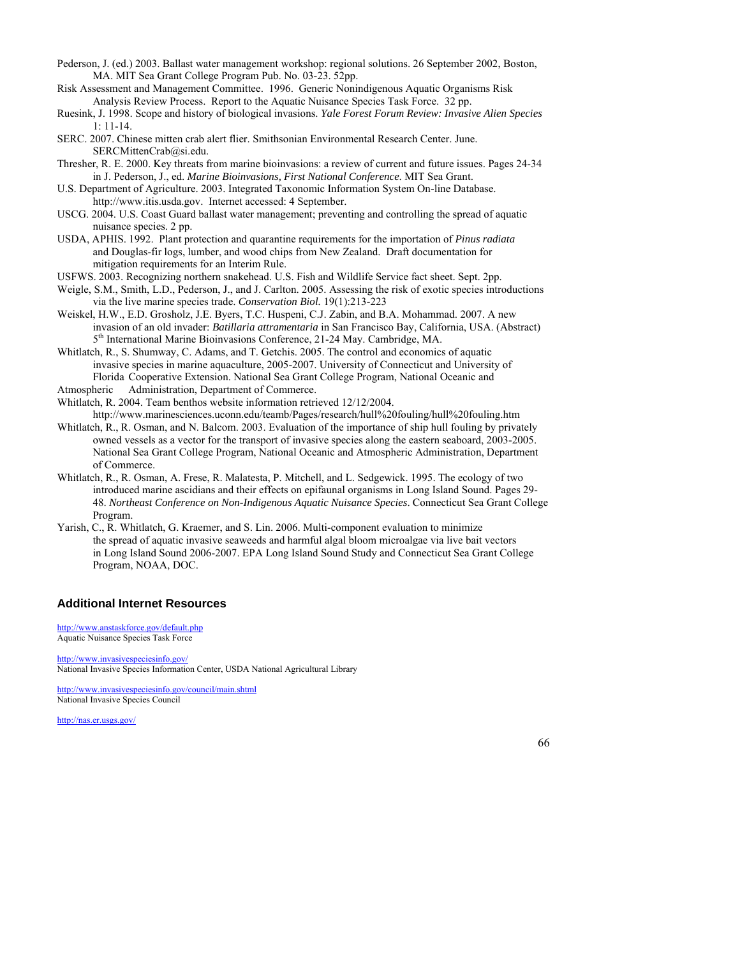- Pederson, J. (ed.) 2003. Ballast water management workshop: regional solutions. 26 September 2002, Boston, MA. MIT Sea Grant College Program Pub. No. 03-23. 52pp.
- Risk Assessment and Management Committee. 1996. Generic Nonindigenous Aquatic Organisms Risk Analysis Review Process. Report to the Aquatic Nuisance Species Task Force. 32 pp.
- Ruesink, J. 1998. Scope and history of biological invasions. *Yale Forest Forum Review: Invasive Alien Species* 1: 11-14.
- SERC. 2007. Chinese mitten crab alert flier. Smithsonian Environmental Research Center. June. SERCMittenCrab@si.edu.
- Thresher, R. E. 2000. Key threats from marine bioinvasions: a review of current and future issues. Pages 24-34 in J. Pederson, J., ed. *Marine Bioinvasions, First National Conference*. MIT Sea Grant.
- U.S. Department of Agriculture. 2003. Integrated Taxonomic Information System On-line Database. http://www.itis.usda.gov. Internet accessed: 4 September.
- USCG. 2004. U.S. Coast Guard ballast water management; preventing and controlling the spread of aquatic nuisance species. 2 pp.
- USDA, APHIS. 1992. Plant protection and quarantine requirements for the importation of *Pinus radiata*  and Douglas-fir logs, lumber, and wood chips from New Zealand. Draft documentation for mitigation requirements for an Interim Rule.
- USFWS. 2003. Recognizing northern snakehead. U.S. Fish and Wildlife Service fact sheet. Sept. 2pp.
- Weigle, S.M., Smith, L.D., Pederson, J., and J. Carlton. 2005. Assessing the risk of exotic species introductions via the live marine species trade. *Conservation Biol.* 19(1):213-223
- Weiskel, H.W., E.D. Grosholz, J.E. Byers, T.C. Huspeni, C.J. Zabin, and B.A. Mohammad. 2007. A new invasion of an old invader: *Batillaria attramentaria* in San Francisco Bay, California, USA. (Abstract) 5<sup>th</sup> International Marine Bioinvasions Conference, 21-24 May. Cambridge, MA.
- Whitlatch, R., S. Shumway, C. Adams, and T. Getchis. 2005. The control and economics of aquatic invasive species in marine aquaculture, 2005-2007. University of Connecticut and University of Florida Cooperative Extension. National Sea Grant College Program, National Oceanic and
- Atmospheric Administration, Department of Commerce.

Whitlatch, R. 2004. Team benthos website information retrieved 12/12/2004.

- http://www.marinesciences.uconn.edu/teamb/Pages/research/hull%20fouling/hull%20fouling.htm Whitlatch, R., R. Osman, and N. Balcom. 2003. Evaluation of the importance of ship hull fouling by privately owned vessels as a vector for the transport of invasive species along the eastern seaboard, 2003-2005. National Sea Grant College Program, National Oceanic and Atmospheric Administration, Department of Commerce.
- Whitlatch, R., R. Osman, A. Frese, R. Malatesta, P. Mitchell, and L. Sedgewick. 1995. The ecology of two introduced marine ascidians and their effects on epifaunal organisms in Long Island Sound. Pages 29- 48. *Northeast Conference on Non-Indigenous Aquatic Nuisance Species*. Connecticut Sea Grant College Program.
- Yarish, C., R. Whitlatch, G. Kraemer, and S. Lin. 2006. Multi-component evaluation to minimize the spread of aquatic invasive seaweeds and harmful algal bloom microalgae via live bait vectors in Long Island Sound 2006-2007. EPA Long Island Sound Study and Connecticut Sea Grant College Program, NOAA, DOC.

## **Additional Internet Resources**

<http://www.anstaskforce.gov/default.php> Aquatic Nuisance Species Task Force

<http://www.invasivespeciesinfo.gov/> National Invasive Species Information Center, USDA National Agricultural Library

<http://www.invasivespeciesinfo.gov/council/main.shtml> National Invasive Species Council

<http://nas.er.usgs.gov/>